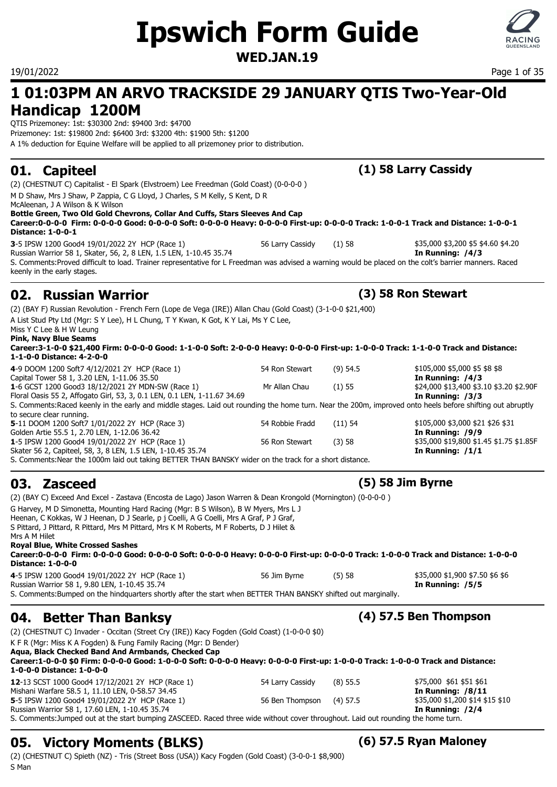# **Ipswich Form Guide**

### **WED.JAN.19**



19/01/2022 Page 1 of 35

### **1 01:03PM AN ARVO TRACKSIDE 29 JANUARY QTIS Two-Year-Old Handicap 1200M**

QTIS Prizemoney: 1st: \$30300 2nd: \$9400 3rd: \$4700 Prizemoney: 1st: \$19800 2nd: \$6400 3rd: \$3200 4th: \$1900 5th: \$1200 A 1% deduction for Equine Welfare will be applied to all prizemoney prior to distribution.

(2) (CHESTNUT C) Capitalist - El Spark (Elvstroem) Lee Freedman (Gold Coast) (0-0-0-0 ) M D Shaw, Mrs J Shaw, P Zappia, C G Lloyd, J Charles, S M Kelly, S Kent, D R McAleenan, J A Wilson & K Wilson **Bottle Green, Two Old Gold Chevrons, Collar And Cuffs, Stars Sleeves And Cap Career:0-0-0-0 Firm: 0-0-0-0 Good: 0-0-0-0 Soft: 0-0-0-0 Heavy: 0-0-0-0 First-up: 0-0-0-0 Track: 1-0-0-1 Track and Distance: 1-0-0-1 Distance: 1-0-0-1**

**3**-5 IPSW 1200 Good4 19/01/2022 2Y HCP (Race 1) 56 Larry Cassidy (1) 58 \$4.5000 \$3,200 \$5 \$4.60 \$4.20 Russian Warrior 58 1, Skater, 56, 2, 8 LEN, 1.5 LEN, 1-10.45 35.74 **In Running: /4/3** S. Comments:Proved difficult to load. Trainer representative for L Freedman was advised a warning would be placed on the colt's barrier manners. Raced keenly in the early stages.

### **02. Russian Warrior (3) 58 Ron Stewart**

(2) (BAY F) Russian Revolution - French Fern (Lope de Vega (IRE)) Allan Chau (Gold Coast) (3-1-0-0 \$21,400) A List Stud Pty Ltd (Mgr: S Y Lee), H L Chung, T Y Kwan, K Got, K Y Lai, Ms Y C Lee,

S. Comments:Near the 1000m laid out taking BETTER THAN BANSKY wider on the track for a short distance.

Miss Y C Lee & H W Leung **Pink, Navy Blue Seams**

**Career:3-1-0-0 \$21,400 Firm: 0-0-0-0 Good: 1-1-0-0 Soft: 2-0-0-0 Heavy: 0-0-0-0 First-up: 1-0-0-0 Track: 1-1-0-0 Track and Distance: 1-1-0-0 Distance: 4-2-0-0**

**4**-9 DOOM 1200 Soft7 4/12/2021 2Y HCP (Race 1) 54 Ron Stewart (9) 54.5 \$105,000 \$5,000 \$5 \$8 \$8 Capital Tower 58 1, 3.20 LEN, 1-11.06 35.50<br> **1**-6 GCST 1200 Good3 18/12/2021 2Y MDN-SW (Race 1) **In Running: /4/3 In Running: /4/3 1**-6 GCST 1200 Good3 18/12/2021 2Y MDN-SW (Race 1) **In Running: /**93.400 \$3.10 \$3.20 \$ **1**-6 GCST 1200 Good3 18/12/2021 2Y MDN-SW (Race 1) Mr Allan Chau (1) 55 Floral Oasis 55 2, Affogato Girl, 53, 3, 0.1 LEN, 0.1 LEN, 1-11.67 34.69 **In Running: /3/3** S. Comments:Raced keenly in the early and middle stages. Laid out rounding the home turn. Near the 200m, improved onto heels before shifting out abruptly to secure clear running. **5**-11 DOOM 1200 Soft7 1/01/2022 2Y HCP (Race 3) 54 Robbie Fradd (11) 54 \$105,000 \$3,000 \$21 \$26 \$31 Golden Artie 55.5 1, 2.70 LEN, 1-12.06 36.42<br> **1-**5 IPSW 1200 Good4 19/01/2022 2Y HCP (Race 1) 56 Ron Stewart (3) 58 58 55,000 \$19,800 \$1.45 \$1.75 \$1.85F **1**-5 IPSW 1200 Good4 19/01/2022 2Y HCP (Race 1) 56 Ron Stewart (3) 58

### **03. Zasceed (5) 58 Jim Byrne**

(2) (BAY C) Exceed And Excel - Zastava (Encosta de Lago) Jason Warren & Dean Krongold (Mornington) (0-0-0-0 ) G Harvey, M D Simonetta, Mounting Hard Racing (Mgr: B S Wilson), B W Myers, Mrs L J Heenan, C Kokkas, W J Heenan, D J Searle, p j Coelli, A G Coelli, Mrs A Graf, P J Graf, S Pittard, J Pittard, R Pittard, Mrs M Pittard, Mrs K M Roberts, M F Roberts, D J Hilet & Mrs A M Hilet **Royal Blue, White Crossed Sashes Career:0-0-0-0 Firm: 0-0-0-0 Good: 0-0-0-0 Soft: 0-0-0-0 Heavy: 0-0-0-0 First-up: 0-0-0-0 Track: 1-0-0-0 Track and Distance: 1-0-0-0 Distance: 1-0-0-0**

Skater 56 2, Capiteel, 58, 3, 8 LEN, 1.5 LEN, 1-10.45 35.74 **In Running: /1/1**

**4**-5 IPSW 1200 Good4 19/01/2022 2Y HCP (Race 1) 56 Jim Byrne (5) 58 \$5 \$5,000 \$1,900 \$7.50 \$6 \$6 Russian Warrior 58 1, 9.80 LEN, 1-10.45 35.74 **In Running: /5/5** S. Comments:Bumped on the hindquarters shortly after the start when BETTER THAN BANSKY shifted out marginally.

## **04. Better Than Banksy (4) 57.5 Ben Thompson**

(2) (CHESTNUT C) Invader - Occitan (Street Cry (IRE)) Kacy Fogden (Gold Coast) (1-0-0-0 \$0)

K F R (Mgr: Miss K A Fogden) & Fung Family Racing (Mgr: D Bender)

| Agua, Black Checked Band And Armbands, Checked Cap                                                                                                            |                          |            |                                 |
|---------------------------------------------------------------------------------------------------------------------------------------------------------------|--------------------------|------------|---------------------------------|
| Career:1-0-0-0 \$0 Firm: 0-0-0-0 Good: 1-0-0-0 Soft: 0-0-0-0 Heavy: 0-0-0-0 First-up: 1-0-0-0 Track: 1-0-0-0 Track and Distance:<br>1-0-0-0 Distance: 1-0-0-0 |                          |            |                                 |
| 12-13 SCST 1000 Good4 17/12/2021 2Y HCP (Race 1)                                                                                                              | 54 Larry Cassidy         | $(8)$ 55.5 | \$75,000 \$61 \$51 \$61         |
| Mishani Warfare 58.5 1, 11.10 LEN, 0-58.57 34.45                                                                                                              |                          |            | In Running: $/8/11$             |
| 5-5 IPSW 1200 Good4 19/01/2022 2Y HCP (Race 1)                                                                                                                | 56 Ben Thompson (4) 57.5 |            | \$35,000 \$1,200 \$14 \$15 \$10 |
| Russian Warrior 58 1, 17.60 LEN, 1-10.45 35.74                                                                                                                |                          |            | In Running: /2/4                |

S. Comments:Jumped out at the start bumping ZASCEED. Raced three wide without cover throughout. Laid out rounding the home turn.

## **05. Victory Moments (BLKS) (6) 57.5 Ryan Maloney**

(2) (CHESTNUT C) Spieth (NZ) - Tris (Street Boss (USA)) Kacy Fogden (Gold Coast) (3-0-0-1 \$8,900) S Man

### **01. Capiteel (1) 58 Larry Cassidy**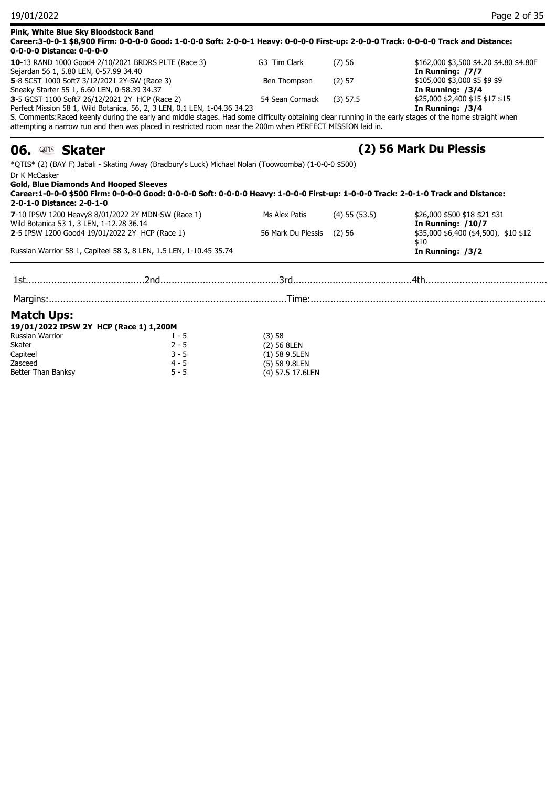| Pink, White Blue Sky Bloodstock Band<br>Career:3-0-0-1 \$8,900 Firm: 0-0-0-0 Good: 1-0-0-0 Soft: 2-0-0-1 Heavy: 0-0-0-0 First-up: 2-0-0-0 Track: 0-0-0-0 Track and Distance:<br>0-0-0-0 Distance: 0-0-0-0                                                                                                    |                                  |                   |                                                             |
|--------------------------------------------------------------------------------------------------------------------------------------------------------------------------------------------------------------------------------------------------------------------------------------------------------------|----------------------------------|-------------------|-------------------------------------------------------------|
| 10-13 RAND 1000 Good4 2/10/2021 BRDRS PLTE (Race 3)<br>Sejardan 56 1, 5.80 LEN, 0-57.99 34.40                                                                                                                                                                                                                | G3 Tim Clark                     | (7)56             | \$162,000 \$3,500 \$4.20 \$4.80 \$4.80F<br>In Running: /7/7 |
| 5-8 SCST 1000 Soft7 3/12/2021 2Y-SW (Race 3)<br>Sneaky Starter 55 1, 6.60 LEN, 0-58.39 34.37                                                                                                                                                                                                                 | Ben Thompson                     | (2) 57            | \$105,000 \$3,000 \$5 \$9 \$9<br>In Running: /3/4           |
| 3-5 GCST 1100 Soft7 26/12/2021 2Y HCP (Race 2)<br>Perfect Mission 58 1, Wild Botanica, 56, 2, 3 LEN, 0.1 LEN, 1-04.36 34.23                                                                                                                                                                                  | 54 Sean Cormack                  | $(3)$ 57.5        | \$25,000 \$2,400 \$15 \$17 \$15<br>In Running: /3/4         |
| S. Comments: Raced keenly during the early and middle stages. Had some difficulty obtaining clear running in the early stages of the home straight when<br>attempting a narrow run and then was placed in restricted room near the 200m when PERFECT MISSION laid in.                                        |                                  |                   |                                                             |
| 06. <u>Eus</u> Skater                                                                                                                                                                                                                                                                                        |                                  |                   | (2) 56 Mark Du Plessis                                      |
| *QTIS* (2) (BAY F) Jabali - Skating Away (Bradbury's Luck) Michael Nolan (Toowoomba) (1-0-0-0 \$500)<br>Dr K McCasker<br><b>Gold, Blue Diamonds And Hooped Sleeves</b><br>Career:1-0-0-0 \$500 Firm: 0-0-0-0 Good: 0-0-0-0 Soft: 0-0-0-0 Heavy: 1-0-0-0 First-up: 1-0-0-0 Track: 2-0-1-0 Track and Distance: |                                  |                   |                                                             |
| 2-0-1-0 Distance: 2-0-1-0<br>7-10 IPSW 1200 Heavy8 8/01/2022 2Y MDN-SW (Race 1)                                                                                                                                                                                                                              | Ms Alex Patis                    | $(4)$ 55 $(53.5)$ | \$26,000 \$500 \$18 \$21 \$31                               |
| Wild Botanica 53 1, 3 LEN, 1-12.28 36.14                                                                                                                                                                                                                                                                     |                                  |                   | In Running: /10/7                                           |
| 2-5 IPSW 1200 Good4 19/01/2022 2Y HCP (Race 1)                                                                                                                                                                                                                                                               | 56 Mark Du Plessis               | (2)56             | \$35,000 \$6,400 (\$4,500), \$10 \$12<br>\$10               |
| Russian Warrior 58 1, Capiteel 58 3, 8 LEN, 1.5 LEN, 1-10.45 35.74                                                                                                                                                                                                                                           |                                  |                   | In Running: /3/2                                            |
|                                                                                                                                                                                                                                                                                                              |                                  |                   |                                                             |
| <b>Match Ups:</b>                                                                                                                                                                                                                                                                                            |                                  |                   |                                                             |
| 19/01/2022 IPSW 2Y HCP (Race 1) 1,200M                                                                                                                                                                                                                                                                       |                                  |                   |                                                             |
| <b>Russian Warrior</b><br>$1 - 5$                                                                                                                                                                                                                                                                            | (3)58                            |                   |                                                             |
| Skater<br>$2 - 5$                                                                                                                                                                                                                                                                                            | (2) 56 8LEN                      |                   |                                                             |
| $3 - 5$<br>Capiteel<br>$4 - 5$<br>Zasceed                                                                                                                                                                                                                                                                    | $(1)$ 58 9.5LEN<br>(5) 58 9.8LEN |                   |                                                             |
| Better Than Banksy<br>$5 - 5$                                                                                                                                                                                                                                                                                | (4) 57.5 17.6LEN                 |                   |                                                             |
|                                                                                                                                                                                                                                                                                                              |                                  |                   |                                                             |

19/01/2022 Page 2 of 35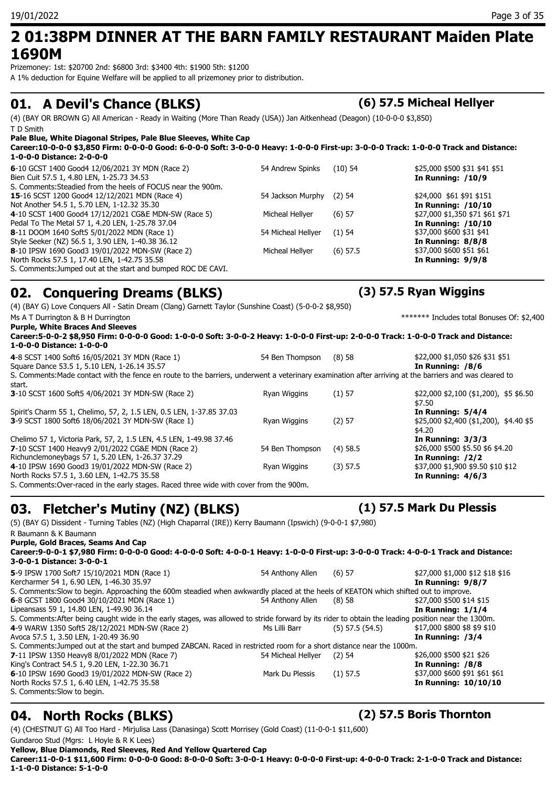### **2 01:38PM DINNER AT THE BARN FAMILY RESTAURANT Maiden Plate 1690M**

Prizemoney: 1st: \$20700 2nd: \$6800 3rd: \$3400 4th: \$1900 5th: \$1200 A 1% deduction for Equine Welfare will be applied to all prizemoney prior to distribution.

### **01. A Devil's Chance (BLKS) (6) 57.5 Micheal Hellyer**

(4) (BAY OR BROWN G) All American - Ready in Waiting (More Than Ready (USA)) Jan Aitkenhead (Deagon) (10-0-0-0 \$3,850) T D Smith

**Pale Blue, White Diagonal Stripes, Pale Blue Sleeves, White Cap Career:10-0-0-0 \$3,850 Firm: 0-0-0-0 Good: 6-0-0-0 Soft: 3-0-0-0 Heavy: 1-0-0-0 First-up: 3-0-0-0 Track: 1-0-0-0 Track and Distance: 1-0-0-0 Distance: 2-0-0-0**

| 6-10 GCST 1400 Good4 12/06/2021 3Y MDN (Race 2)              | 54 Andrew Spinks   | $(10)$ 54  | \$25,000 \$500 \$31 \$41 \$51   |
|--------------------------------------------------------------|--------------------|------------|---------------------------------|
| Bien Cuit 57.5 1, 4.80 LEN, 1-25.73 34.53                    |                    |            | In Running: $/10/9$             |
| S. Comments: Steadied from the heels of FOCUS near the 900m. |                    |            |                                 |
| <b>15-16 SCST 1200 Good4 12/12/2021 MDN (Race 4)</b>         | 54 Jackson Murphy  | (2) 54     | \$24,000 \$61 \$91 \$151        |
| Not Another 54.5 1, 5.70 LEN, 1-12.32 35.30                  |                    |            | <b>In Running: /10/10</b>       |
| 4-10 SCST 1400 Good4 17/12/2021 CG&E MDN-SW (Race 5)         | Micheal Hellyer    | $(6)$ 57   | \$27,000 \$1,350 \$71 \$61 \$71 |
| Pedal To The Metal 57 1, 4.20 LEN, 1-25.78 37.04             |                    |            | <b>In Running: /10/10</b>       |
| <b>8-11 DOOM 1640 Soft5 5/01/2022 MDN (Race 1)</b>           | 54 Micheal Hellyer | $(1)$ 54   | \$37,000 \$600 \$31 \$41        |
| Style Seeker (NZ) 56.5 1, 3.90 LEN, 1-40.38 36.12            |                    |            | In Running: 8/8/8               |
| 8-10 IPSW 1690 Good3 19/01/2022 MDN-SW (Race 2)              | Micheal Hellyer    | $(6)$ 57.5 | \$37,000 \$600 \$51 \$61        |
| North Rocks 57.5 1, 17.40 LEN, 1-42.75 35.58                 |                    |            | In Running: 9/9/8               |
| S. Comments: Jumped out at the start and bumped ROC DE CAVI. |                    |            |                                 |

## **02. Conquering Dreams (BLKS) (3) 57.5 Ryan Wiggins**

(4) (BAY G) Love Conquers All - Satin Dream (Clang) Garnett Taylor (Sunshine Coast) (5-0-0-2 \$8,950) Ms A T Durrington & B H Durrington **A B H** Durrington **A Security 1999 Ms** A T Durington & B H Durrington **A** Security 1999 **Ms** A Security 1999 **Ms** A Security 1999 **Ms** A Security 1999 **Ms** A Security 1999 **Ms** A Secur **Purple, White Braces And Sleeves Career:5-0-0-2 \$8,950 Firm: 0-0-0-0 Good: 1-0-0-0 Soft: 3-0-0-2 Heavy: 1-0-0-0 First-up: 2-0-0-0 Track: 1-0-0-0 Track and Distance: 1-0-0-0 Distance: 1-0-0-0 4**-8 SCST 1400 Soft6 16/05/2021 3Y MDN (Race 1) 54 Ben Thompson (8) 58 \$22,000 \$1,050 \$26 \$31 \$51 Square Dance 53.5 1, 5.10 LEN, 1-26.14 35.57 **In Running: /8/6** S. Comments:Made contact with the fence en route to the barriers, underwent a veterinary examination after arriving at the barriers and was cleared to start. **3**-10 SCST 1600 Soft5 4/06/2021 3Y MDN-SW (Race 2) Ryan Wiggins (1) 57 \$22,000 \$2,100 (\$1,200), \$5 \$6.50 \$7.50<br>**In Running: 5/4/4** Spirit's Charm 55 1, Chelimo, 57, 2, 1.5 LEN, 0.5 LEN, 1-37.85 37.03 **3**-9 SCST 1800 Soft6 18/06/2021 3Y MDN-SW (Race 1) Ryan Wiggins (2) 57 \$25,000 \$2,400 (\$1,200), \$4.40 \$5 \$4.20 Chelimo 57 1, Victoria Park, 57, 2, 1.5 LEN, 4.5 LEN, 1-49.98 37.46 **In Running: 3/3/3<br>
<b>7**-10 SCST 1400 Heavy9 2/01/2022 CG&E MDN (Race 2) 54 Ben Thompson (4) 58.5 \$26,000 \$500 \$500 \$5.50 \$6 \$4.20 **7**-10 SCST 1400 Heavy9 2/01/2022 CG&E MDN (Race 2) 54 Ben Thompson (4) 58.5 \$26,000 \$500 \$5.50 \$5.50 \$5.50 \$5.50 \$5.50 \$26,000 \$500 \$5.50 \$5.50 \$26,000 \$500 \$5.50 \$5.50 \$5.50 \$5.50 \$26,000 \$500 \$5.50 \$5.50 \$5.50 \$5.50 \$5. Richunclemoneybags 57 1, 5.20 LEN, 1-26.37 37.29 **4**-10 IPSW 1690 Good3 19/01/2022 MDN-SW (Race 2) Ryan Wiggins (3) 57.5 \$37,000 \$1,900 \$9.50 \$10 \$12 North Rocks 57.5 1, 3.60 LEN, 1-42.75 35.58 **In Running: 4/6/3** S. Comments:Over-raced in the early stages. Raced three wide with cover from the 900m.

## **03. Fletcher's Mutiny (NZ) (BLKS) (1) 57.5 Mark Du Plessis**

(5) (BAY G) Dissident - Turning Tables (NZ) (High Chaparral (IRE)) Kerry Baumann (Ipswich) (9-0-0-1 \$7,980) R Baumann & K Baumann

### **Purple, Gold Braces, Seams And Cap Career:9-0-0-1 \$7,980 Firm: 0-0-0-0 Good: 4-0-0-0 Soft: 4-0-0-1 Heavy: 1-0-0-0 First-up: 3-0-0-0 Track: 4-0-0-1 Track and Distance: 3-0-0-1 Distance: 3-0-0-1 5**-9 IPSW 1700 Soft7 15/10/2021 MDN (Race 1) 54 Anthony Allen (6) 57 \$27,000 \$1,000 \$12 \$18 \$16 Kercharmer 54 1, 6.90 LEN, 1-46.30 35.97 **In Running: 9/8/7** S. Comments:Slow to begin. Approaching the 600m steadied when awkwardly placed at the heels of KEATON which shifted out to improve.<br>6-8 GCST 1800 Good4 30/10/2021 MDN (Race 1) 54 Anthony Allen (8) 58 \$ \$27,000 \$500 \$14 \$15 **6**-8 GCST 1800 Good4 30/10/2021 MDN (Race 1) 54 Anthony Allen (8) 58 Lipeansass 59 1, 14.80 LEN, 1-49.90 36.14 **In Running: 1/1/4** S. Comments:After being caught wide in the early stages, was allowed to stride forward by its rider to obtain the leading position near the 1300m. **4**-9 WARW 1350 Soft5 28/12/2021 MDN-SW (Race 2) Ms Lilli Barr (5) 57.5 (54.5) \$17,000 \$800 \$8 \$9 \$10 Avoca 57.5 1, 3.50 LEN, 1-20.49 36.90 **In Running: /3/4** S. Comments:Jumped out at the start and bumped ZABCAN. Raced in restricted room for a short distance near the 1000m. **7**-11 IPSW 1350 Heavy8 8/01/2022 MDN (Race 7) 54 Micheal Hellyer (2) 54 \$26,000 \$500 \$21 \$26<br>King's Contract 54.5 1, 9.20 LEN, 1-22.30 36.71 King's Contract 54.5 1, 9.20 LEN, 1-22.30 36.71 **6**-10 IPSW 1690 Good3 19/01/2022 MDN-SW (Race 2) Mark Du Plessis (1) 57.5 \$37,000 \$600 \$91 \$61 \$61 \$61 \$61 \$61<br>North Rocks 57.5 1, 6.40 LEN, 1-42.75 35.58 North Rocks 57.5 1, 6.40 LEN, 1-42.75 35.58 S. Comments:Slow to begin.

## **04. North Rocks (BLKS) (2) 57.5 Boris Thornton**

(4) (CHESTNUT G) All Too Hard - Mirjulisa Lass (Danasinga) Scott Morrisey (Gold Coast) (11-0-0-1 \$11,600) Gundaroo Stud (Mgrs: L Hoyle & R K Lees)

**Yellow, Blue Diamonds, Red Sleeves, Red And Yellow Quartered Cap**

**Career:11-0-0-1 \$11,600 Firm: 0-0-0-0 Good: 8-0-0-0 Soft: 3-0-0-1 Heavy: 0-0-0-0 First-up: 4-0-0-0 Track: 2-1-0-0 Track and Distance: 1-1-0-0 Distance: 5-1-0-0**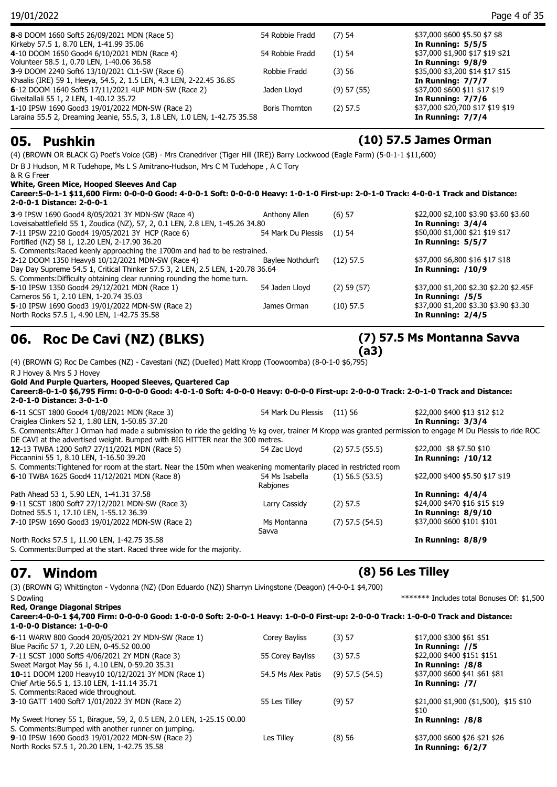| 19/01/2022                                                                |                       |                 | Page 4 of 35                     |
|---------------------------------------------------------------------------|-----------------------|-----------------|----------------------------------|
| 8-8 DOOM 1660 Soft5 26/09/2021 MDN (Race 5)                               | 54 Robbie Fradd       | $(7)$ 54        | \$37,000 \$600 \$5.50 \$7 \$8    |
| Kirkeby 57.5 1, 8.70 LEN, 1-41.99 35.06                                   |                       |                 | In Running: $5/5/5$              |
| 4-10 DOOM 1650 Good4 6/10/2021 MDN (Race 4)                               | 54 Robbie Fradd       | (1)54           | \$37,000 \$1,900 \$17 \$19 \$21  |
| Volunteer 58.5 1, 0.70 LEN, 1-40.06 36.58                                 |                       |                 | In Running: 9/8/9                |
| 3-9 DOOM 2240 Soft6 13/10/2021 CL1-SW (Race 6)                            | Robbie Fradd          | (3)56           | \$35,000 \$3,200 \$14 \$17 \$15  |
| Khaalis (IRE) 59 1, Heeya, 54.5, 2, 1.5 LEN, 4.3 LEN, 2-22.45 36.85       |                       |                 | In Running: 7/7/7                |
| 6-12 DOOM 1640 Soft5 17/11/2021 4UP MDN-SW (Race 2)                       | Jaden Llovd           | $(9)$ 57 $(55)$ | \$37,000 \$600 \$11 \$17 \$19    |
| Giveitallali 55 1, 2 LEN, 1-40.12 35.72                                   |                       |                 | In Running: $7/7/6$              |
| 1-10 IPSW 1690 Good3 19/01/2022 MDN-SW (Race 2)                           | <b>Boris Thornton</b> | $(2)$ 57.5      | \$37,000 \$20,700 \$17 \$19 \$19 |
| Laraina 55.5 2, Dreaming Jeanie, 55.5, 3, 1.8 LEN, 1.0 LEN, 1-42.75 35.58 |                       |                 | In Running: $7/7/4$              |

### **05. Pushkin (10) 57.5 James Orman**

(4) (BROWN OR BLACK G) Poet's Voice (GB) - Mrs Cranedriver (Tiger Hill (IRE)) Barry Lockwood (Eagle Farm) (5-0-1-1 \$11,600) Dr B J Hudson, M R Tudehope, Ms L S Amitrano-Hudson, Mrs C M Tudehope , A C Tory & R G Freer **White, Green Mice, Hooped Sleeves And Cap Career:5-0-1-1 \$11,600 Firm: 0-0-0-0 Good: 4-0-0-1 Soft: 0-0-0-0 Heavy: 1-0-1-0 First-up: 2-0-1-0 Track: 4-0-0-1 Track and Distance: 2-0-0-1 Distance: 2-0-0-1 3**-9 IPSW 1690 Good4 8/05/2021 3Y MDN-SW (Race 4) <br>
Loveisabattlefield 55 1, Zoudica (NZ), 57, 2, 0.1 LEN, 2.8 LEN, 1-45.26 34.80 <br> **In Running: 3/4/4 In Running: 3/4/4** Loveisabattlefield 55 1, Zoudica (NZ), 57, 2, 0.1 LEN, 2.8 LEN, 1-45.26 34.80 **7**-11 IPSW 2210 Good4 19/05/2021 3Y HCP (Race 6) 54 Mark Du Plessis (1) 54 \$50,000 \$1,000 \$21 \$19 \$17 Fortified (NZ) 58 1, 12.20 LEN, 2-17.90 36.20 **In Running: 5/5/7** S. Comments:Raced keenly approaching the 1700m and had to be restrained. **2**-12 DOOM 1350 Heavy8 10/12/2021 MDN-SW (Race 4) Baylee Nothdurft (12) 57.5 \$37,000 \$6,800 \$16 \$17 \$18 Day Day Supreme 54.5 1, Critical Thinker 57.5 3, 2 LEN, 2.5 LEN, 1-20.78 36.64 **In Running: /10/9** S. Comments:Difficulty obtaining clear running rounding the home turn. **5**-10 IPSW 1350 Good4 29/12/2021 MDN (Race 1) 54 Jaden Lloyd (2) 59 (57) \$37,000 \$1,200 \$2.30 \$2.20 \$2.45F Carneros 56 1, 2.10 LEN, 1-20.74 35.03 **In Running: /5/5**

**06. Roc De Cavi (NZ) (BLKS)**

(4) (BROWN G) Roc De Cambes (NZ) - Cavestani (NZ) (Duelled) Matt Kropp (Toowoomba) (8-0-1-0 \$6,795)

R J Hovey & Mrs S J Hovey **Gold And Purple Quarters, Hooped Sleeves, Quartered Cap Career:8-0-1-0 \$6,795 Firm: 0-0-0-0 Good: 4-0-1-0 Soft: 4-0-0-0 Heavy: 0-0-0-0 First-up: 2-0-0-0 Track: 2-0-1-0 Track and Distance: 2-0-1-0 Distance: 3-0-1-0 6**-11 SCST 1800 Good4 1/08/2021 MDN (Race 3) 54 Mark Du Plessis (11) 56 \$22,000 \$400 \$13 \$12 \$12 Craiglea Clinkers 52 1, 1.80 LEN, 1-50.85 37.20 **In Running: 3/3/4** S. Comments:After J Orman had made a submission to ride the gelding ½ kg over, trainer M Kropp was granted permission to engage M Du Plessis to ride ROC DE CAVI at the advertised weight. Bumped with BIG HITTER near the 300 metres. **12**-13 TWBA 1200 Soft7 27/11/2021 MDN (Race 5) 54 Zac Lloyd (2) 57.5 (55.5) \$22,000 \$8 \$7.50 \$10 Piccannini 55 1, 8.10 LEN, 1-16.50 39.20 **In Running: /10/12** S. Comments:Tightened for room at the start. Near the 150m when weakening momentarily placed in restricted room **6**-10 TWBA 1625 Good4 11/12/2021 MDN (Race 8) 54 Ms Isabella (1) 56.5 (53.5) Rabjones (1) 56.5 (53.5) \$22,000 \$400 \$5.50 \$17 \$19 Path Ahead 53 1, 5.90 LEN, 1-41.31 37.58 **In Running: 4/4/4 9**-11 SCST 1800 Soft7 27/12/2021 MDN-SW (Race 3) Larry Cassidy (2) 57.5 \$24,000 \$470 \$16 \$15 \$19 Dotned 55.5 1, 17.10 LEN, 1-55.12 36.39 **In Running: 8/9/10 7**-10 IPSW 1690 Good3 19/01/2022 MDN-SW (Race 2) Ms Montanna (7) 57.5 (54.5) Savva (7) 57.5 (54.5) \$37,000 \$600 \$101 \$101 North Rocks 57.5 1, 11.90 LEN, 1-42.75 35.58 **In Running: 8/8/9** S. Comments:Bumped at the start. Raced three wide for the majority.

**5**-10 IPSW 1690 Good3 19/01/2022 MDN-SW (Race 2) James Orman (10) 57.5 \$37,000 \$1,200 \$3.30 \$3.90 \$3.30

North Rocks 57.5 1, 4.90 LEN, 1-42.75 35.58 **In Running: 2/4/5**

### **07. Windom (8) 56 Les Tilley**

### (3) (BROWN G) Whittington - Vydonna (NZ) (Don Eduardo (NZ)) Sharryn Livingstone (Deagon) (4-0-0-1 \$4,700) S Dowling **EXECUTE:**  $******$  Includes total Bonuses Of: \$1,500

| Red, Orange Diagonal Stripes<br>Career:4-0-0-1 \$4,700 Firm: 0-0-0-0 Good: 1-0-0-0 Soft: 2-0-0-1 Heavy: 1-0-0-0 First-up: 2-0-0-0 Track: 1-0-0-0 Track and Distance:<br>1-0-0-0 Distance: 1-0-0-0 |                    |                     |                                                |
|---------------------------------------------------------------------------------------------------------------------------------------------------------------------------------------------------|--------------------|---------------------|------------------------------------------------|
| 6-11 WARW 800 Good4 20/05/2021 2Y MDN-SW (Race 1)                                                                                                                                                 | Corey Bayliss      | (3) 57              | \$17,000 \$300 \$61 \$51                       |
| Blue Pacific 57 1, 7.20 LEN, 0-45.52 00.00                                                                                                                                                        |                    |                     | In Running: //5                                |
| 7-11 SCST 1000 Soft5 4/06/2021 2Y MDN (Race 3)                                                                                                                                                    | 55 Corey Bayliss   | $(3)$ 57.5          | \$22,000 \$400 \$151 \$151                     |
| Sweet Margot May 56 1, 4.10 LEN, 0-59.20 35.31                                                                                                                                                    |                    |                     | In Running: /8/8                               |
| <b>10-</b> 11 DOOM 1200 Heavy10 10/12/2021 3Y MDN (Race 1)                                                                                                                                        | 54.5 Ms Alex Patis | $(9)$ 57.5 $(54.5)$ | \$37,000 \$600 \$41 \$61 \$81                  |
| Chief Artie 56.5 1, 13.10 LEN, 1-11.14 35.71                                                                                                                                                      |                    |                     | In Running: /7/                                |
| S. Comments:Raced wide throughout.                                                                                                                                                                |                    |                     |                                                |
| <b>3-10 GATT 1400 Soft7 1/01/2022 3Y MDN (Race 2)</b>                                                                                                                                             | 55 Les Tilley      | (9) 57              | $$21,000$ \$1,900 (\$1,500), \$15 \$10<br>\$10 |
| My Sweet Honey 55 1, Birague, 59, 2, 0.5 LEN, 2.0 LEN, 1-25.15 00.00                                                                                                                              |                    |                     | In Running: /8/8                               |
| S. Comments: Bumped with another runner on jumping.                                                                                                                                               |                    |                     |                                                |
| 9-10 IPSW 1690 Good3 19/01/2022 MDN-SW (Race 2)                                                                                                                                                   | Les Tilley         | (8)56               | \$37,000 \$600 \$26 \$21 \$26                  |
| North Rocks 57.5 1, 20.20 LEN, 1-42.75 35.58                                                                                                                                                      |                    |                     | In Running: $6/2/7$                            |

### **(7) 57.5 Ms Montanna Savva (a3)**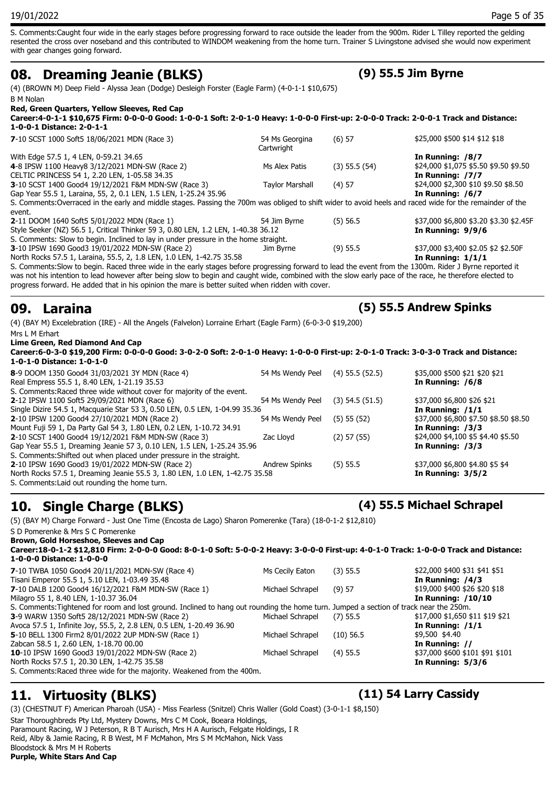S. Comments:Caught four wide in the early stages before progressing forward to race outside the leader from the 900m. Rider L Tilley reported the gelding resented the cross over noseband and this contributed to WINDOM weakening from the home turn. Trainer S Livingstone advised she would now experiment with gear changes going forward.

### **08. Dreaming Jeanie (BLKS) (9) 55.5 Jim Byrne**

(4) (BROWN M) Deep Field - Alyssa Jean (Dodge) Desleigh Forster (Eagle Farm) (4-0-1-1 \$10,675) B M Nolan

### **Red, Green Quarters, Yellow Sleeves, Red Cap**

**Career:4-0-1-1 \$10,675 Firm: 0-0-0-0 Good: 1-0-0-1 Soft: 2-0-1-0 Heavy: 1-0-0-0 First-up: 2-0-0-0 Track: 2-0-0-1 Track and Distance: 1-0-0-1 Distance: 2-0-1-1 7**-10 SCST 1000 Soft5 18/06/2021 MDN (Race 3) 54 Ms Georgina (6) 57  $$25,000$   $$500$   $$14$   $$12$   $$18$ 

| $\sim$ 10 303 F 1000 3010 10/00/2021 F 1011 (Truck 3)                                                                                                     | $3113$ CCOI 91110      | 10131             | \$LJ,000 \$J00 \$1 ! \$1L \$10         |
|-----------------------------------------------------------------------------------------------------------------------------------------------------------|------------------------|-------------------|----------------------------------------|
|                                                                                                                                                           | Cartwright             |                   |                                        |
| With Edge 57.5 1, 4 LEN, 0-59.21 34.65                                                                                                                    |                        |                   | In Running: /8/7                       |
| 4-8 IPSW 1100 Heavy8 3/12/2021 MDN-SW (Race 2)                                                                                                            | Ms Alex Patis          | $(3)$ 55.5 $(54)$ | \$24,000 \$1,075 \$5.50 \$9.50 \$9.50  |
| CELTIC PRINCESS 54 1, 2.20 LEN, 1-05.58 34.35                                                                                                             |                        |                   | In Running: /7/7                       |
| 3-10 SCST 1400 Good4 19/12/2021 F&M MDN-SW (Race 3)                                                                                                       | <b>Taylor Marshall</b> | $(4)$ 57          | \$24,000 \$2,300 \$10 \$9.50 \$8.50    |
| Gap Year 55.5 1, Laraina, 55, 2, 0.1 LEN, 1.5 LEN, 1-25.24 35.96                                                                                          |                        |                   | In Running: $/6/7$                     |
| S. Comments: Overraced in the early and middle stages. Passing the 700m was obliged to shift wider to avoid heels and raced wide for the remainder of the |                        |                   |                                        |
| event.                                                                                                                                                    |                        |                   |                                        |
| 2-11 DOOM 1640 Soft5 5/01/2022 MDN (Race 1)                                                                                                               | 54 Jim Byrne           | $(5)$ 56.5        | \$37,000 \$6,800 \$3.20 \$3.30 \$2.45F |
| Style Seeker (NZ) 56.5 1, Critical Thinker 59 3, 0.80 LEN, 1.2 LEN, 1-40.38 36.12                                                                         |                        |                   | In Running: $9/9/6$                    |
| S. Comments: Slow to begin. Inclined to lay in under pressure in the home straight.                                                                       |                        |                   |                                        |
| 3-10 IPSW 1690 Good3 19/01/2022 MDN-SW (Race 2)                                                                                                           | Jim Byrne              | $(9)$ 55.5        | \$37,000 \$3,400 \$2.05 \$2 \$2.50F    |
| North Rocks 57.5 1, Laraina, 55.5, 2, 1.8 LEN, 1.0 LEN, 1-42.75 35.58                                                                                     |                        |                   | In Running: $1/1/1$                    |
| S. Comments: Clous to begin, Baced three wide in the early stages before pregnecing fenuard to lead the event from the 1200m. Bider 1 Burne reported it   |                        |                   |                                        |

S. Comments:Slow to begin. Raced three wide in the early stages before progressing forward to lead the event from the 1300m. Rider J Byrne reported it was not his intention to lead however after being slow to begin and caught wide, combined with the slow early pace of the race, he therefore elected to progress forward. He added that in his opinion the mare is better suited when ridden with cover.

### **09. Laraina (5) 55.5 Andrew Spinks**

(4) (BAY M) Excelebration (IRE) - All the Angels (Falvelon) Lorraine Erhart (Eagle Farm) (6-0-3-0 \$19,200) Mrs L M Erhart

**Lime Green, Red Diamond And Cap**

**Career:6-0-3-0 \$19,200 Firm: 0-0-0-0 Good: 3-0-2-0 Soft: 2-0-1-0 Heavy: 1-0-0-0 First-up: 2-0-1-0 Track: 3-0-3-0 Track and Distance: 1-0-1-0 Distance: 1-0-1-0**

| 8-9 DOOM 1350 Good4 31/03/2021 3Y MDN (Race 4)                               | 54 Ms Wendy Peel     | $(4)$ 55.5 $(52.5)$ | \$35,000 \$500 \$21 \$20 \$21         |
|------------------------------------------------------------------------------|----------------------|---------------------|---------------------------------------|
| Real Empress 55.5 1, 8.40 LEN, 1-21.19 35.53                                 |                      |                     | In Running: /6/8                      |
| S. Comments: Raced three wide without cover for majority of the event.       |                      |                     |                                       |
| <b>2-12 IPSW 1100 Soft5 29/09/2021 MDN (Race 6)</b>                          | 54 Ms Wendy Peel     | $(3)$ 54.5 $(51.5)$ | \$37,000 \$6,800 \$26 \$21            |
| Single Dizire 54.5 1, Macquarie Star 53 3, 0.50 LEN, 0.5 LEN, 1-04.99 35.36  |                      |                     | In Running: $/1/1$                    |
| 2-10 IPSW 1200 Good4 27/10/2021 MDN (Race 2)                                 | 54 Ms Wendy Peel     | $(5)$ 55 $(52)$     | \$37,000 \$6,800 \$7.50 \$8.50 \$8.50 |
| Mount Fuji 59 1, Da Party Gal 54 3, 1.80 LEN, 0.2 LEN, 1-10.72 34.91         |                      |                     | In Running: $/3/3$                    |
| 2-10 SCST 1400 Good4 19/12/2021 F&M MDN-SW (Race 3)                          | Zac Lloyd            | $(2)$ 57 $(55)$     | \$24,000 \$4,100 \$5 \$4.40 \$5.50    |
| Gap Year 55.5 1, Dreaming Jeanie 57 3, 0.10 LEN, 1.5 LEN, 1-25.24 35.96      |                      |                     | In Running: $/3/3$                    |
| S. Comments: Shifted out when placed under pressure in the straight.         |                      |                     |                                       |
| 2-10 IPSW 1690 Good3 19/01/2022 MDN-SW (Race 2)                              | <b>Andrew Spinks</b> | $(5)$ 55.5          | \$37,000 \$6,800 \$4.80 \$5 \$4       |
| North Rocks 57.5 1, Dreaming Jeanie 55.5 3, 1.80 LEN, 1.0 LEN, 1-42.75 35.58 |                      |                     | In Running: $3/5/2$                   |
| S. Comments: Laid out rounding the home turn.                                |                      |                     |                                       |

### **10. Single Charge (BLKS) (4) 55.5 Michael Schrapel**

(5) (BAY M) Charge Forward - Just One Time (Encosta de Lago) Sharon Pomerenke (Tara) (18-0-1-2 \$12,810)

S D Pomerenke & Mrs S C Pomerenke

**Brown, Gold Horseshoe, Sleeves and Cap**

**Career:18-0-1-2 \$12,810 Firm: 2-0-0-0 Good: 8-0-1-0 Soft: 5-0-0-2 Heavy: 3-0-0-0 First-up: 4-0-1-0 Track: 1-0-0-0 Track and Distance: 1-0-0-0 Distance: 1-0-0-0 7**-10 TWBA 1050 Good4 20/11/2021 MDN-SW (Race 4) Ms Cecily Eaton (3) 55.5 \$22,000 \$400 \$31 \$41 \$51 Tisani Emperor 55.5 1, 5.10 LEN, 1-03.49 35.48 **In Running: /4/3 7**-10 DALB 1200 Good4 16/12/2021 F&M MDN-SW (Race 1) Michael Schrapel (9) 57 \$19,000 \$400 \$26 \$20 \$18 Milagro 55 1, 8.40 LEN, 1-10.37 36.04 **In Running: /10/10** S. Comments:Tightened for room and lost ground. Inclined to hang out rounding the home turn. Jumped a section of track near the 250m. **3**-9 WARW 1350 Soft5 28/12/2021 MDN-SW (Race 2) Michael Schrapel (7) 55.5 \$17,000 \$1,650 \$11 \$19 \$21 Avoca 57.5 1, Infinite Joy, 55.5, 2, 2.8 LEN, 0.5 LEN, 1-20.49 36.90 **In Running: /1/1 5**-10 BELL 1300 Firm2 8/01/2022 2UP MDN-SW (Race 1) Michael Schrapel (10) 56.5 \$9,500 \$4.40 Zabcan 58.5 1, 2.60 LEN, 1-18.70 00.00 **In Running: //**

**10**-10 IPSW 1690 Good3 19/01/2022 MDN-SW (Race 2) Michael Schrapel (4) 55.5 \$37,000 \$600 \$101 \$91 \$101 North Rocks 57.5 1, 20.30 LEN, 1-42.75 35.58 **In Running: 5/3/6**

S. Comments:Raced three wide for the majority. Weakened from the 400m.

## **11. Virtuosity (BLKS) (11) 54 Larry Cassidy**

(3) (CHESTNUT F) American Pharoah (USA) - Miss Fearless (Snitzel) Chris Waller (Gold Coast) (3-0-1-1 \$8,150) Star Thoroughbreds Pty Ltd, Mystery Downs, Mrs C M Cook, Boeara Holdings, Paramount Racing, W J Peterson, R B T Aurisch, Mrs H A Aurisch, Felgate Holdings, I R Reid, Alby & Jamie Racing, R B West, M F McMahon, Mrs S M McMahon, Nick Vass Bloodstock & Mrs M H Roberts **Purple, White Stars And Cap**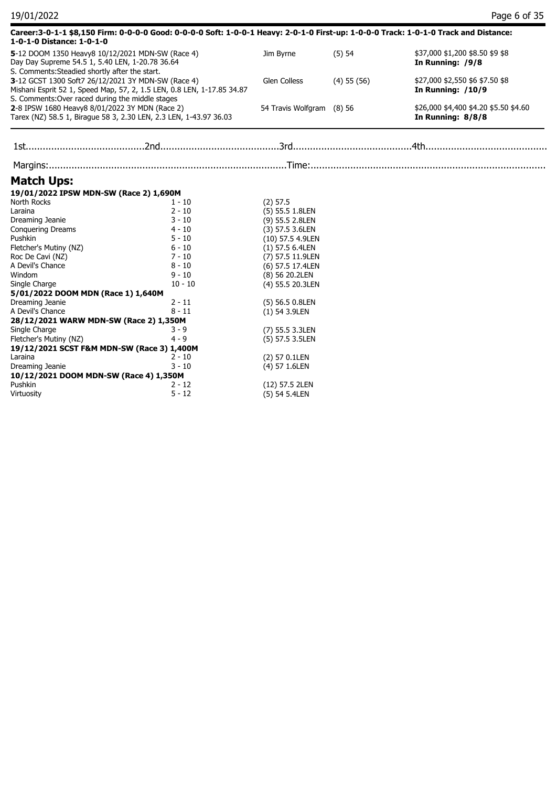| 19/01/2022                                                                                                                                            |                                                                                                                                      |                           |                 | Page 6 of 35                                               |
|-------------------------------------------------------------------------------------------------------------------------------------------------------|--------------------------------------------------------------------------------------------------------------------------------------|---------------------------|-----------------|------------------------------------------------------------|
| 1-0-1-0 Distance: 1-0-1-0                                                                                                                             | Career:3-0-1-1 \$8,150 Firm: 0-0-0-0 Good: 0-0-0-0 Soft: 1-0-0-1 Heavy: 2-0-1-0 First-up: 1-0-0-0 Track: 1-0-1-0 Track and Distance: |                           |                 |                                                            |
| 5-12 DOOM 1350 Heavy8 10/12/2021 MDN-SW (Race 4)<br>Day Day Supreme 54.5 1, 5.40 LEN, 1-20.78 36.64<br>S. Comments: Steadied shortly after the start. |                                                                                                                                      | Jim Byrne                 | (5) 54          | \$37,000 \$1,200 \$8.50 \$9 \$8<br>In Running: /9/8        |
| 3-12 GCST 1300 Soft7 26/12/2021 3Y MDN-SW (Race 4)<br>S. Comments: Over raced during the middle stages                                                | Mishani Esprit 52 1, Speed Map, 57, 2, 1.5 LEN, 0.8 LEN, 1-17.85 34.87                                                               | Glen Colless              | $(4)$ 55 $(56)$ | \$27,000 \$2,550 \$6 \$7.50 \$8<br>In Running: /10/9       |
| 2-8 IPSW 1680 Heavy8 8/01/2022 3Y MDN (Race 2)                                                                                                        | Tarex (NZ) 58.5 1, Birague 58 3, 2.30 LEN, 2.3 LEN, 1-43.97 36.03                                                                    | 54 Travis Wolfgram (8) 56 |                 | \$26,000 \$4,400 \$4.20 \$5.50 \$4.60<br>In Running: 8/8/8 |
|                                                                                                                                                       |                                                                                                                                      |                           |                 |                                                            |
|                                                                                                                                                       |                                                                                                                                      |                           |                 |                                                            |
| <b>Match Ups:</b>                                                                                                                                     |                                                                                                                                      |                           |                 |                                                            |
| 19/01/2022 IPSW MDN-SW (Race 2) 1,690M                                                                                                                |                                                                                                                                      |                           |                 |                                                            |
| North Rocks                                                                                                                                           | 1 - 10                                                                                                                               | $(2)$ 57.5                |                 |                                                            |
| Laraina                                                                                                                                               | $2 - 10$                                                                                                                             | (5) 55.5 1.8LEN           |                 |                                                            |
| Dreaming Jeanie                                                                                                                                       | $3 - 10$                                                                                                                             | (9) 55.5 2.8LEN           |                 |                                                            |
| <b>Conquering Dreams</b>                                                                                                                              | $4 - 10$                                                                                                                             | (3) 57.5 3.6LEN           |                 |                                                            |
| Pushkin                                                                                                                                               | $5 - 10$                                                                                                                             | (10) 57.5 4.9LEN          |                 |                                                            |
| Fletcher's Mutiny (NZ)                                                                                                                                | $6 - 10$                                                                                                                             | $(1)$ 57.5 6.4LEN         |                 |                                                            |
| Roc De Cavi (NZ)                                                                                                                                      | $7 - 10$                                                                                                                             | (7) 57.5 11.9LEN          |                 |                                                            |
| A Devil's Chance                                                                                                                                      | $8 - 10$                                                                                                                             | (6) 57.5 17.4LEN          |                 |                                                            |
| Windom                                                                                                                                                | $9 - 10$                                                                                                                             | (8) 56 20.2LEN            |                 |                                                            |
| Single Charge                                                                                                                                         | $10 - 10$                                                                                                                            | (4) 55.5 20.3LEN          |                 |                                                            |
| 5/01/2022 DOOM MDN (Race 1) 1,640M                                                                                                                    |                                                                                                                                      |                           |                 |                                                            |
| Dreaming Jeanie                                                                                                                                       | $2 - 11$                                                                                                                             | (5) 56.5 0.8LEN           |                 |                                                            |
| A Devil's Chance                                                                                                                                      | $8 - 11$                                                                                                                             | $(1)$ 54 3.9LEN           |                 |                                                            |
| 28/12/2021 WARW MDN-SW (Race 2) 1,350M                                                                                                                |                                                                                                                                      |                           |                 |                                                            |
| Single Charge                                                                                                                                         | $3 - 9$                                                                                                                              | (7) 55.5 3.3LEN           |                 |                                                            |
| Fletcher's Mutiny (NZ)                                                                                                                                | 4 - 9                                                                                                                                | (5) 57.5 3.5LEN           |                 |                                                            |
| 19/12/2021 SCST F&M MDN-SW (Race 3) 1,400M                                                                                                            |                                                                                                                                      |                           |                 |                                                            |
| Laraina                                                                                                                                               | $2 - 10$                                                                                                                             | (2) 57 0.1LEN             |                 |                                                            |
| Dreaming Jeanie                                                                                                                                       | $3 - 10$                                                                                                                             | (4) 57 1.6LEN             |                 |                                                            |
| 10/12/2021 DOOM MDN-SW (Race 4) 1,350M                                                                                                                |                                                                                                                                      |                           |                 |                                                            |
| Pushkin                                                                                                                                               | 2 - 12                                                                                                                               | (12) 57.5 2LEN            |                 |                                                            |
| Virtuosity                                                                                                                                            | $5 - 12$                                                                                                                             | (5) 54 5.4LEN             |                 |                                                            |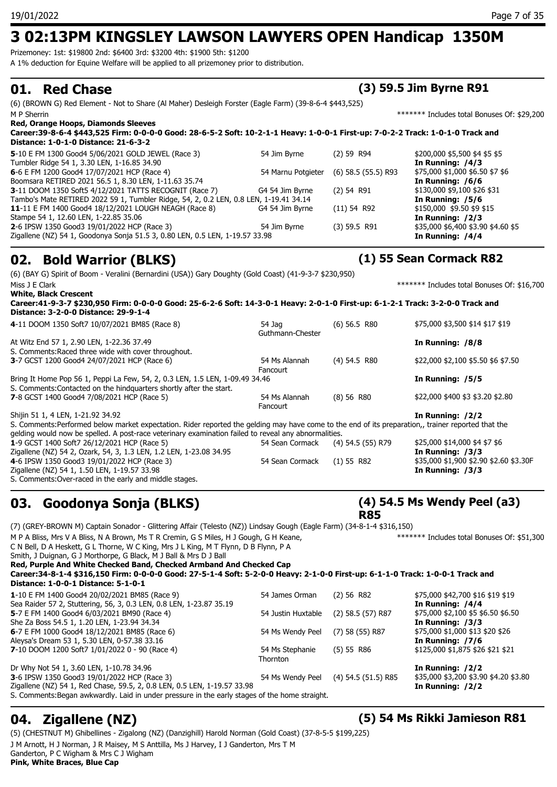Prizemoney: 1st: \$19800 2nd: \$6400 3rd: \$3200 4th: \$1900 5th: \$1200

A 1% deduction for Equine Welfare will be applied to all prizemoney prior to distribution.

(6) (BROWN G) Red Element - Not to Share (Al Maher) Desleigh Forster (Eagle Farm) (39-8-6-4 \$443,525) M P Sherrin \*\*\*\*\*\*\* Includes total Bonuses Of: \$29,200

| <b>Red, Orange Hoops, Diamonds Sleeves</b>                                                                                      |                    |                         |                                    |
|---------------------------------------------------------------------------------------------------------------------------------|--------------------|-------------------------|------------------------------------|
| Career:39-8-6-4 \$443,525 Firm: 0-0-0-0 Good: 28-6-5-2 Soft: 10-2-1-1 Heavy: 1-0-0-1 First-up: 7-0-2-2 Track: 1-0-1-0 Track and |                    |                         |                                    |
| Distance: 1-0-1-0 Distance: 21-6-3-2                                                                                            |                    |                         |                                    |
| 5-10 E FM 1300 Good4 5/06/2021 GOLD JEWEL (Race 3)                                                                              | 54 Jim Byrne       | $(2)$ 59 R94            | \$200,000 \$5,500 \$4 \$5 \$5      |
| Tumbler Ridge 54 1, 3.30 LEN, 1-16.85 34.90                                                                                     |                    |                         | In Running: /4/3                   |
| 6-6 E FM 1200 Good4 17/07/2021 HCP (Race 4)                                                                                     | 54 Marnu Potgieter | $(6)$ 58.5 $(55.5)$ R93 | \$75,000 \$1,000 \$6.50 \$7 \$6    |
| Boomsara RETIRED 2021 56.5 1, 8.30 LEN, 1-11.63 35.74                                                                           |                    |                         | In Running: $/6/6$                 |
| <b>3-11 DOOM 1350 Soft5 4/12/2021 TATTS RECOGNIT (Race 7)</b>                                                                   | G4 54 Jim Byrne    | $(2)$ 54 R91            | \$130,000 \$9,100 \$26 \$31        |
| Tambo's Mate RETIRED 2022 59 1, Tumbler Ridge, 54, 2, 0.2 LEN, 0.8 LEN, 1-19.41 34.14                                           |                    |                         | In Running: /5/6                   |
| 11-11 E FM 1400 Good4 18/12/2021 LOUGH NEAGH (Race 8)                                                                           | G4 54 Jim Byrne    | $(11)$ 54 R92           | \$150,000 \$9.50 \$9 \$15          |
| Stampe 54 1, 12.60 LEN, 1-22.85 35.06                                                                                           |                    |                         | In Running: /2/3                   |
| <b>2-6 IPSW 1350 Good3 19/01/2022 HCP (Race 3)</b>                                                                              | 54 Jim Byrne       | $(3)$ 59.5 R91          | \$35,000 \$6,400 \$3.90 \$4.60 \$5 |
| Zigallene (NZ) 54 1, Goodonya Sonja 51.5 3, 0.80 LEN, 0.5 LEN, 1-19.57 33.98                                                    |                    |                         | In Running: $/4/4$                 |

### **02. Bold Warrior (BLKS) (1) 55 Sean Cormack R82**

(6) (BAY G) Spirit of Boom - Veralini (Bernardini (USA)) Gary Doughty (Gold Coast) (41-9-3-7 \$230,950) Miss J E Clark \*\*\*\*\*\* Includes total Bonuses Of: \$16,700 **White, Black Crescent Career:41-9-3-7 \$230,950 Firm: 0-0-0-0 Good: 25-6-2-6 Soft: 14-3-0-1 Heavy: 2-0-1-0 First-up: 6-1-2-1 Track: 3-2-0-0 Track and Distance: 3-2-0-0 Distance: 29-9-1-4**

| 4-11 DOOM 1350 Soft7 10/07/2021 BM85 (Race 8)                                                                                                      | 54 Jaq<br>Guthmann-Chester | $(6)$ 56.5 R80      | \$75,000 \$3,500 \$14 \$17 \$19        |
|----------------------------------------------------------------------------------------------------------------------------------------------------|----------------------------|---------------------|----------------------------------------|
| At Witz End 57 1, 2.90 LEN, 1-22.36 37.49                                                                                                          |                            |                     | In Running: /8/8                       |
| S. Comments: Raced three wide with cover throughout.                                                                                               |                            |                     |                                        |
| 3-7 GCST 1200 Good4 24/07/2021 HCP (Race 6)                                                                                                        | 54 Ms Alannah<br>Fancourt  | $(4)$ 54.5 R80      | \$22,000 \$2,100 \$5.50 \$6 \$7.50     |
| Bring It Home Pop 56 1, Peppi La Few, 54, 2, 0.3 LEN, 1.5 LEN, 1-09.49 34.46                                                                       |                            |                     | In Running: /5/5                       |
| S. Comments: Contacted on the hindguarters shortly after the start.                                                                                |                            |                     |                                        |
| 7-8 GCST 1400 Good4 7/08/2021 HCP (Race 5)                                                                                                         | 54 Ms Alannah              | (8) 56 R80          | \$22,000 \$400 \$3 \$3.20 \$2.80       |
|                                                                                                                                                    | Fancourt                   |                     |                                        |
| Shijin 51 1, 4 LEN, 1-21.92 34.92                                                                                                                  |                            |                     | In Running: $/2/2$                     |
| S. Comments:Performed below market expectation. Rider reported the gelding may have come to the end of its preparation,, trainer reported that the |                            |                     |                                        |
| gelding would now be spelled. A post-race veterinary examination failed to reveal any abnormalities.                                               |                            |                     |                                        |
| 1-9 GCST 1400 Soft7 26/12/2021 HCP (Race 5)                                                                                                        | 54 Sean Cormack            | $(4)$ 54.5 (55) R79 | \$25,000 \$14,000 \$4 \$7 \$6          |
| Zigallene (NZ) 54 2, Ozark, 54, 3, 1.3 LEN, 1.2 LEN, 1-23.08 34.95                                                                                 |                            |                     | In Running: /3/3                       |
| 4-6 IPSW 1350 Good3 19/01/2022 HCP (Race 3)                                                                                                        | 54 Sean Cormack            | (1) 55 R82          | \$35,000 \$1,900 \$2.90 \$2.60 \$3.30F |
| Zigallene (NZ) 54 1, 1.50 LEN, 1-19.57 33.98                                                                                                       |                            |                     | In Running: /3/3                       |

S. Comments:Over-raced in the early and middle stages.

## **03. Goodonya Sonja (BLKS)**

**(4) 54.5 Ms Wendy Peel (a3) R85**

(7) (GREY-BROWN M) Captain Sonador - Glittering Affair (Telesto (NZ)) Lindsay Gough (Eagle Farm) (34-8-1-4 \$316,150) M P A Bliss, Mrs V A Bliss, N A Brown, Ms T R Cremin, G S Miles, H J Gough, G H Keane, C N Bell, D A Heskett, G L Thorne, W C King, Mrs J L King, M T Flynn, D B Flynn, P A Smith, J Duignan, G J Morthorpe, G Black, M J Ball & Mrs D J Ball \*\*\*\*\*\*\* Includes total Bonuses Of: \$51,300 **Red, Purple And White Checked Band, Checked Armband And Checked Cap Career:34-8-1-4 \$316,150 Firm: 0-0-0-0 Good: 27-5-1-4 Soft: 5-2-0-0 Heavy: 2-1-0-0 First-up: 6-1-1-0 Track: 1-0-0-1 Track and Distance: 1-0-0-1 Distance: 5-1-0-1 1**-10 E FM 1400 Good4 20/02/2021 BM85 (Race 9) 54 James Orman (2) 56 R82 \$75,000 \$42,700 \$16 \$19 \$19<br>Sea Raider 57 2, Stuttering, 56, 3, 0.3 LEN, 0.8 LEN, 1-23.87 35.19 **54 James Orman** (2) 56 R82 **In Running: /4/4** Sea Raider 57 2, Stuttering, 56, 3, 0.3 LEN, 0.8 LEN, 1-23.87 35.19 **5**-7 E FM 1400 Good4 6/03/2021 BM90 (Race 4) 554 Justin Huxtable (2) 58.5 (57) R87 \$75,000 \$2,100 \$5 \$6.50 \$6.50<br>She Za Boss 54.5 1, 1.20 LEN, 1-23.94 34.34 She Za Boss 54.5 1, 1.20 LEN, 1-23.94 34.34 **6**-7 E FM 1000 Good4 18/12/2021 BM85 (Race 6) 54 Ms Wendy Peel (7) 58 (55) R87 \$75,000 \$1,000 \$13 \$20 \$26<br>Aleysa's Dream 53 1, 5.30 LEN, 0-57.38 33.16 Aleysa's Dream 53 1, 5.30 LEN, 0-57.38 33.16<br>**7**-10 DOOM 1200 Soft7 1/01/2022 0 - 90 (Race 4) 54 Ms Stephanie **7**-10 DOOM 1200 Soft7 1/01/2022 0 - 90 (Race 4) 54 Ms Stephanie (5) 55 R86 **Thornton** (5) 55 R86 \$125,000 \$1,875 \$26 \$21 \$21 Dr Why Not 54 1, 3.60 LEN, 1-10.78 34.96 **In Running: /2/2 3**-6 IPSW 1350 Good3 19/01/2022 HCP (Race 3) 54 Ms Wendy Peel (4) 54.5 (51.5) R85 \$35,000 \$3,200 \$3.90 \$4.20 \$3.80 Zigallene (NZ) 54 1, Red Chase, 59.5, 2, 0.8 LEN, 0.5 LEN, 1-19.57 33.98 **In Running: /2/2** S. Comments:Began awkwardly. Laid in under pressure in the early stages of the home straight.

(5) (CHESTNUT M) Ghibellines - Zigalong (NZ) (Danzighill) Harold Norman (Gold Coast) (37-8-5-5 \$199,225) J M Arnott, H J Norman, J R Maisey, M S Anttilla, Ms J Harvey, I J Ganderton, Mrs T M Ganderton, P C Wigham & Mrs C J Wigham **Pink, White Braces, Blue Cap**

### **04. Zigallene (NZ) (5) 54 Ms Rikki Jamieson R81**

### **01. Red Chase (3) 59.5 Jim Byrne R91**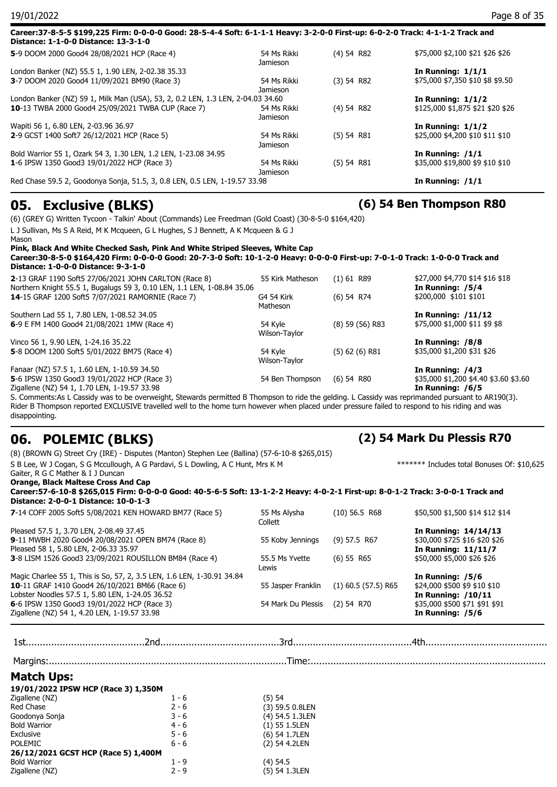| Jamieson                                                                        |              |                                  |
|---------------------------------------------------------------------------------|--------------|----------------------------------|
|                                                                                 |              |                                  |
| 54 Ms Rikki                                                                     | $(5)$ 54 R81 | \$35,000 \$19,800 \$9 \$10 \$10  |
|                                                                                 |              | In Running: $/1/1$               |
| <b>Jamieson</b>                                                                 |              |                                  |
| 54 Ms Rikki                                                                     | $(5)$ 54 R81 | \$25,000 \$4,200 \$10 \$11 \$10  |
|                                                                                 |              | In Running: $1/1/2$              |
| Jamieson                                                                        |              |                                  |
| 54 Ms Rikki                                                                     | $(4)$ 54 R82 | \$125,000 \$1,875 \$21 \$20 \$26 |
| London Banker (NZ) 59 1, Milk Man (USA), 53, 2, 0.2 LEN, 1.3 LEN, 2-04.03 34.60 |              | In Running: $1/1/2$              |
| <b>Jamieson</b>                                                                 |              |                                  |
| 54 Ms Rikki                                                                     | $(3)$ 54 R82 | \$75,000 \$7,350 \$10 \$8 \$9.50 |
|                                                                                 |              | In Running: $1/1/1$              |
| Jamieson                                                                        |              |                                  |
|                                                                                 |              | \$75,000 \$2,100 \$21 \$26 \$26  |
|                                                                                 | 54 Ms Rikki  | $(4)$ 54 R82                     |

### **05. Exclusive (BLKS) (6) 54 Ben Thompson R80**

(6) (GREY G) Written Tycoon - Talkin' About (Commands) Lee Freedman (Gold Coast) (30-8-5-0 \$164,420)

L J Sullivan, Ms S A Reid, M K Mcqueen, G L Hughes, S J Bennett, A K Mcqueen & G J Mason **Pink, Black And White Checked Sash, Pink And White Striped Sleeves, White Cap**

**Career:30-8-5-0 \$164,420 Firm: 0-0-0-0 Good: 20-7-3-0 Soft: 10-1-2-0 Heavy: 0-0-0-0 First-up: 7-0-1-0 Track: 1-0-0-0 Track and Distance: 1-0-0-0 Distance: 9-3-1-0**

| 2-13 GRAF 1190 Soft5 27/06/2021 JOHN CARLTON (Race 8)                   | 55 Kirk Matheson | $(1)$ 61 R89        | \$27,000 \$4,770 \$14 \$16 \$18       |
|-------------------------------------------------------------------------|------------------|---------------------|---------------------------------------|
| Northern Knight 55.5 1, Bugalugs 59 3, 0.10 LEN, 1.1 LEN, 1-08.84 35.06 |                  |                     | In Running: /5/4                      |
| 14-15 GRAF 1200 Soft5 7/07/2021 RAMORNIE (Race 7)                       | G4 54 Kirk       | $(6)$ 54 R74        | \$200,000 \$101 \$101                 |
|                                                                         | Matheson         |                     |                                       |
| Southern Lad 55 1, 7.80 LEN, 1-08.52 34.05                              |                  |                     | In Running: $/11/12$                  |
| 6-9 E FM 1400 Good4 21/08/2021 1MW (Race 4)                             | 54 Kyle          | $(8)$ 59 $(56)$ R83 | \$75,000 \$1,000 \$11 \$9 \$8         |
|                                                                         | Wilson-Taylor    |                     |                                       |
| Vinco 56 1, 9.90 LEN, 1-24.16 35.22                                     |                  |                     | In Running: /8/8                      |
| 5-8 DOOM 1200 Soft5 5/01/2022 BM75 (Race 4)                             | 54 Kvle          | $(5)$ 62 (6) R81    | \$35,000 \$1,200 \$31 \$26            |
|                                                                         | Wilson-Taylor    |                     |                                       |
| Fanaar (NZ) 57.5 1, 1.60 LEN, 1-10.59 34.50                             |                  |                     | In Running: /4/3                      |
| 5-6 IPSW 1350 Good3 19/01/2022 HCP (Race 3)                             | 54 Ben Thompson  | $(6)$ 54 R80        | \$35,000 \$1,200 \$4.40 \$3.60 \$3.60 |
| Zigallene (NZ) 54 1, 1.70 LEN, 1-19.57 33.98                            |                  |                     | In Running: /6/5                      |

S. Comments:As L Cassidy was to be overweight, Stewards permitted B Thompson to ride the gelding. L Cassidy was reprimanded pursuant to AR190(3). Rider B Thompson reported EXCLUSIVE travelled well to the home turn however when placed under pressure failed to respond to his riding and was disappointing.

### **06. POLEMIC (BLKS) (2) 54 Mark Du Plessis R70**

|                                                                                                                                                                                | (8) (BROWN G) Street Cry (IRE) - Disputes (Manton) Stephen Lee (Ballina) (57-6-10-8 \$265,015) |                         |                       |                                                                                |  |  |
|--------------------------------------------------------------------------------------------------------------------------------------------------------------------------------|------------------------------------------------------------------------------------------------|-------------------------|-----------------------|--------------------------------------------------------------------------------|--|--|
| S B Lee, W J Cogan, S G Mccullough, A G Pardavi, S L Dowling, A C Hunt, Mrs K M                                                                                                |                                                                                                |                         |                       | ******* Includes total Bonuses Of: \$10,625                                    |  |  |
| Gaiter, R G C Mather & I J Duncan                                                                                                                                              |                                                                                                |                         |                       |                                                                                |  |  |
| <b>Orange, Black Maltese Cross And Cap</b><br>Career:57-6-10-8 \$265,015 Firm: 0-0-0-0 Good: 40-5-6-5 Soft: 13-1-2-2 Heavy: 4-0-2-1 First-up: 8-0-1-2 Track: 3-0-0-1 Track and |                                                                                                |                         |                       |                                                                                |  |  |
|                                                                                                                                                                                |                                                                                                |                         |                       |                                                                                |  |  |
| Distance: 2-0-0-1 Distance: 10-0-1-3                                                                                                                                           |                                                                                                |                         |                       |                                                                                |  |  |
| 7-14 COFF 2005 Soft5 5/08/2021 KEN HOWARD BM77 (Race 5)                                                                                                                        |                                                                                                | 55 Ms Alysha<br>Collett | $(10)$ 56.5 R68       | \$50,500 \$1,500 \$14 \$12 \$14                                                |  |  |
| Pleased 57.5 1, 3.70 LEN, 2-08.49 37.45                                                                                                                                        |                                                                                                |                         |                       | In Running: 14/14/13                                                           |  |  |
|                                                                                                                                                                                | 9-11 MWBH 2020 Good4 20/08/2021 OPEN BM74 (Race 8)                                             | 55 Koby Jennings        | $(9)$ 57.5 R67        | \$30,000 \$725 \$16 \$20 \$26                                                  |  |  |
| Pleased 58 1, 5.80 LEN, 2-06.33 35.97                                                                                                                                          |                                                                                                |                         |                       | <b>In Running: 11/11/7</b>                                                     |  |  |
| 3-8 LISM 1526 Good3 23/09/2021 ROUSILLON BM84 (Race 4)                                                                                                                         |                                                                                                | 55.5 Ms Yvette<br>Lewis | (6) 55 R65            | \$50,000 \$5,000 \$26 \$26<br>In Running: /5/6<br>\$24,000 \$500 \$9 \$10 \$10 |  |  |
|                                                                                                                                                                                | Magic Charlee 55 1, This is So, 57, 2, 3.5 LEN, 1.6 LEN, 1-30.91 34.84                         |                         |                       |                                                                                |  |  |
| 10-11 GRAF 1410 Good4 26/10/2021 BM66 (Race 6)                                                                                                                                 |                                                                                                | 55 Jasper Franklin      | $(1)$ 60.5 (57.5) R65 |                                                                                |  |  |
| Lobster Noodles 57.5 1, 5.80 LEN, 1-24.05 36.52                                                                                                                                |                                                                                                |                         |                       | <b>In Running: /10/11</b>                                                      |  |  |
| 6-6 IPSW 1350 Good3 19/01/2022 HCP (Race 3)                                                                                                                                    |                                                                                                | 54 Mark Du Plessis      | $(2)$ 54 R70          | \$35,000 \$500 \$71 \$91 \$91                                                  |  |  |
| Zigallene (NZ) 54 1, 4.20 LEN, 1-19.57 33.98                                                                                                                                   |                                                                                                |                         |                       | In Running: /5/6                                                               |  |  |
|                                                                                                                                                                                |                                                                                                |                         |                       |                                                                                |  |  |
|                                                                                                                                                                                |                                                                                                |                         |                       |                                                                                |  |  |
|                                                                                                                                                                                |                                                                                                |                         |                       |                                                                                |  |  |
| <b>Match Ups:</b>                                                                                                                                                              |                                                                                                |                         |                       |                                                                                |  |  |
| 19/01/2022 IPSW HCP (Race 3) 1,350M                                                                                                                                            |                                                                                                |                         |                       |                                                                                |  |  |
| Zigallene (NZ)                                                                                                                                                                 | $1 - 6$                                                                                        | (5) 54                  |                       |                                                                                |  |  |
| <b>Red Chase</b>                                                                                                                                                               | $2 - 6$                                                                                        | (3) 59.5 0.8LEN         |                       |                                                                                |  |  |
| Goodonya Sonja                                                                                                                                                                 | $3 - 6$                                                                                        | (4) 54.5 1.3LEN         |                       |                                                                                |  |  |
| <b>Bold Warrior</b>                                                                                                                                                            | $4 - 6$                                                                                        | $(1)$ 55 1.5LEN         |                       |                                                                                |  |  |
| Exclusive                                                                                                                                                                      | $5 - 6$                                                                                        | (6) 54 1.7LEN           |                       |                                                                                |  |  |
| <b>POLEMIC</b>                                                                                                                                                                 | $6 - 6$                                                                                        | (2) 54 4.2LEN           |                       |                                                                                |  |  |
| 26/12/2021 GCST HCP (Race 5) 1,400M                                                                                                                                            |                                                                                                |                         |                       |                                                                                |  |  |
| <b>Bold Warrior</b>                                                                                                                                                            | $1 - 9$                                                                                        | $(4)$ 54.5              |                       |                                                                                |  |  |
| Zigallene (NZ)                                                                                                                                                                 | $2 - 9$                                                                                        |                         | (5) 54 1.3LEN         |                                                                                |  |  |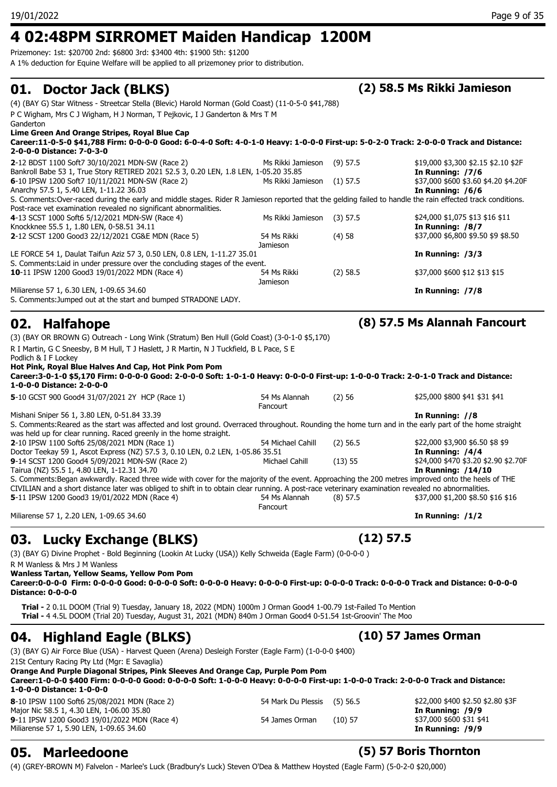## **4 02:48PM SIRROMET Maiden Handicap 1200M**

Prizemoney: 1st: \$20700 2nd: \$6800 3rd: \$3400 4th: \$1900 5th: \$1200

A 1% deduction for Equine Welfare will be applied to all prizemoney prior to distribution.

### **01. Doctor Jack (BLKS) (2) 58.5 Ms Rikki Jamieson**

(4) (BAY G) Star Witness - Streetcar Stella (Blevic) Harold Norman (Gold Coast) (11-0-5-0 \$41,788)

P C Wigham, Mrs C J Wigham, H J Norman, T Pejkovic, I J Ganderton & Mrs T M Ganderton

### **Lime Green And Orange Stripes, Royal Blue Cap**

| Career:11-0-5-0 \$41,788 Firm: 0-0-0-0 Good: 6-0-4-0 Soft: 4-0-1-0 Heavy: 1-0-0-0 First-up: 5-0-2-0 Track: 2-0-0-0 Track and Distance:<br>2-0-0-0 Distance: 7-0-3-0 |                   |            |                                      |
|---------------------------------------------------------------------------------------------------------------------------------------------------------------------|-------------------|------------|--------------------------------------|
| 2-12 BDST 1100 Soft7 30/10/2021 MDN-SW (Race 2)                                                                                                                     | Ms Rikki Jamieson | $(9)$ 57.5 | \$19,000 \$3,300 \$2.15 \$2.10 \$2F  |
| Bankroll Babe 53 1, True Story RETIRED 2021 52.5 3, 0.20 LEN, 1.8 LEN, 1-05.20 35.85                                                                                |                   |            | In Running: /7/6                     |
| 6-10 IPSW 1200 Soft7 10/11/2021 MDN-SW (Race 2)                                                                                                                     | Ms Rikki Jamieson | $(1)$ 57.5 | \$37,000 \$600 \$3.60 \$4.20 \$4.20F |
| Anarchy 57.5 1, 5.40 LEN, 1-11.22 36.03                                                                                                                             |                   |            | In Running: $/6/6$                   |
| S. Comments:Over-raced during the early and middle stages. Rider R Jamieson reported that the gelding failed to handle the rain effected track conditions.          |                   |            |                                      |

Post-race vet examination revealed no significant abnormalities.

| 4-13 SCST 1000 Soft6 5/12/2021 MDN-SW (Race 4)                               | Ms Rikki Jamieson | $(3)$ 57.5 | \$24,000 \$1,075 \$13 \$16 \$11    |
|------------------------------------------------------------------------------|-------------------|------------|------------------------------------|
| Knockknee 55.5 1, 1.80 LEN, 0-58.51 34.11                                    |                   |            | In Running: /8/7                   |
| 2-12 SCST 1200 Good3 22/12/2021 CG&E MDN (Race 5)                            | 54 Ms Rikki       | (4)58      | \$37,000 \$6,800 \$9.50 \$9 \$8.50 |
|                                                                              | Jamieson          |            |                                    |
| LE FORCE 54 1, Daulat Taifun Aziz 57 3, 0.50 LEN, 0.8 LEN, 1-11.27 35.01     |                   |            | In Running: $/3/3$                 |
| S. Comments: Laid in under pressure over the concluding stages of the event. |                   |            |                                    |
| 10-11 IPSW 1200 Good3 19/01/2022 MDN (Race 4)                                | 54 Ms Rikki       | $(2)$ 58.5 | \$37,000 \$600 \$12 \$13 \$15      |
|                                                                              | Jamieson          |            |                                    |
| Miliarense 57 1, 6.30 LEN, 1-09.65 34.60                                     |                   |            | In Running: /7/8                   |

S. Comments:Jumped out at the start and bumped STRADONE LADY.

## **02. Halfahope (8) 57.5 Ms Alannah Fancourt**

(3) (BAY OR BROWN G) Outreach - Long Wink (Stratum) Ben Hull (Gold Coast) (3-0-1-0 \$5,170)

R I Martin, G C Sneesby, B M Hull, T J Haslett, J R Martin, N J Tuckfield, B L Pace, S E

Podlich & I F Lockey

**Hot Pink, Royal Blue Halves And Cap, Hot Pink Pom Pom**

**Career:3-0-1-0 \$5,170 Firm: 0-0-0-0 Good: 2-0-0-0 Soft: 1-0-1-0 Heavy: 0-0-0-0 First-up: 1-0-0-0 Track: 2-0-1-0 Track and Distance: 1-0-0-0 Distance: 2-0-0-0**

**5**-10 GCST 900 Good4 31/07/2021 2Y HCP (Race 1) 54 Ms Alannah (2) 56 Fancourt (2) 56 \$25,000 \$800 \$41 \$31 \$41 Mishani Sniper 56 1, 3.80 LEN, 0-51.84 33.39 **In Running: //8** S. Comments:Reared as the start was affected and lost ground. Overraced throughout. Rounding the home turn and in the early part of the home straight was held up for clear running. Raced greenly in the home straight. **2**-10 IPSW 1100 Soft6 25/08/2021 MDN (Race 1) 54 Michael Cahill (2) 56.5 \$22,000 \$3,900 \$6.50 \$8 \$9<br>Doctor Teekav 59 1, Ascot Express (NZ) 57.5 3, 0.10 LEN, 0.2 LEN, 1-05.86 35.51 (2) 66.50 **In Running: /4/4** Doctor Teekay 59 1, Ascot Express (NZ) 57.5 3, 0.10 LEN, 0.2 LEN, 1-05.86 35.51 **9**-14 SCST 1200 Good4 5/09/2021 MDN-SW (Race 2) **Michael Cahill (13) 55** \$24,000 \$470 \$3.20 \$2.90 \$2.70F<br>Tairua (NZ) 55.5 1, 4.80 LEN, 1-12.31 34.70 Tairua (NZ) 55.5 1, 4.80 LEN, 1-12.31 34.70 S. Comments:Began awkwardly. Raced three wide with cover for the majority of the event. Approaching the 200 metres improved onto the heels of THE CIVILIAN and a short distance later was obliged to shift in to obtain clear running. A post-race veterinary examination revealed no abnormalities. **5**-11 IPSW 1200 Good3 19/01/2022 MDN (Race 4) 54 Ms Alannah (8) 57.5 **Fancourt** (8) 57.5 \$37,000 \$1,200 \$8.50 \$16 \$16 Miliarense 57 1, 2.20 LEN, 1-09.65 34.60 **In Running: /1/2**

### **03. Lucky Exchange (BLKS) (12) 57.5**

(3) (BAY G) Divine Prophet - Bold Beginning (Lookin At Lucky (USA)) Kelly Schweida (Eagle Farm) (0-0-0-0 ) R M Wanless & Mrs J M Wanless

**Wanless Tartan, Yellow Seams, Yellow Pom Pom**

**Career:0-0-0-0 Firm: 0-0-0-0 Good: 0-0-0-0 Soft: 0-0-0-0 Heavy: 0-0-0-0 First-up: 0-0-0-0 Track: 0-0-0-0 Track and Distance: 0-0-0-0 Distance: 0-0-0-0**

**Trial -** 2 0.1L DOOM (Trial 9) Tuesday, January 18, 2022 (MDN) 1000m J Orman Good4 1-00.79 1st-Failed To Mention **Trial -** 4 4.5L DOOM (Trial 20) Tuesday, August 31, 2021 (MDN) 840m J Orman Good4 0-51.54 1st-Groovin' The Moo

## **04. Highland Eagle (BLKS) (10) 57 James Orman**

(3) (BAY G) Air Force Blue (USA) - Harvest Queen (Arena) Desleigh Forster (Eagle Farm) (1-0-0-0 \$400)

21St Century Racing Pty Ltd (Mgr: E Savaglia)

**Orange And Purple Diagonal Stripes, Pink Sleeves And Orange Cap, Purple Pom Pom**

**Career:1-0-0-0 \$400 Firm: 0-0-0-0 Good: 0-0-0-0 Soft: 1-0-0-0 Heavy: 0-0-0-0 First-up: 1-0-0-0 Track: 2-0-0-0 Track and Distance: 1-0-0-0 Distance: 1-0-0-0**

| <b>8-10 IPSW 1100 Soft6 25/08/2021 MDN (Race 2)</b> | 54 Mark Du Plessis (5) 56.5 |           | \$22,000 \$400 \$2.50 \$2.80 \$3F |
|-----------------------------------------------------|-----------------------------|-----------|-----------------------------------|
| Major Nic 58.5 1, 4.30 LEN, 1-06.00 35.80           |                             |           | In Running: 7979                  |
| <b>9-11 IPSW 1200 Good3 19/01/2022 MDN (Race 4)</b> | 54 James Orman              | $(10)$ 57 | \$37,000 \$600 \$31 \$41          |
| Miliarense 57 1, 5.90 LEN, 1-09.65 34.60            |                             |           | In Running: /9/9                  |

### **9**-11 Orman (10) 57 \$37,000 \$600 \$31 \$41 In Running: /9/9

**05. Marleedoone (5) 57 Boris Thornton** 

(4) (GREY-BROWN M) Falvelon - Marlee's Luck (Bradbury's Luck) Steven O'Dea & Matthew Hoysted (Eagle Farm) (5-0-2-0 \$20,000)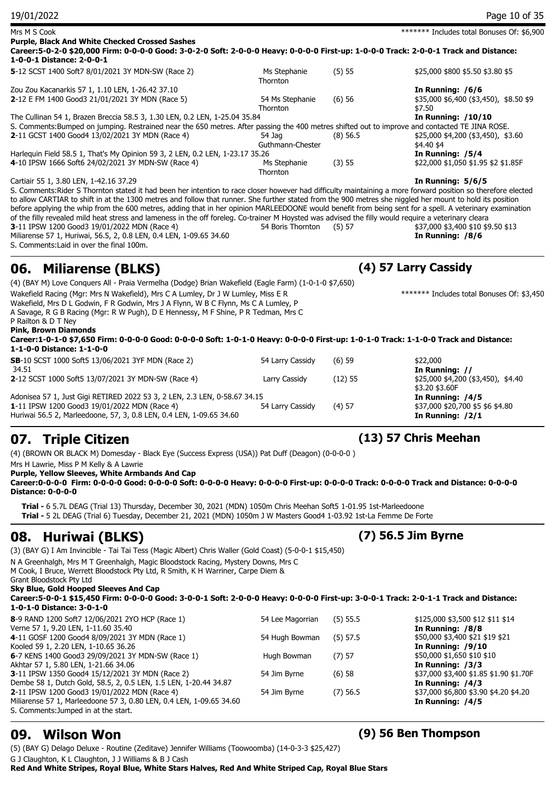| 19/01/2022                                                                                                                                                                                                                                                                                                                                                                                                                                                                                                                                                                                                                                                                                                                                                                                                                                                  |                             |            | Page 10 of 35                                                                 |
|-------------------------------------------------------------------------------------------------------------------------------------------------------------------------------------------------------------------------------------------------------------------------------------------------------------------------------------------------------------------------------------------------------------------------------------------------------------------------------------------------------------------------------------------------------------------------------------------------------------------------------------------------------------------------------------------------------------------------------------------------------------------------------------------------------------------------------------------------------------|-----------------------------|------------|-------------------------------------------------------------------------------|
| Mrs M S Cook<br><b>Purple, Black And White Checked Crossed Sashes</b><br>Career:5-0-2-0 \$20,000 Firm: 0-0-0-0 Good: 3-0-2-0 Soft: 2-0-0-0 Heavy: 0-0-0-0 First-up: 1-0-0-0 Track: 2-0-0-1 Track and Distance:                                                                                                                                                                                                                                                                                                                                                                                                                                                                                                                                                                                                                                              |                             |            | ******* Includes total Bonuses Of: \$6,900                                    |
| 1-0-0-1 Distance: 2-0-0-1                                                                                                                                                                                                                                                                                                                                                                                                                                                                                                                                                                                                                                                                                                                                                                                                                                   |                             |            |                                                                               |
| 5-12 SCST 1400 Soft7 8/01/2021 3Y MDN-SW (Race 2)                                                                                                                                                                                                                                                                                                                                                                                                                                                                                                                                                                                                                                                                                                                                                                                                           | Ms Stephanie<br>Thornton    | (5) 55     | \$25,000 \$800 \$5.50 \$3.80 \$5                                              |
| Zou Zou Kacanarkis 57 1, 1.10 LEN, 1-26.42 37.10<br>2-12 E FM 1400 Good3 21/01/2021 3Y MDN (Race 5)                                                                                                                                                                                                                                                                                                                                                                                                                                                                                                                                                                                                                                                                                                                                                         | 54 Ms Stephanie<br>Thornton | (6)56      | In Running: /6/6<br>\$35,000 \$6,400 (\$3,450), \$8.50 \$9<br>\$7.50          |
| The Cullinan 54 1, Brazen Breccia 58.5 3, 1.30 LEN, 0.2 LEN, 1-25.04 35.84<br>S. Comments: Bumped on jumping. Restrained near the 650 metres. After passing the 400 metres shifted out to improve and contacted TE JINA ROSE.<br>2-11 GCST 1400 Good4 13/02/2021 3Y MDN (Race 4)                                                                                                                                                                                                                                                                                                                                                                                                                                                                                                                                                                            | 54 Jaq<br>Guthmann-Chester  | $(8)$ 56.5 | <b>In Running: /10/10</b><br>\$25,000 \$4,200 (\$3,450), \$3.60<br>\$4.40 \$4 |
| Harlequin Field 58.5 1, That's My Opinion 59 3, 2 LEN, 0.2 LEN, 1-23.17 35.26<br>4-10 IPSW 1666 Soft6 24/02/2021 3Y MDN-SW (Race 4)                                                                                                                                                                                                                                                                                                                                                                                                                                                                                                                                                                                                                                                                                                                         | Ms Stephanie<br>Thornton    | (3) 55     | In Running: /5/4<br>\$22,000 \$1,050 \$1.95 \$2 \$1.85F                       |
| Cartiair 55 1, 3.80 LEN, 1-42.16 37.29<br>S. Comments: Rider S Thornton stated it had been her intention to race closer however had difficulty maintaining a more forward position so therefore elected<br>to allow CARTIAR to shift in at the 1300 metres and follow that runner. She further stated from the 900 metres she niggled her mount to hold its position<br>before applying the whip from the 600 metres, adding that in her opinion MARLEEDOONE would benefit from being sent for a spell. A veterinary examination<br>of the filly revealed mild heat stress and lameness in the off foreleg. Co-trainer M Hoysted was advised the filly would require a veterinary cleara<br>3-11 IPSW 1200 Good3 19/01/2022 MDN (Race 4)<br>Miliarense 57 1, Huriwai, 56.5, 2, 0.8 LEN, 0.4 LEN, 1-09.65 34.60<br>S. Comments: Laid in over the final 100m. | 54 Boris Thornton           | (5) 57     | In Running: 5/6/5<br>\$37,000 \$3,400 \$10 \$9.50 \$13<br>In Running: /8/6    |
| <b>Miliarense (BLKS)</b><br>06.                                                                                                                                                                                                                                                                                                                                                                                                                                                                                                                                                                                                                                                                                                                                                                                                                             |                             |            | (4) 57 Larry Cassidy                                                          |
| (4) (BAY M) Love Conquers All - Praia Vermelha (Dodge) Brian Wakefield (Eagle Farm) (1-0-1-0 \$7,650)<br>Wakefield Racing (Mgr: Mrs N Wakefield), Mrs C A Lumley, Dr J W Lumley, Miss E R<br>Wakefield, Mrs D L Godwin, F R Godwin, Mrs J A Flynn, W B C Flynn, Ms C A Lumley, P<br>A Savage, R G B Racing (Mgr: R W Pugh), D E Hennessy, M F Shine, P R Tedman, Mrs C<br>P Railton & D T Ney<br><b>Pink, Brown Diamonds</b><br>Career:1-0-1-0 \$7,650 Firm: 0-0-0-0 Good: 0-0-0-0 Soft: 1-0-1-0 Heavy: 0-0-0-0 First-up: 1-0-1-0 Track: 1-1-0-0 Track and Distance:<br>1-1-0-0 Distance: 1-1-0-0                                                                                                                                                                                                                                                           |                             |            | ******* Includes total Bonuses Of: \$3,450                                    |
| <b>SB-10 SCST 1000 Soft5 13/06/2021 3YF MDN (Race 2)</b><br>34.51                                                                                                                                                                                                                                                                                                                                                                                                                                                                                                                                                                                                                                                                                                                                                                                           | 54 Larry Cassidy            | (6)59      | \$22,000<br>In Running: //                                                    |
| 2-12 SCST 1000 Soft5 13/07/2021 3Y MDN-SW (Race 4)                                                                                                                                                                                                                                                                                                                                                                                                                                                                                                                                                                                                                                                                                                                                                                                                          | Larry Cassidy               | (12) 55    | \$25,000 \$4,200 (\$3,450), \$4.40<br>\$3.20 \$3.60F                          |
| Adonisea 57 1, Just Gigi RETIRED 2022 53 3, 2 LEN, 2.3 LEN, 0-58.67 34.15<br>1-11 IPSW 1200 Good3 19/01/2022 MDN (Race 4)<br>Huriwai 56.5 2, Marleedoone, 57, 3, 0.8 LEN, 0.4 LEN, 1-09.65 34.60                                                                                                                                                                                                                                                                                                                                                                                                                                                                                                                                                                                                                                                            | 54 Larry Cassidy            | $(4)$ 57   | In Running: /4/5<br>\$37,000 \$20,700 \$5 \$6 \$4.80<br>In Running: $/2/1$    |
| 07. Triple Citizen                                                                                                                                                                                                                                                                                                                                                                                                                                                                                                                                                                                                                                                                                                                                                                                                                                          |                             |            | (13) 57 Chris Meehan                                                          |
| (4) (BROWN OR BLACK M) Domesday - Black Eye (Success Express (USA)) Pat Duff (Deagon) (0-0-0-0)<br>Mrs H Lawrie, Miss P M Kelly & A Lawrie<br>Purple, Yellow Sleeves, White Armbands And Cap<br>Career:0-0-0-0 Firm: 0-0-0-0 Good: 0-0-0-0 Soft: 0-0-0-0 Heavy: 0-0-0-0 First-up: 0-0-0-0 Track: 0-0-0-0 Track and Distance: 0-0-0-0<br><b>Distance: 0-0-0-0</b><br>Trial - 6 5.7L DEAG (Trial 13) Thursday, December 30, 2021 (MDN) 1050m Chris Meehan Soft5 1-01.95 1st-Marleedoone<br>Trial - 5 2L DEAG (Trial 6) Tuesday, December 21, 2021 (MDN) 1050m J W Masters Good4 1-03.92 1st-La Femme De Forte                                                                                                                                                                                                                                                 |                             |            |                                                                               |
|                                                                                                                                                                                                                                                                                                                                                                                                                                                                                                                                                                                                                                                                                                                                                                                                                                                             |                             |            | (7) 56.5 Jim Byrne                                                            |
| <b>Huriwai (BLKS)</b><br>08.<br>(3) (BAY G) I Am Invincible - Tai Tai Tess (Magic Albert) Chris Waller (Gold Coast) (5-0-0-1 \$15,450)<br>N A Greenhalgh, Mrs M T Greenhalgh, Magic Bloodstock Racing, Mystery Downs, Mrs C<br>M Cook, I Bruce, Werrett Bloodstock Pty Ltd, R Smith, K H Warriner, Carpe Diem &<br>Grant Bloodstock Pty Ltd<br>Sky Blue, Gold Hooped Sleeves And Cap<br>Career:5-0-0-1 \$15,450 Firm: 0-0-0-0 Good: 3-0-0-1 Soft: 2-0-0-0 Heavy: 0-0-0-0 First-up: 3-0-0-1 Track: 2-0-1-1 Track and Distance:                                                                                                                                                                                                                                                                                                                               |                             |            |                                                                               |

|     | L-0-T-0 DISIGNCE: 3-0-T-0         |  |  |  |
|-----|-----------------------------------|--|--|--|
|     | 8-9 RAND 1200 Soft7 12/06/2021 2Y |  |  |  |
| . . |                                   |  |  |  |

**8**-9 RAND 1200 Soft7 12/06/2021 2YO HCP (Race 1) 54 Lee Magorrian (5) 55.5 \$125,000 \$3,500 \$12 \$11 \$14 Verne 57 1, 9.20 LEN, 1-11.60 35.40 **In Running: /8/8** 4-11 GOSF 1200 Good4 8/09/2021 3Y MDN (Race 1) 54 Hugh Bowman (5) 57.5 \$50,000 \$3,400 \$21 \$19 \$21 Kooled 59 1, 2.20 LEN, 1-10.65 36.26 **In Running: /9/10 6**-7 KENS 1400 Good3 29/09/2021 3Y MDN-SW (Race 1) Hugh Bowman (7) 57 \$50,000 \$1,650 \$10 \$10 Akhtar 57 1, 5.80 LEN, 1-21.66 34.06 **In Running: /3/3 3**-11 IPSW 1350 Good4 15/12/2021 3Y MDN (Race 2) 54 Jim Byrne (6) 58 \$37,000 \$3,400 \$1.85 \$1.90 \$1.70F Dembe 58 1, Dutch Gold, 58.5, 2, 0.5 LEN, 1.5 LEN, 1-20.44 34.87 **In Running: /4/3 2-11 IPSW 1200 Good3 19/01/2022 MDN (Race 4) 54 Jim Byrne (7) 56.5 \$37,000 \$6,800 \$3.90 \$4.20 \$4.20 \$4.20** Miliarense 57 1, Marleedoone 57 3, 0.80 LEN, 0.4 LEN, 1-09.65 34.60 **In Running: /4/5** S. Comments:Jumped in at the start.

(5) (BAY G) Delago Deluxe - Routine (Zeditave) Jennifer Williams (Toowoomba) (14-0-3-3 \$25,427) G J Claughton, K L Claughton, J J Williams & B J Cash **Red And White Stripes, Royal Blue, White Stars Halves, Red And White Striped Cap, Royal Blue Stars**

### **09. Wilson Won (9) 56 Ben Thompson**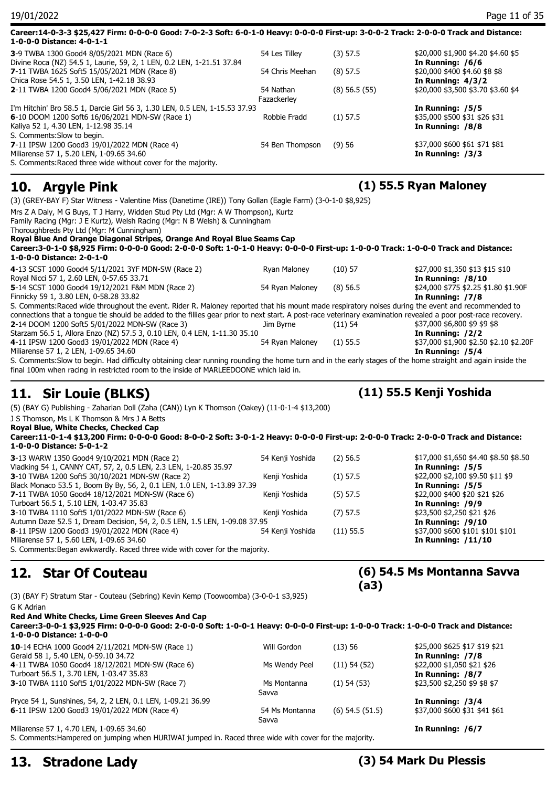| 19/01/2022                                                                                                                                                                                                                                                                                                                                      |                          |                   | Page 11 of 35                                                            |
|-------------------------------------------------------------------------------------------------------------------------------------------------------------------------------------------------------------------------------------------------------------------------------------------------------------------------------------------------|--------------------------|-------------------|--------------------------------------------------------------------------|
| Career:14-0-3-3 \$25,427 Firm: 0-0-0-0 Good: 7-0-2-3 Soft: 6-0-1-0 Heavy: 0-0-0-0 First-up: 3-0-0-2 Track: 2-0-0-0 Track and Distance:<br>1-0-0-0 Distance: 4-0-1-1                                                                                                                                                                             |                          |                   |                                                                          |
| 3-9 TWBA 1300 Good4 8/05/2021 MDN (Race 6)                                                                                                                                                                                                                                                                                                      | 54 Les Tilley            | $(3)$ 57.5        | \$20,000 \$1,900 \$4.20 \$4.60 \$5                                       |
| Divine Roca (NZ) 54.5 1, Laurie, 59, 2, 1 LEN, 0.2 LEN, 1-21.51 37.84<br>7-11 TWBA 1625 Soft5 15/05/2021 MDN (Race 8)<br>Chica Rose 54.5 1, 3.50 LEN, 1-42.18 38.93                                                                                                                                                                             | 54 Chris Meehan          | $(8)$ 57.5        | In Running: /6/6<br>\$20,000 \$400 \$4.60 \$8 \$8<br>In Running: $4/3/2$ |
| <b>2-11 TWBA 1200 Good4 5/06/2021 MDN (Race 5)</b>                                                                                                                                                                                                                                                                                              | 54 Nathan<br>Fazackerley | $(8)$ 56.5 $(55)$ | \$20,000 \$3,500 \$3.70 \$3.60 \$4                                       |
| I'm Hitchin' Bro 58.5 1, Darcie Girl 56 3, 1.30 LEN, 0.5 LEN, 1-15.53 37.93<br>6-10 DOOM 1200 Soft6 16/06/2021 MDN-SW (Race 1)<br>Kaliya 52 1, 4.30 LEN, 1-12.98 35.14<br>S. Comments: Slow to begin.                                                                                                                                           | Robbie Fradd             | $(1)$ 57.5        | In Running: /5/5<br>\$35,000 \$500 \$31 \$26 \$31<br>In Running: /8/8    |
| 7-11 IPSW 1200 Good3 19/01/2022 MDN (Race 4)<br>Miliarense 57 1, 5.20 LEN, 1-09.65 34.60<br>S. Comments: Raced three wide without cover for the majority.                                                                                                                                                                                       | 54 Ben Thompson          | (9)56             | \$37,000 \$600 \$61 \$71 \$81<br>In Running: /3/3                        |
| 10. Argyle Pink                                                                                                                                                                                                                                                                                                                                 |                          |                   | $(1)$ 55.5 Ryan Maloney                                                  |
| Royal Blue And Orange Diagonal Stripes, Orange And Royal Blue Seams Cap<br>Career:3-0-1-0 \$8,925 Firm: 0-0-0-0 Good: 2-0-0-0 Soft: 1-0-1-0 Heavy: 0-0-0-0 First-up: 1-0-0-0 Track: 1-0-0-0 Track and Distance:<br>1-0-0-0 Distance: 2-0-1-0<br>4-13 SCST 1000 Good4 5/11/2021 3YF MDN-SW (Race 2)<br>Royal Nicci 57 1, 2.60 LEN, 0-57.65 33.71 | Ryan Maloney             | $(10)$ 57         | \$27,000 \$1,350 \$13 \$15 \$10<br>In Running: /8/10                     |
| 5-14 SCST 1000 Good4 19/12/2021 F&M MDN (Race 2)<br>Finnicky 59 1, 3.80 LEN, 0-58.28 33.82                                                                                                                                                                                                                                                      | 54 Ryan Maloney          | $(8)$ 56.5        | \$24,000 \$775 \$2.25 \$1.80 \$1.90F<br>In Running: /7/8                 |
| S. Comments: Raced wide throughout the event. Rider R. Maloney reported that his mount made respiratory noises during the event and recommended to                                                                                                                                                                                              |                          |                   |                                                                          |
| connections that a tongue tie should be added to the fillies gear prior to next start. A post-race veterinary examination revealed a poor post-race recovery.<br>2-14 DOOM 1200 Soft5 5/01/2022 MDN-SW (Race 3)<br>Starzam 56.5 1, Allora Enzo (NZ) 57.5 3, 0.10 LEN, 0.4 LEN, 1-11.30 35.10                                                    | Jim Byrne                | (11) 54           | \$37,000 \$6,800 \$9 \$9 \$8<br>In Running: /2/2                         |
| 4-11 IPSW 1200 Good3 19/01/2022 MDN (Race 4)<br>Miliarense 57 1, 2 LEN, 1-09.65 34.60                                                                                                                                                                                                                                                           | 54 Ryan Maloney          | $(1)$ 55.5        | \$37,000 \$1,900 \$2.50 \$2.10 \$2.20F<br>In Running: /5/4               |
| S. Comments: Slow to begin. Had difficulty obtaining clear running rounding the home turn and in the early stages of the home straight and again inside the<br>final 100m when racing in restricted room to the inside of MARLEEDOONE which laid in.                                                                                            |                          |                   |                                                                          |
| 11. Sir Louie (BLKS)                                                                                                                                                                                                                                                                                                                            |                          |                   | (11) 55.5 Kenji Yoshida                                                  |
| (5) (BAY G) Publishing - Zaharian Doll (Zaha (CAN)) Lyn K Thomson (Oakey) (11-0-1-4 \$13,200)                                                                                                                                                                                                                                                   |                          |                   |                                                                          |
| J S Thomson, Ms L K Thomson & Mrs J A Betts<br>Royal Blue, White Checks, Checked Cap                                                                                                                                                                                                                                                            |                          |                   |                                                                          |
| Career:11-0-1-4 \$13,200 Firm: 0-0-0-0 Good: 8-0-0-2 Soft: 3-0-1-2 Heavy: 0-0-0-0 First-up: 2-0-0-0 Track: 2-0-0-0 Track and Distance:<br>1-0-0-0 Distance: 5-0-1-2                                                                                                                                                                             |                          |                   |                                                                          |

| 3-13 WARW 1350 Good4 9/10/2021 MDN (Race 2)                                | 54 Kenji Yoshida | $(2)$ 56.5  | \$17,000 \$1,650 \$4.40 \$8.50 \$8.50 |
|----------------------------------------------------------------------------|------------------|-------------|---------------------------------------|
| Vladking 54 1, CANNY CAT, 57, 2, 0.5 LEN, 2.3 LEN, 1-20.85 35.97           |                  |             | In Running: /5/5                      |
| 3-10 TWBA 1200 Soft5 30/10/2021 MDN-SW (Race 2)                            | Kenji Yoshida    | $(1)$ 57.5  | \$22,000 \$2,100 \$9.50 \$11 \$9      |
| Black Monaco 53.5 1, Boom By By, 56, 2, 0.1 LEN, 1.0 LEN, 1-13.89 37.39    |                  |             | In Running: /5/5                      |
| 7-11 TWBA 1050 Good4 18/12/2021 MDN-SW (Race 6)                            | Kenji Yoshida    | $(5)$ 57.5  | \$22,000 \$400 \$20 \$21 \$26         |
| Turboart 56.5 1, 5.10 LEN, 1-03.47 35.83                                   |                  |             | In Running: /9/9                      |
| <b>3-10 TWBA 1110 Soft5 1/01/2022 MDN-SW (Race 6)</b>                      | Kenji Yoshida    | $(7)$ 57.5  | \$23,500 \$2,250 \$21 \$26            |
| Autumn Daze 52.5 1, Dream Decision, 54, 2, 0.5 LEN, 1.5 LEN, 1-09.08 37.95 |                  |             | In Running: $/9/10$                   |
| 8-11 IPSW 1200 Good3 19/01/2022 MDN (Race 4)                               | 54 Kenji Yoshida | $(11)$ 55.5 | \$37,000 \$600 \$101 \$101 \$101      |
| Miliarense 57 1, 5.60 LEN, 1-09.65 34.60                                   |                  |             | In Running: $/11/10$                  |
| C. Comments: Regan awkwardly. Daced three wide with cover for the majority |                  |             |                                       |

S. Comments:Began awkwardly. Raced three wide with cover for the majority.

## **12. Star Of Couteau**

(3) (BAY F) Stratum Star - Couteau (Sebring) Kevin Kemp (Toowoomba) (3-0-0-1 \$3,925)

G K Adrian **Red And White Checks, Lime Green Sleeves And Cap**

**Career:3-0-0-1 \$3,925 Firm: 0-0-0-0 Good: 2-0-0-0 Soft: 1-0-0-1 Heavy: 0-0-0-0 First-up: 1-0-0-0 Track: 1-0-0-0 Track and Distance: 1-0-0-0 Distance: 1-0-0-0 10**-14 ECHA 1000 Good4 2/11/2021 MDN-SW (Race 1) Will Gordon (13) 56 \$25,000 \$625 \$17 \$19 \$21<br>Gerald 58 1, 5.40 LEN, 0-59.10 34.72 **In Running: 17/8** Gerald 58 1, 5.40 LEN, 0-59.10 34.72 **4**-11 TWBA 1050 Good4 18/12/2021 MDN-SW (Race 6) Ms Wendy Peel (11) 54 (52) \$22,000 \$1,050 \$21 \$26 Turboart 56.5 1, 3.70 LEN, 1-03.47 35.83 **In Running: /8/7 3**-10 TWBA 1110 Soft5 1/01/2022 MDN-SW (Race 7) Ms Montanna (1) 54 (53) Savva (1) 54 (53) \$23,500 \$2,250 \$9 \$8 \$7 Pryce 54 1, Sunshines, 54, 2, 2 LEN, 0.1 LEN, 1-09.21 36.99 **In Running: /3/4 6**-11 IPSW 1200 Good3 19/01/2022 MDN (Race 4) 54 Ms Montanna (6) 54.5 (51.5) Savva \$37,000 \$600 \$31 \$41 \$61 Miliarense 57 1, 4.70 LEN, 1-09.65 34.60 **In Running: /6/7**

S. Comments:Hampered on jumping when HURIWAI jumped in. Raced three wide with cover for the majority.

**(6) 54.5 Ms Montanna Savva** 

**(a3)**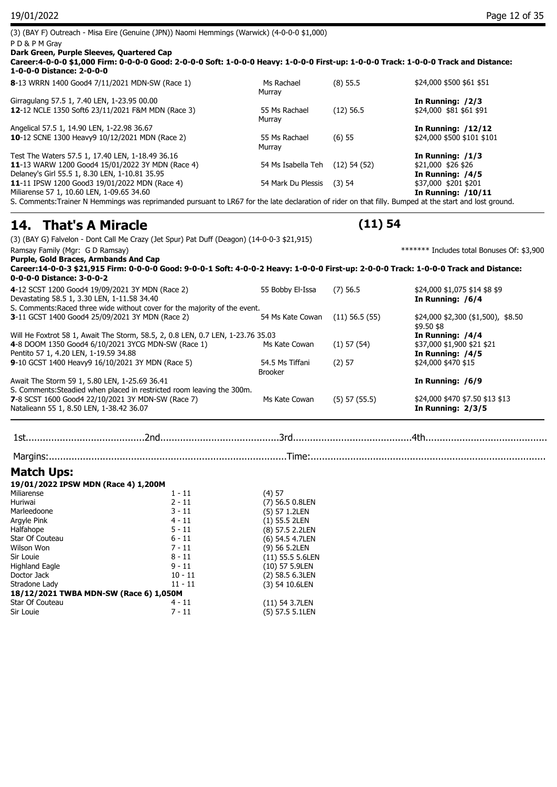| (3) (BAY F) Outreach - Misa Eire (Genuine (JPN)) Naomi Hemmings (Warwick) (4-0-0-0 \$1,000)                                                            |                         |                  |                                            |
|--------------------------------------------------------------------------------------------------------------------------------------------------------|-------------------------|------------------|--------------------------------------------|
| PD&PM Gray                                                                                                                                             |                         |                  |                                            |
| Dark Green, Purple Sleeves, Quartered Cap                                                                                                              |                         |                  |                                            |
| Career:4-0-0-0 \$1,000 Firm: 0-0-0-0 Good: 2-0-0-0 Soft: 1-0-0-0 Heavy: 1-0-0-0 First-up: 1-0-0-0 Track: 1-0-0-0 Track and Distance:                   |                         |                  |                                            |
| 1-0-0-0 Distance: 2-0-0-0                                                                                                                              |                         |                  |                                            |
| 8-13 WRRN 1400 Good4 7/11/2021 MDN-SW (Race 1)                                                                                                         | Ms Rachael<br>Murrav    | $(8)$ 55.5       | \$24,000 \$500 \$61 \$51                   |
| Girragulang 57.5 1, 7.40 LEN, 1-23.95 00.00                                                                                                            |                         |                  | In Running: /2/3                           |
| 12-12 NCLE 1350 Soft6 23/11/2021 F&M MDN (Race 3)                                                                                                      | 55 Ms Rachael<br>Murray | $(12)$ 56.5      | \$24,000 \$81 \$61 \$91                    |
| Angelical 57.5 1, 14.90 LEN, 1-22.98 36.67                                                                                                             |                         |                  | <b>In Running: /12/12</b>                  |
| 10-12 SCNE 1300 Heavy9 10/12/2021 MDN (Race 2)                                                                                                         | 55 Ms Rachael<br>Murray | (6) 55           | \$24,000 \$500 \$101 \$101                 |
| Test The Waters 57.5 1, 17.40 LEN, 1-18.49 36.16                                                                                                       |                         |                  | In Running: $/1/3$                         |
| 11-13 WARW 1200 Good4 15/01/2022 3Y MDN (Race 4)                                                                                                       | 54 Ms Isabella Teh      | $(12)$ 54 $(52)$ | \$21,000 \$26 \$26                         |
| Delaney's Girl 55.5 1, 8.30 LEN, 1-10.81 35.95                                                                                                         |                         |                  | In Running: /4/5                           |
| 11-11 IPSW 1200 Good3 19/01/2022 MDN (Race 4)                                                                                                          | 54 Mark Du Plessis      | $(3)$ 54         | \$37,000 \$201 \$201                       |
| Miliarense 57 1, 10.60 LEN, 1-09.65 34.60                                                                                                              |                         |                  | <b>In Running: /10/11</b>                  |
| S. Comments: Trainer N Hemmings was reprimanded pursuant to LR67 for the late declaration of rider on that filly. Bumped at the start and lost ground. |                         |                  |                                            |
| <b>14. That's A Miracle</b>                                                                                                                            |                         | (11) 54          |                                            |
| (3) (BAY G) Falvelon - Dont Call Me Crazy (Jet Spur) Pat Duff (Deagon) (14-0-0-3 \$21,915)                                                             |                         |                  |                                            |
| Ramsay Family (Mgr: G D Ramsay)                                                                                                                        |                         |                  | ******* Includes total Bonuses Of: \$3,900 |
| Purple, Gold Braces, Armbands And Cap                                                                                                                  |                         |                  |                                            |
|                                                                                                                                                        |                         |                  |                                            |

| 4-12 SCST 1200 Good4 19/09/2021 3Y MDN (Race 2)                                 | 55 Bobby El-Issa | $(7)$ 56.5        | \$24,000 \$1,075 \$14 \$8 \$9                     |
|---------------------------------------------------------------------------------|------------------|-------------------|---------------------------------------------------|
| Devastating 58.5 1, 3.30 LEN, 1-11.58 34.40                                     |                  |                   | In Running: /6/4                                  |
| S. Comments: Raced three wide without cover for the majority of the event.      |                  |                   |                                                   |
| 3-11 GCST 1400 Good4 25/09/2021 3Y MDN (Race 2)                                 | 54 Ms Kate Cowan | $(11)$ 56.5 (55)  | $$24,000$ \$2,300 (\$1,500), \$8.50<br>\$9.50 \$8 |
| Will He Foxtrot 58 1, Await The Storm, 58.5, 2, 0.8 LEN, 0.7 LEN, 1-23.76 35.03 |                  |                   | In Running: /4/4                                  |
| 4-8 DOOM 1350 Good4 6/10/2021 3YCG MDN-SW (Race 1)                              | Ms Kate Cowan    | $(1)$ 57 $(54)$   | \$37,000 \$1,900 \$21 \$21                        |
| Pentito 57 1, 4.20 LEN, 1-19.59 34.88                                           |                  |                   | In Running: /4/5                                  |
| 9-10 GCST 1400 Heavy9 16/10/2021 3Y MDN (Race 5)                                | 54.5 Ms Tiffani  | $(2)$ 57          | \$24,000 \$470 \$15                               |
|                                                                                 | <b>Brooker</b>   |                   |                                                   |
| Await The Storm 59 1, 5.80 LEN, 1-25.69 36.41                                   |                  |                   | In Running: /6/9                                  |
| S. Comments: Steadied when placed in restricted room leaving the 300m.          |                  |                   |                                                   |
| 7-8 SCST 1600 Good4 22/10/2021 3Y MDN-SW (Race 7)                               | Ms Kate Cowan    | $(5)$ 57 $(55.5)$ | \$24,000 \$470 \$7.50 \$13 \$13                   |
| Natalieann 55 1, 8.50 LEN, 1-38.42 36.07                                        |                  |                   | In Running: $2/3/5$                               |

1st..........................................2nd..........................................3rd..........................................4th............................................ Margins:....................................................................................Time:....................................................................................

### **Match Ups:**

| 19/01/2022 IPSW MDN (Race 4) 1,200M    |           |                    |
|----------------------------------------|-----------|--------------------|
| Miliarense                             | $1 - 11$  | (4) 57             |
| Huriwai                                | $2 - 11$  | $(7)$ 56.5 0.8LEN  |
| Marleedoone                            | $3 - 11$  | (5) 57 1.2LEN      |
| Argyle Pink                            | $4 - 11$  | $(1)$ 55.5 2LEN    |
| Halfahope                              | $5 - 11$  | (8) 57.5 2.2LEN    |
| Star Of Couteau                        | $6 - 11$  | (6) 54.5 4.7LEN    |
| Wilson Won                             | $7 - 11$  | (9) 56 5.2LEN      |
| Sir Louie                              | 8 - 11    | $(11)$ 55.5 5.6LEN |
| <b>Highland Eagle</b>                  | $9 - 11$  | $(10)$ 57 5.9LEN   |
| Doctor Jack                            | $10 - 11$ | $(2)$ 58.5 6.3LEN  |
| Stradone Lady                          | $11 - 11$ | (3) 54 10.6LEN     |
| 18/12/2021 TWBA MDN-SW (Race 6) 1,050M |           |                    |
| Star Of Couteau                        | $4 - 11$  | $(11)$ 54 3.7LEN   |
| Sir Louie                              | 7 - 11    | (5) 57.5 5.1LEN    |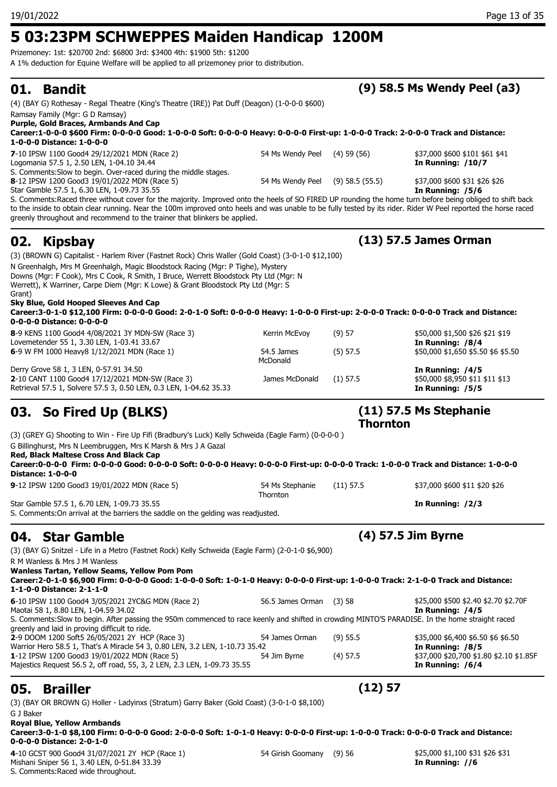## **5 03:23PM SCHWEPPES Maiden Handicap 1200M**

Prizemoney: 1st: \$20700 2nd: \$6800 3rd: \$3400 4th: \$1900 5th: \$1200

A 1% deduction for Equine Welfare will be applied to all prizemoney prior to distribution.

| <b>Brailler</b><br>05.                                                                                                                                                                                                                                                                                                                                                                                   |                             | (12) 57             |                                                                         |
|----------------------------------------------------------------------------------------------------------------------------------------------------------------------------------------------------------------------------------------------------------------------------------------------------------------------------------------------------------------------------------------------------------|-----------------------------|---------------------|-------------------------------------------------------------------------|
| 1-12 IPSW 1200 Good3 19/01/2022 MDN (Race 5)<br>Majestics Request 56.5 2, off road, 55, 3, 2 LEN, 2.3 LEN, 1-09.73 35.55                                                                                                                                                                                                                                                                                 | 54 Jim Byrne                | $(4)$ 57.5          | \$37,000 \$20,700 \$1.80 \$2.10 \$1.85F<br>In Running: /6/4             |
| S. Comments: Slow to begin. After passing the 950m commenced to race keenly and shifted in crowding MINTO'S PARADISE. In the home straight raced<br>greenly and laid in proving difficult to ride.<br>2-9 DOOM 1200 Soft5 26/05/2021 2Y HCP (Race 3)<br>Warrior Hero 58.5 1, That's A Miracle 54 3, 0.80 LEN, 3.2 LEN, 1-10.73 35.42                                                                     | 54 James Orman              | $(9)$ 55.5          | \$35,000 \$6,400 \$6.50 \$6 \$6.50<br>In Running: /8/5                  |
| 6-10 IPSW 1100 Good4 3/05/2021 2YC&G MDN (Race 2)<br>Maotai 58 1, 8.80 LEN, 1-04.59 34.02                                                                                                                                                                                                                                                                                                                | 56.5 James Orman            | (3)58               | \$25,000 \$500 \$2.40 \$2.70 \$2.70F<br>In Running: /4/5                |
| R M Wanless & Mrs J M Wanless<br>Wanless Tartan, Yellow Seams, Yellow Pom Pom<br>Career:2-0-1-0 \$6,900 Firm: 0-0-0-0 Good: 1-0-0-0 Soft: 1-0-1-0 Heavy: 0-0-0-0 First-up: 1-0-0-0 Track: 2-1-0-0 Track and Distance:<br>1-1-0-0 Distance: 2-1-1-0                                                                                                                                                       |                             |                     |                                                                         |
| (3) (BAY G) Snitzel - Life in a Metro (Fastnet Rock) Kelly Schweida (Eagle Farm) (2-0-1-0 \$6,900)                                                                                                                                                                                                                                                                                                       |                             |                     |                                                                         |
| <b>Star Gamble</b><br>04.                                                                                                                                                                                                                                                                                                                                                                                |                             |                     | (4) 57.5 Jim Byrne                                                      |
| Star Gamble 57.5 1, 6.70 LEN, 1-09.73 35.55<br>S. Comments: On arrival at the barriers the saddle on the gelding was readjusted.                                                                                                                                                                                                                                                                         |                             |                     | In Running: $/2/3$                                                      |
| 9-12 IPSW 1200 Good3 19/01/2022 MDN (Race 5)                                                                                                                                                                                                                                                                                                                                                             | 54 Ms Stephanie<br>Thornton | $(11)$ 57.5         | \$37,000 \$600 \$11 \$20 \$26                                           |
| G Billinghurst, Mrs N Leembruggen, Mrs K Marsh & Mrs J A Gazal<br>Red, Black Maltese Cross And Black Cap<br>Career:0-0-0-0 Firm: 0-0-0-0 Good: 0-0-0-0 Soft: 0-0-0-0 Heavy: 0-0-0-0 First-up: 0-0-0-0 Track: 1-0-0-0 Track and Distance: 1-0-0-0<br><b>Distance: 1-0-0-0</b>                                                                                                                             |                             |                     |                                                                         |
| (3) (GREY G) Shooting to Win - Fire Up Fifi (Bradbury's Luck) Kelly Schweida (Eagle Farm) (0-0-0-0)                                                                                                                                                                                                                                                                                                      |                             | <b>Thornton</b>     |                                                                         |
| 03. So Fired Up (BLKS)                                                                                                                                                                                                                                                                                                                                                                                   |                             |                     | $(11)$ 57.5 Ms Stephanie                                                |
| Derry Grove 58 1, 3 LEN, 0-57.91 34.50<br>2-10 CANT 1100 Good4 17/12/2021 MDN-SW (Race 3)<br>Retrieval 57.5 1, Solvere 57.5 3, 0.50 LEN, 0.3 LEN, 1-04.62 35.33                                                                                                                                                                                                                                          | James McDonald              | $(1)$ 57.5          | In Running: /4/5<br>\$50,000 \$8,950 \$11 \$11 \$13<br>In Running: /5/5 |
| 6-9 W FM 1000 Heavy8 1/12/2021 MDN (Race 1)                                                                                                                                                                                                                                                                                                                                                              | 54.5 James<br>McDonald      | $(5)$ 57.5          | \$50,000 \$1,650 \$5.50 \$6 \$5.50                                      |
| 8-9 KENS 1100 Good4 4/08/2021 3Y MDN-SW (Race 3)<br>Lovemetender 55 1, 3.30 LEN, 1-03.41 33.67                                                                                                                                                                                                                                                                                                           | Kerrin McEvoy               | (9) 57              | \$50,000 \$1,500 \$26 \$21 \$19<br>In Running: /8/4                     |
| Downs (Mgr: F Cook), Mrs C Cook, R Smith, I Bruce, Werrett Bloodstock Pty Ltd (Mgr: N<br>Werrett), K Warriner, Carpe Diem (Mgr: K Lowe) & Grant Bloodstock Pty Ltd (Mgr: S<br>Grant)<br>Sky Blue, Gold Hooped Sleeves And Cap<br>Career:3-0-1-0 \$12,100 Firm: 0-0-0-0 Good: 2-0-1-0 Soft: 0-0-0-0 Heavy: 1-0-0-0 First-up: 2-0-0-0 Track: 0-0-0-0 Track and Distance:<br>0-0-0-0 Distance: 0-0-0-0      |                             |                     |                                                                         |
| (3) (BROWN G) Capitalist - Harlem River (Fastnet Rock) Chris Waller (Gold Coast) (3-0-1-0 \$12,100)<br>N Greenhalgh, Mrs M Greenhalgh, Magic Bloodstock Racing (Mgr: P Tighe), Mystery                                                                                                                                                                                                                   |                             |                     |                                                                         |
| 02.<br><b>Kipsbay</b>                                                                                                                                                                                                                                                                                                                                                                                    |                             |                     | (13) 57.5 James Orman                                                   |
| S. Comments: Raced three without cover for the majority. Improved onto the heels of SO FIRED UP rounding the home turn before being obliged to shift back<br>to the inside to obtain clear running. Near the 100m improved onto heels and was unable to be fully tested by its rider. Rider W Peel reported the horse raced<br>greenly throughout and recommend to the trainer that blinkers be applied. |                             |                     |                                                                         |
| S. Comments: Slow to begin. Over-raced during the middle stages.<br>8-12 IPSW 1200 Good3 19/01/2022 MDN (Race 5)<br>Star Gamble 57.5 1, 6.30 LEN, 1-09.73 35.55                                                                                                                                                                                                                                          | 54 Ms Wendy Peel            | $(9)$ 58.5 $(55.5)$ | \$37,000 \$600 \$31 \$26 \$26<br>In Running: /5/6                       |
| 7-10 IPSW 1100 Good4 29/12/2021 MDN (Race 2)<br>Logomania 57.5 1, 2.50 LEN, 1-04.10 34.44                                                                                                                                                                                                                                                                                                                | 54 Ms Wendy Peel            | $(4)$ 59 $(56)$     | \$37,000 \$600 \$101 \$61 \$41<br>In Running: /10/7                     |
| Career:1-0-0-0 \$600 Firm: 0-0-0-0 Good: 1-0-0-0 Soft: 0-0-0-0 Heavy: 0-0-0-0 First-up: 1-0-0-0 Track: 2-0-0-0 Track and Distance:<br>1-0-0-0 Distance: 1-0-0-0                                                                                                                                                                                                                                          |                             |                     |                                                                         |
| Purple, Gold Braces, Armbands And Cap                                                                                                                                                                                                                                                                                                                                                                    |                             |                     |                                                                         |
| (4) (BAY G) Rothesay - Regal Theatre (King's Theatre (IRE)) Pat Duff (Deagon) (1-0-0-0 \$600)<br>Ramsay Family (Mgr: G D Ramsay)                                                                                                                                                                                                                                                                         |                             |                     |                                                                         |
|                                                                                                                                                                                                                                                                                                                                                                                                          |                             |                     |                                                                         |

**01. Bandit (9) 58.5 Ms Wendy Peel (a3)**

ROWN G) Holler - Ladyinxs (Stratum) Garry Baker (Gold Coast) (3-0-1-0 \$8,100) G J Baker

**Royal Blue, Yellow Armbands Career:3-0-1-0 \$8,100 Firm: 0-0-0-0 Good: 2-0-0-0 Soft: 1-0-1-0 Heavy: 0-0-0-0 First-up: 1-0-0-0 Track: 0-0-0-0 Track and Distance: 0-0-0-0 Distance: 2-0-1-0**

4-10 GCST 900 Good4 31/07/2021 2Y HCP (Race 1) 54 Girish Goomany (9) 56 \$25,000 \$1,100 \$31 \$26 \$31 Mishani Sniper 56 1, 3.40 LEN, 0-51.84 33.39 **In Running: //6** S. Comments:Raced wide throughout.

### 19/01/2022 Page 13 of 35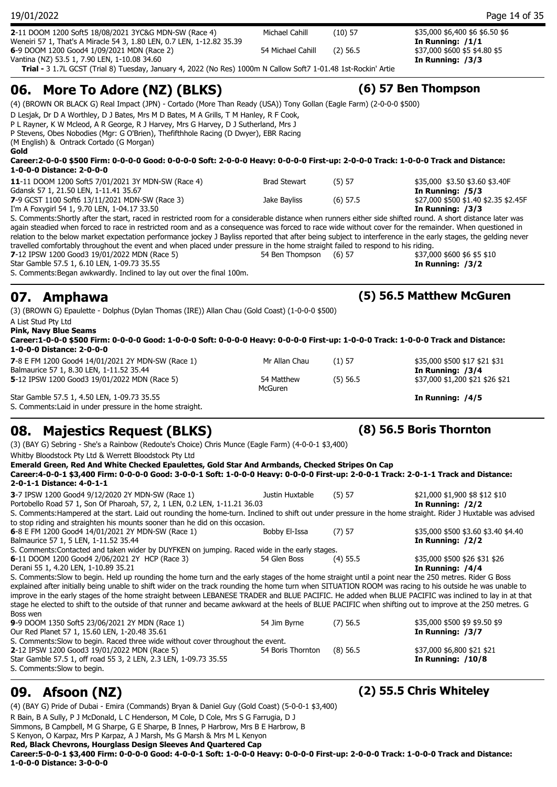| 19/01/2022                                                                                                                                                                                                                                                                                                                                                                                                                                                                 |                        |            | Page 14 of 35                                            |
|----------------------------------------------------------------------------------------------------------------------------------------------------------------------------------------------------------------------------------------------------------------------------------------------------------------------------------------------------------------------------------------------------------------------------------------------------------------------------|------------------------|------------|----------------------------------------------------------|
| 2-11 DOOM 1200 Soft5 18/08/2021 3YC&G MDN-SW (Race 4)<br>Weneiri 57 1, That's A Miracle 54 3, 1.80 LEN, 0.7 LEN, 1-12.82 35.39                                                                                                                                                                                                                                                                                                                                             | Michael Cahill         | $(10)$ 57  | \$35,000 \$6,400 \$6 \$6.50 \$6<br>In Running: $/1/1$    |
| 6-9 DOOM 1200 Good4 1/09/2021 MDN (Race 2)                                                                                                                                                                                                                                                                                                                                                                                                                                 | 54 Michael Cahill      | $(2)$ 56.5 | \$37,000 \$600 \$5 \$4.80 \$5                            |
| Vantina (NZ) 53.5 1, 7.90 LEN, 1-10.08 34.60<br>Trial - 3 1.7L GCST (Trial 8) Tuesday, January 4, 2022 (No Res) 1000m N Callow Soft7 1-01.48 1st-Rockin' Artie                                                                                                                                                                                                                                                                                                             |                        |            | In Running: /3/3                                         |
| 06. More To Adore (NZ) (BLKS)                                                                                                                                                                                                                                                                                                                                                                                                                                              |                        |            | (6) 57 Ben Thompson                                      |
| (4) (BROWN OR BLACK G) Real Impact (JPN) - Cortado (More Than Ready (USA)) Tony Gollan (Eagle Farm) (2-0-0-0 \$500)                                                                                                                                                                                                                                                                                                                                                        |                        |            |                                                          |
| D Lesjak, Dr D A Worthley, D J Bates, Mrs M D Bates, M A Grills, T M Hanley, R F Cook,<br>P L Rayner, K W Mcleod, A R George, R J Harvey, Mrs G Harvey, D J Sutherland, Mrs J<br>P Stevens, Obes Nobodies (Mgr: G O'Brien), Thefifthhole Racing (D Dwyer), EBR Racing<br>(M English) & Ontrack Cortado (G Morgan)<br>Gold                                                                                                                                                  |                        |            |                                                          |
| Career:2-0-0-0 \$500 Firm: 0-0-0-0 Good: 0-0-0-0 Soft: 2-0-0-0 Heavy: 0-0-0-0 First-up: 2-0-0-0 Track: 1-0-0-0 Track and Distance:<br>1-0-0-0 Distance: 2-0-0-0                                                                                                                                                                                                                                                                                                            |                        |            |                                                          |
| 11-11 DOOM 1200 Soft5 7/01/2021 3Y MDN-SW (Race 4)<br>Gdansk 57 1, 21.50 LEN, 1-11.41 35.67                                                                                                                                                                                                                                                                                                                                                                                | <b>Brad Stewart</b>    | (5) 57     | \$35,000 \$3.50 \$3.60 \$3.40F<br>In Running: /5/3       |
| 7-9 GCST 1100 Soft6 13/11/2021 MDN-SW (Race 3)<br>I'm A Foxygirl 54 1, 9.70 LEN, 1-04.17 33.50                                                                                                                                                                                                                                                                                                                                                                             | Jake Bayliss           | $(6)$ 57.5 | \$27,000 \$500 \$1.40 \$2.35 \$2.45F<br>In Running: /3/3 |
| relation to the below market expectation performance jockey J Bayliss reported that after being subject to interference in the early stages, the gelding never<br>travelled comfortably throughout the event and when placed under pressure in the home straight failed to respond to his riding.<br>7-12 IPSW 1200 Good3 19/01/2022 MDN (Race 5)<br>Star Gamble 57.5 1, 6.10 LEN, 1-09.73 35.55<br>S. Comments: Began awkwardly. Inclined to lay out over the final 100m. | 54 Ben Thompson (6) 57 |            | \$37,000 \$600 \$6 \$5 \$10<br>In Running: /3/2          |
| 07. Amphawa                                                                                                                                                                                                                                                                                                                                                                                                                                                                |                        |            | (5) 56.5 Matthew McGuren                                 |
| (3) (BROWN G) Epaulette - Dolphus (Dylan Thomas (IRE)) Allan Chau (Gold Coast) (1-0-0-0 \$500)<br>A List Stud Pty Ltd<br><b>Pink, Navy Blue Seams</b><br>Career:1-0-0-0 \$500 Firm: 0-0-0-0 Good: 1-0-0-0 Soft: 0-0-0-0 Heavy: 0-0-0-0 First-up: 1-0-0-0 Track: 1-0-0-0 Track and Distance:<br>1-0-0-0 Distance: 2-0-0-0                                                                                                                                                   |                        |            |                                                          |
| 7-8 E FM 1200 Good4 14/01/2021 2Y MDN-SW (Race 1)<br>Balmaurice 57 1, 8.30 LEN, 1-11.52 35.44                                                                                                                                                                                                                                                                                                                                                                              | Mr Allan Chau          | $(1)$ 57   | \$35,000 \$500 \$17 \$21 \$31<br>In Running: /3/4        |
| 5-12 IPSW 1200 Good3 19/01/2022 MDN (Race 5)                                                                                                                                                                                                                                                                                                                                                                                                                               | 54 Matthew<br>McGuren  | $(5)$ 56.5 | \$37,000 \$1,200 \$21 \$26 \$21                          |
| Star Gamble 57.5 1, 4.50 LEN, 1-09.73 35.55<br>S. Comments: Laid in under pressure in the home straight.                                                                                                                                                                                                                                                                                                                                                                   |                        |            | In Running: /4/5                                         |
| 08. Majestics Request (BLKS)                                                                                                                                                                                                                                                                                                                                                                                                                                               |                        |            | (8) 56.5 Boris Thornton                                  |
| (3) (BAY G) Sebring - She's a Rainbow (Redoute's Choice) Chris Munce (Eagle Farm) (4-0-0-1 \$3,400)<br>Whitby Bloodstock Pty Ltd & Werrett Bloodstock Pty Ltd                                                                                                                                                                                                                                                                                                              |                        |            |                                                          |
| Emerald Green, Red And White Checked Epaulettes, Gold Star And Armbands, Checked Stripes On Cap<br>Career:4-0-0-1 \$3,400 Firm: 0-0-0-0 Good: 3-0-0-1 Soft: 1-0-0-0 Heavy: 0-0-0-0 First-up: 2-0-0-1 Track: 2-0-1-1 Track and Distance:<br>2-0-1-1 Distance: 4-0-1-1                                                                                                                                                                                                       |                        |            |                                                          |
| 3-7 IPSW 1200 Good4 9/12/2020 2Y MDN-SW (Race 1)<br>Portobello Road 57 1, Son Of Pharoah, 57, 2, 1 LEN, 0.2 LEN, 1-11.21 36.03                                                                                                                                                                                                                                                                                                                                             | Justin Huxtable        | (5) 57     | \$21,000 \$1,900 \$8 \$12 \$10<br>In Running: /2/2       |
| S. Comments: Hampered at the start. Laid out rounding the home-turn. Inclined to shift out under pressure in the home straight. Rider J Huxtable was advised<br>to stop riding and straighten his mounts sooner than he did on this occasion.                                                                                                                                                                                                                              |                        |            |                                                          |
| 6-8 E FM 1200 Good4 14/01/2021 2Y MDN-SW (Race 1)<br>Balmaurice 57 1, 5 LEN, 1-11.52 35.44                                                                                                                                                                                                                                                                                                                                                                                 | Bobby El-Issa          | $(7)$ 57   | \$35,000 \$500 \$3.60 \$3.40 \$4.40<br>In Running: /2/2  |
| S. Comments: Contacted and taken wider by DUYFKEN on jumping. Raced wide in the early stages.<br>6-11 DOOM 1200 Good4 2/06/2021 2Y HCP (Race 3)<br>Derani 55 1, 4.20 LEN, 1-10.89 35.21                                                                                                                                                                                                                                                                                    | 54 Glen Boss           | $(4)$ 55.5 | \$35,000 \$500 \$26 \$31 \$26<br>In Running: /4/4        |
| S. Comments: Slow to begin. Held up rounding the home turn and the early stages of the home straight until a point near the 250 metres. Rider G Boss                                                                                                                                                                                                                                                                                                                       |                        |            |                                                          |

explained after initially being unable to shift wider on the track rounding the home turn when SITUATION ROOM was racing to his outside he was unable to improve in the early stages of the home straight between LEBANESE TRADER and BLUE PACIFIC. He added when BLUE PACIFIC was inclined to lay in at that stage he elected to shift to the outside of that runner and became awkward at the heels of BLUE PACIFIC when shifting out to improve at the 250 metres. G Boss wen

| <b>9-</b> 9 DOOM 1350 Soft5 23/06/2021 2Y MDN (Race 1)                           | 54 Jim Byrne      | (7) 56.5   | \$35,000 \$500 \$9 \$9.50 \$9 |
|----------------------------------------------------------------------------------|-------------------|------------|-------------------------------|
| Our Red Planet 57 1, 15.60 LEN, 1-20.48 35.61                                    |                   |            | In Running: /3/7              |
| S. Comments: Slow to begin. Raced three wide without cover throughout the event. |                   |            |                               |
| <b>2-12 IPSW 1200 Good3 19/01/2022 MDN (Race 5)</b>                              | 54 Boris Thornton | $(8)$ 56.5 | \$37,000 \$6,800 \$21 \$21    |
| Star Gamble 57.5 1, off road 55 3, 2 LEN, 2.3 LEN, 1-09.73 35.55                 |                   |            | In Running: $/10/8$           |
| S. Comments: Slow to begin.                                                      |                   |            |                               |

(4) (BAY G) Pride of Dubai - Emira (Commands) Bryan & Daniel Guy (Gold Coast) (5-0-0-1 \$3,400)

R Bain, B A Sully, P J McDonald, L C Henderson, M Cole, D Cole, Mrs S G Farrugia, D J

Simmons, B Campbell, M G Sharpe, G E Sharpe, B Innes, P Harbrow, Mrs B E Harbrow, B

S Kenyon, O Karpaz, Mrs P Karpaz, A J Marsh, Ms G Marsh & Mrs M L Kenyon

**Red, Black Chevrons, Hourglass Design Sleeves And Quartered Cap**

**Career:5-0-0-1 \$3,400 Firm: 0-0-0-0 Good: 4-0-0-1 Soft: 1-0-0-0 Heavy: 0-0-0-0 First-up: 2-0-0-0 Track: 1-0-0-0 Track and Distance: 1-0-0-0 Distance: 3-0-0-0**

### **09. Afsoon (NZ) (2) 55.5 Chris Whiteley**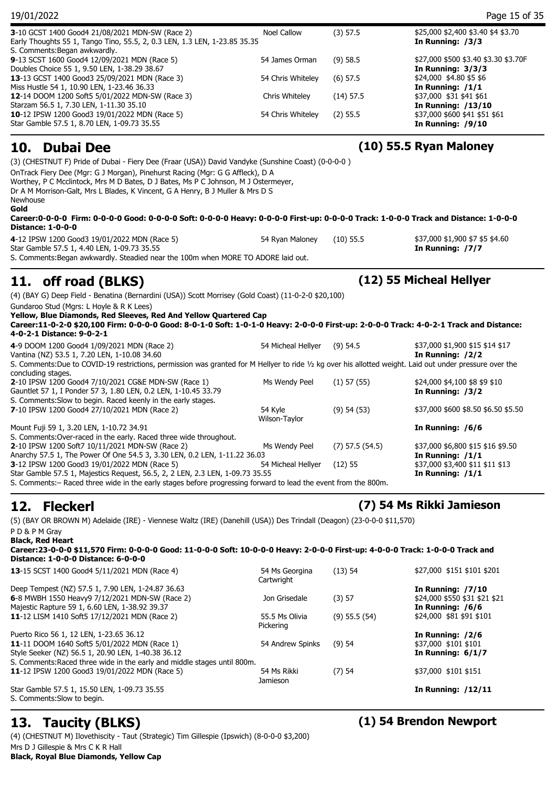| 19/01/2022                                                                                                                                                                                                                                                                                                                                                   |                          |                     | Page 15 of 35                                               |
|--------------------------------------------------------------------------------------------------------------------------------------------------------------------------------------------------------------------------------------------------------------------------------------------------------------------------------------------------------------|--------------------------|---------------------|-------------------------------------------------------------|
| 3-10 GCST 1400 Good4 21/08/2021 MDN-SW (Race 2)<br>Early Thoughts 55 1, Tango Tino, 55.5, 2, 0.3 LEN, 1.3 LEN, 1-23.85 35.35<br>S. Comments: Began awkwardly.                                                                                                                                                                                                | <b>Noel Callow</b>       | (3) 57.5            | \$25,000 \$2,400 \$3.40 \$4 \$3.70<br>In Running: /3/3      |
| 9-13 SCST 1600 Good4 12/09/2021 MDN (Race 5)<br>Doubles Choice 55 1, 9.50 LEN, 1-38.29 38.67                                                                                                                                                                                                                                                                 | 54 James Orman           | $(9)$ 58.5          | \$27,000 \$500 \$3.40 \$3.30 \$3.70F<br>In Running: $3/3/3$ |
| 13-13 GCST 1400 Good3 25/09/2021 MDN (Race 3)<br>Miss Hustle 54 1, 10.90 LEN, 1-23.46 36.33                                                                                                                                                                                                                                                                  | 54 Chris Whiteley        | $(6)$ 57.5          | \$24,000 \$4.80 \$5 \$6<br>In Running: /1/1                 |
| 12-14 DOOM 1200 Soft5 5/01/2022 MDN-SW (Race 3)<br>Starzam 56.5 1, 7.30 LEN, 1-11.30 35.10                                                                                                                                                                                                                                                                   | Chris Whiteley           | $(14)$ 57.5         | \$37,000 \$31 \$41 \$61<br><b>In Running: /13/10</b>        |
| <b>10-12 IPSW 1200 Good3 19/01/2022 MDN (Race 5)</b><br>Star Gamble 57.5 1, 8.70 LEN, 1-09.73 35.55                                                                                                                                                                                                                                                          | 54 Chris Whiteley        | $(2)$ 55.5          | \$37,000 \$600 \$41 \$51 \$61<br>In Running: $/9/10$        |
| <b>Dubai Dee</b><br>10.                                                                                                                                                                                                                                                                                                                                      |                          |                     | (10) 55.5 Ryan Maloney                                      |
| (3) (CHESTNUT F) Pride of Dubai - Fiery Dee (Fraar (USA)) David Vandyke (Sunshine Coast) (0-0-0-0)                                                                                                                                                                                                                                                           |                          |                     |                                                             |
| Worthey, P C Mcclintock, Mrs M D Bates, D J Bates, Ms P C Johnson, M J Ostermeyer,<br>Dr A M Morrison-Galt, Mrs L Blades, K Vincent, G A Henry, B J Muller & Mrs D S<br>Newhouse<br>Gold<br>Career:0-0-0-0 Firm: 0-0-0-0 Good: 0-0-0-0 Soft: 0-0-0-0 Heavy: 0-0-0-0 First-up: 0-0-0-0 Track: 1-0-0-0 Track and Distance: 1-0-0-0<br><b>Distance: 1-0-0-0</b> |                          |                     |                                                             |
| 4-12 IPSW 1200 Good3 19/01/2022 MDN (Race 5)<br>Star Gamble 57.5 1, 4.40 LEN, 1-09.73 35.55<br>S. Comments: Began awkwardly. Steadied near the 100m when MORE TO ADORE laid out.                                                                                                                                                                             | 54 Ryan Maloney          | $(10)$ 55.5         | \$37,000 \$1,900 \$7 \$5 \$4.60<br>In Running: /7/7         |
|                                                                                                                                                                                                                                                                                                                                                              |                          |                     |                                                             |
| off road (BLKS)<br>11.                                                                                                                                                                                                                                                                                                                                       |                          |                     | (12) 55 Micheal Hellyer                                     |
| (4) (BAY G) Deep Field - Benatina (Bernardini (USA)) Scott Morrisey (Gold Coast) (11-0-2-0 \$20,100)                                                                                                                                                                                                                                                         |                          |                     |                                                             |
| Gundaroo Stud (Mgrs: L Hoyle & R K Lees)<br>Yellow, Blue Diamonds, Red Sleeves, Red And Yellow Quartered Cap<br>Career:11-0-2-0 \$20,100 Firm: 0-0-0-0 Good: 8-0-1-0 Soft: 1-0-1-0 Heavy: 2-0-0-0 First-up: 2-0-0-0 Track: 4-0-2-1 Track and Distance:<br>4-0-2-1 Distance: 9-0-2-1                                                                          |                          |                     |                                                             |
| 4-9 DOOM 1200 Good4 1/09/2021 MDN (Race 2)<br>Vantina (NZ) 53.5 1, 7.20 LEN, 1-10.08 34.60                                                                                                                                                                                                                                                                   | 54 Micheal Hellyer       | $(9)$ 54.5          | \$37,000 \$1,900 \$15 \$14 \$17<br>In Running: /2/2         |
| S. Comments:Due to COVID-19 restrictions, permission was granted for M Hellyer to ride 1/2 kg over his allotted weight. Laid out under pressure over the                                                                                                                                                                                                     |                          |                     |                                                             |
| concluding stages.<br>2-10 IPSW 1200 Good4 7/10/2021 CG&E MDN-SW (Race 1)<br>Gauntlet 57 1, I Ponder 57 3, 1.80 LEN, 0.2 LEN, 1-10.45 33.79<br>S. Comments: Slow to begin. Raced keenly in the early stages.                                                                                                                                                 | Ms Wendy Peel            | $(1)$ 57 $(55)$     | \$24,000 \$4,100 \$8 \$9 \$10<br>In Running: /3/2           |
| 7-10 IPSW 1200 Good4 27/10/2021 MDN (Race 2)                                                                                                                                                                                                                                                                                                                 | 54 Kyle<br>Wilson-Taylor | (9) 54 (53)         | \$37,000 \$600 \$8.50 \$6.50 \$5.50                         |
| Mount Fuji 59 1, 3.20 LEN, 1-10.72 34.91                                                                                                                                                                                                                                                                                                                     |                          |                     | In Running: /6/6                                            |
| S. Comments: Over-raced in the early. Raced three wide throughout.                                                                                                                                                                                                                                                                                           |                          |                     |                                                             |
| <b>2-10 IPSW 1200 Soft7 10/11/2021 MDN-SW (Race 2)</b><br>Anarchy 57.5 1, The Power Of One 54.5 3, 3.30 LEN, 0.2 LEN, 1-11.22 36.03                                                                                                                                                                                                                          | Ms Wendy Peel            | $(7)$ 57.5 $(54.5)$ | \$37,000 \$6,800 \$15 \$16 \$9.50<br>In Running: $/1/1$     |
| 3-12 IPSW 1200 Good3 19/01/2022 MDN (Race 5)                                                                                                                                                                                                                                                                                                                 | 54 Micheal Hellyer       | $(12)$ 55           | \$37,000 \$3,400 \$11 \$11 \$13                             |

S. Comments:– Raced three wide in the early stages before progressing forward to lead the event from the 800m.

**12. Fleckerl (7) 54 Ms Rikki Jamieson** 

(5) (BAY OR BROWN M) Adelaide (IRE) - Viennese Waltz (IRE) (Danehill (USA)) Des Trindall (Deagon) (23-0-0-0 \$11,570) P D & P M Gray

**Black, Red Heart Career:23-0-0-0 \$11,570 Firm: 0-0-0-0 Good: 11-0-0-0 Soft: 10-0-0-0 Heavy: 2-0-0-0 First-up: 4-0-0-0 Track: 1-0-0-0 Track and Distance: 1-0-0-0 Distance: 6-0-0-0**

Star Gamble 57.5 1, Majestics Request, 56.5, 2, 2 LEN, 2.3 LEN, 1-09.73 35.55 **In Running: /1/1** 

| 13-15 SCST 1400 Good4 5/11/2021 MDN (Race 4)                             | 54 Ms Georgina<br>Cartwright | $(13)$ 54         | \$27,000 \$151 \$101 \$201    |
|--------------------------------------------------------------------------|------------------------------|-------------------|-------------------------------|
| Deep Tempest (NZ) 57.5 1, 7.90 LEN, 1-24.87 36.63                        |                              |                   | In Running: $/7/10$           |
| 6-8 MWBH 1550 Heavy9 7/12/2021 MDN-SW (Race 2)                           | Jon Grisedale                | (3) 57            | \$24,000 \$550 \$31 \$21 \$21 |
| Majestic Rapture 59 1, 6.60 LEN, 1-38.92 39.37                           |                              |                   | In Running: /6/6              |
| 11-12 LISM 1410 Soft5 17/12/2021 MDN (Race 2)                            | 55.5 Ms Olivia<br>Pickering  | $(9)$ 55.5 $(54)$ | \$24,000 \$81 \$91 \$101      |
| Puerto Rico 56 1, 12 LEN, 1-23.65 36.12                                  |                              |                   | In Running: /2/6              |
| 11-11 DOOM 1640 Soft5 5/01/2022 MDN (Race 1)                             | 54 Andrew Spinks             | (9)54             | \$37,000 \$101 \$101          |
| Style Seeker (NZ) 56.5 1, 20.90 LEN, 1-40.38 36.12                       |                              |                   | In Running: $6/1/7$           |
| S. Comments: Raced three wide in the early and middle stages until 800m. |                              |                   |                               |
| 11-12 IPSW 1200 Good3 19/01/2022 MDN (Race 5)                            | 54 Ms Rikki<br>Jamieson      | $(7)$ 54          | \$37,000 \$101 \$151          |
| Star Gamble 57.5 1, 15.50 LEN, 1-09.73 35.55                             |                              |                   | <b>In Running: /12/11</b>     |
| S. Comments: Slow to begin.                                              |                              |                   |                               |

## **13. Taucity (BLKS) (1) 54 Brendon Newport**

(4) (CHESTNUT M) Ilovethiscity - Taut (Strategic) Tim Gillespie (Ipswich) (8-0-0-0 \$3,200) Mrs D J Gillespie & Mrs C K R Hall **Black, Royal Blue Diamonds, Yellow Cap**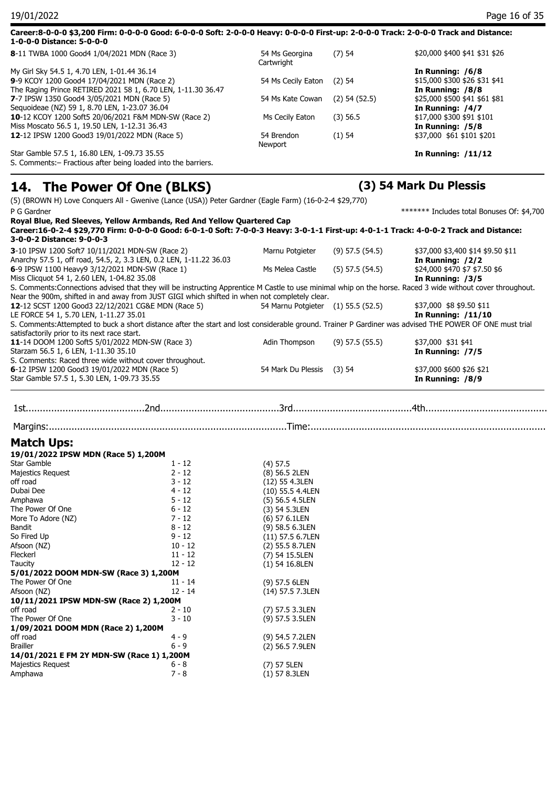| Career:8-0-0-0 \$3,200 Firm: 0-0-0-0 Good: 6-0-0-0 Soft: 2-0-0-0 Heavy: 0-0-0-0 First-up: 2-0-0-0 Track: 2-0-0-0 Track and Distance:<br>1-0-0-0 Distance: 5-0-0-0 |                              |                   |                               |
|-------------------------------------------------------------------------------------------------------------------------------------------------------------------|------------------------------|-------------------|-------------------------------|
| 8-11 TWBA 1000 Good4 1/04/2021 MDN (Race 3)                                                                                                                       | 54 Ms Georgina<br>Cartwright | $(7)$ 54          | \$20,000 \$400 \$41 \$31 \$26 |
| My Girl Sky 54.5 1, 4.70 LEN, 1-01.44 36.14                                                                                                                       |                              |                   | In Running: /6/8              |
| 9-9 KCOY 1200 Good4 17/04/2021 MDN (Race 2)                                                                                                                       | 54 Ms Cecily Eaton           | $(2)$ 54          | \$15,000 \$300 \$26 \$31 \$41 |
| The Raging Prince RETIRED 2021 58 1, 6.70 LEN, 1-11.30 36.47                                                                                                      |                              |                   | In Running: /8/8              |
| 7-7 IPSW 1350 Good4 3/05/2021 MDN (Race 5)                                                                                                                        | 54 Ms Kate Cowan             | $(2)$ 54 $(52.5)$ | \$25,000 \$500 \$41 \$61 \$81 |
| Sequoideae (NZ) 59 1, 8.70 LEN, 1-23.07 36.04                                                                                                                     |                              |                   | In Running: /4/7              |
| 10-12 KCOY 1200 Soft5 20/06/2021 F&M MDN-SW (Race 2)                                                                                                              | Ms Cecily Eaton              | $(3)$ 56.5        | \$17,000 \$300 \$91 \$101     |
| Miss Moscato 56.5 1, 19.50 LEN, 1-12.31 36.43                                                                                                                     |                              |                   | In Running: /5/8              |
| 12-12 IPSW 1200 Good3 19/01/2022 MDN (Race 5)                                                                                                                     | 54 Brendon                   | $(1)$ 54          | \$37,000 \$61 \$101 \$201     |
|                                                                                                                                                                   | Newport                      |                   |                               |
| Star Gamble 57.5 1, 16.80 LEN, 1-09.73 35.55                                                                                                                      |                              |                   | In Running: $/11/12$          |
| S. Comments: - Fractious after being loaded into the barriers.                                                                                                    |                              |                   |                               |

### **14. The Power Of One (BLKS) (3) 54 Mark Du Plessis**

(5) (BROWN H) Love Conquers All - Gwenive (Lance (USA)) Peter Gardner (Eagle Farm) (16-0-2-4 \$29,770)

| P G Gardner                                                        |                                                                                               |                                    |                     | ******* Includes total Bonuses Of: \$4,700                                                                                                                  |
|--------------------------------------------------------------------|-----------------------------------------------------------------------------------------------|------------------------------------|---------------------|-------------------------------------------------------------------------------------------------------------------------------------------------------------|
|                                                                    | Royal Blue, Red Sleeves, Yellow Armbands, Red And Yellow Quartered Cap                        |                                    |                     |                                                                                                                                                             |
|                                                                    |                                                                                               |                                    |                     | Career:16-0-2-4 \$29,770 Firm: 0-0-0-0 Good: 6-0-1-0 Soft: 7-0-0-3 Heavy: 3-0-1-1 First-up: 4-0-1-1 Track: 4-0-0-2 Track and Distance:                      |
| 3-0-0-2 Distance: 9-0-0-3                                          |                                                                                               |                                    |                     |                                                                                                                                                             |
| 3-10 IPSW 1200 Soft7 10/11/2021 MDN-SW (Race 2)                    |                                                                                               | Marnu Potgieter                    | $(9)$ 57.5 $(54.5)$ | \$37,000 \$3,400 \$14 \$9.50 \$11                                                                                                                           |
| Anarchy 57.5 1, off road, 54.5, 2, 3.3 LEN, 0.2 LEN, 1-11.22 36.03 |                                                                                               |                                    |                     | In Running: /2/2                                                                                                                                            |
| 6-9 IPSW 1100 Heavy9 3/12/2021 MDN-SW (Race 1)                     |                                                                                               | Ms Melea Castle                    | $(5)$ 57.5 $(54.5)$ | \$24,000 \$470 \$7 \$7.50 \$6                                                                                                                               |
| Miss Clicquot 54 1, 2.60 LEN, 1-04.82 35.08                        |                                                                                               |                                    |                     | In Running: /3/5                                                                                                                                            |
|                                                                    |                                                                                               |                                    |                     | S. Comments: Connections advised that they will be instructing Apprentice M Castle to use minimal whip on the horse. Raced 3 wide without cover throughout. |
|                                                                    | Near the 900m, shifted in and away from JUST GIGI which shifted in when not completely clear. |                                    |                     |                                                                                                                                                             |
| 12-12 SCST 1200 Good3 22/12/2021 CG&E MDN (Race 5)                 |                                                                                               | 54 Marnu Potgieter (1) 55.5 (52.5) |                     | \$37,000 \$8 \$9.50 \$11                                                                                                                                    |
| LE FORCE 54 1, 5.70 LEN, 1-11.27 35.01                             |                                                                                               |                                    |                     | <b>In Running: /11/10</b>                                                                                                                                   |
|                                                                    |                                                                                               |                                    |                     | S. Comments: Attempted to buck a short distance after the start and lost considerable ground. Trainer P Gardiner was advised THE POWER OF ONE must trial    |
| satisfactorily prior to its next race start.                       |                                                                                               |                                    |                     |                                                                                                                                                             |
| 11-14 DOOM 1200 Soft5 5/01/2022 MDN-SW (Race 3)                    |                                                                                               | Adin Thompson                      | $(9)$ 57.5 $(55.5)$ | \$37,000 \$31 \$41                                                                                                                                          |
| Starzam 56.5 1, 6 LEN, 1-11.30 35.10                               |                                                                                               |                                    |                     | In Running: /7/5                                                                                                                                            |
| S. Comments: Raced three wide without cover throughout.            |                                                                                               |                                    |                     |                                                                                                                                                             |
| 6-12 IPSW 1200 Good3 19/01/2022 MDN (Race 5)                       |                                                                                               | 54 Mark Du Plessis                 | $(3)$ 54            | \$37,000 \$600 \$26 \$21                                                                                                                                    |
| Star Gamble 57.5 1, 5.30 LEN, 1-09.73 35.55                        |                                                                                               |                                    |                     | In Running: /8/9                                                                                                                                            |
|                                                                    |                                                                                               |                                    |                     |                                                                                                                                                             |
|                                                                    |                                                                                               |                                    |                     |                                                                                                                                                             |
|                                                                    |                                                                                               |                                    |                     |                                                                                                                                                             |
|                                                                    |                                                                                               |                                    |                     |                                                                                                                                                             |
|                                                                    |                                                                                               |                                    |                     |                                                                                                                                                             |
|                                                                    |                                                                                               |                                    |                     |                                                                                                                                                             |
| <b>Match Ups:</b>                                                  |                                                                                               |                                    |                     |                                                                                                                                                             |
| 19/01/2022 IPSW MDN (Race 5) 1,200M                                |                                                                                               |                                    |                     |                                                                                                                                                             |
| <b>Star Gamble</b>                                                 | $1 - 12$                                                                                      | $(4)$ 57.5                         |                     |                                                                                                                                                             |
| <b>Majestics Request</b>                                           | $2 - 12$                                                                                      | (8) 56.5 2LEN                      |                     |                                                                                                                                                             |
| off road                                                           | $3 - 12$                                                                                      | (12) 55 4.3LEN                     |                     |                                                                                                                                                             |
| Dubai Dee                                                          | $4 - 12$                                                                                      | (10) 55.5 4.4LEN                   |                     |                                                                                                                                                             |
| Amphawa                                                            | $5 - 12$                                                                                      | (5) 56.5 4.5LEN                    |                     |                                                                                                                                                             |
| The Power Of One                                                   | $6 - 12$                                                                                      | (3) 54 5.3LEN                      |                     |                                                                                                                                                             |
| More To Adore (NZ)                                                 | $7 - 12$                                                                                      | (6) 57 6.1LEN                      |                     |                                                                                                                                                             |
| Bandit                                                             | 8 - 12                                                                                        | (9) 58.5 6.3LEN                    |                     |                                                                                                                                                             |
| So Fired Up                                                        | $9 - 12$                                                                                      | $(11)$ 57.5 6.7LEN                 |                     |                                                                                                                                                             |
| Afsoon (NZ)                                                        | $10 - 12$                                                                                     | (2) 55.5 8.7LEN                    |                     |                                                                                                                                                             |
| Fleckerl                                                           | $11 - 12$                                                                                     | (7) 54 15.5LEN                     |                     |                                                                                                                                                             |
| Taucity                                                            | $12 - 12$                                                                                     |                                    |                     |                                                                                                                                                             |
| 5/01/2022 DOOM MDN-SW (Race 3) 1,200M                              |                                                                                               | (1) 54 16.8LEN                     |                     |                                                                                                                                                             |
| The Power Of One                                                   | $11 - 14$                                                                                     | (9) 57.5 6LEN                      |                     |                                                                                                                                                             |
| Afsoon (NZ)                                                        | $12 - 14$                                                                                     |                                    |                     |                                                                                                                                                             |
| 10/11/2021 IPSW MDN-SW (Race 2) 1,200M                             |                                                                                               | (14) 57.5 7.3LEN                   |                     |                                                                                                                                                             |
| off road                                                           | 2 - 10                                                                                        | (7) 57.5 3.3LEN                    |                     |                                                                                                                                                             |
| The Power Of One                                                   | $3 - 10$                                                                                      | (9) 57.5 3.5LEN                    |                     |                                                                                                                                                             |
|                                                                    |                                                                                               |                                    |                     |                                                                                                                                                             |
| 1/09/2021 DOOM MDN (Race 2) 1,200M<br>off road                     | $4 - 9$                                                                                       |                                    |                     |                                                                                                                                                             |
| <b>Brailler</b>                                                    | $6 - 9$                                                                                       | (9) 54.5 7.2LEN                    |                     |                                                                                                                                                             |
|                                                                    |                                                                                               | (2) 56.5 7.9LEN                    |                     |                                                                                                                                                             |
| 14/01/2021 E FM 2Y MDN-SW (Race 1) 1,200M                          | $6 - 8$                                                                                       |                                    |                     |                                                                                                                                                             |
| Majestics Request<br>Amphawa                                       | $7 - 8$                                                                                       | (7) 57 5LEN                        |                     |                                                                                                                                                             |
|                                                                    |                                                                                               | $(1)$ 57 8.3LEN                    |                     |                                                                                                                                                             |
|                                                                    |                                                                                               |                                    |                     |                                                                                                                                                             |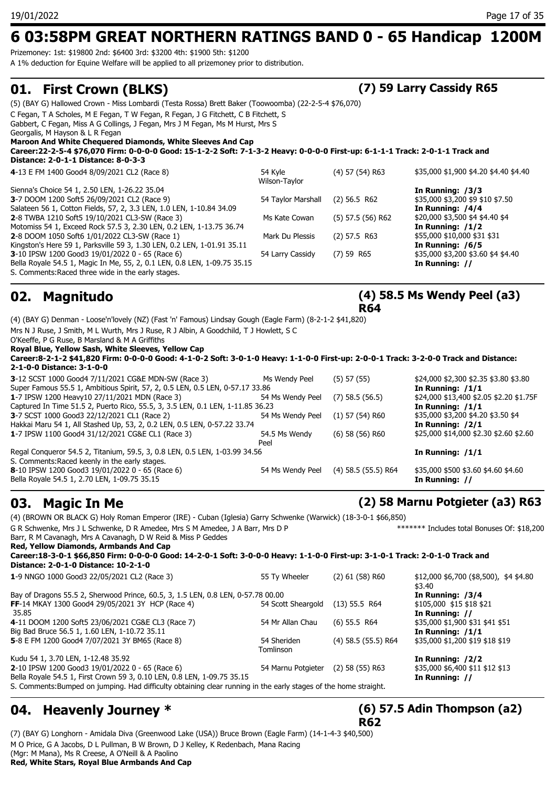## **6 03:58PM GREAT NORTHERN RATINGS BAND 0 - 65 Handicap 1200M**

Prizemoney: 1st: \$19800 2nd: \$6400 3rd: \$3200 4th: \$1900 5th: \$1200 A 1% deduction for Equine Welfare will be applied to all prizemoney prior to distribution.

## **01. First Crown (BLKS) (7) 59 Larry Cassidy R65**

| <u>.</u>                                                                                                                                                             |                          |                     |                                       |
|----------------------------------------------------------------------------------------------------------------------------------------------------------------------|--------------------------|---------------------|---------------------------------------|
| (5) (BAY G) Hallowed Crown - Miss Lombardi (Testa Rossa) Brett Baker (Toowoomba) (22-2-5-4 \$76,070)                                                                 |                          |                     |                                       |
| C Fegan, T A Scholes, M E Fegan, T W Fegan, R Fegan, J G Fitchett, C B Fitchett, S<br>Gabbert, C Fegan, Miss A G Collings, J Fegan, Mrs J M Fegan, Ms M Hurst, Mrs S |                          |                     |                                       |
| Georgalis, M Hayson & L R Fegan                                                                                                                                      |                          |                     |                                       |
| Maroon And White Chequered Diamonds, White Sleeves And Cap                                                                                                           |                          |                     |                                       |
| Career:22-2-5-4 \$76,070 Firm: 0-0-0-0 Good: 15-1-2-2 Soft: 7-1-3-2 Heavy: 0-0-0-0 First-up: 6-1-1-1 Track: 2-0-1-1 Track and                                        |                          |                     |                                       |
| Distance: 2-0-1-1 Distance: 8-0-3-3                                                                                                                                  |                          |                     |                                       |
| 4-13 E FM 1400 Good4 8/09/2021 CL2 (Race 8)                                                                                                                          | 54 Kyle<br>Wilson-Taylor | $(4)$ 57 $(54)$ R63 | \$35,000 \$1,900 \$4.20 \$4.40 \$4.40 |
| Sienna's Choice 54 1, 2.50 LEN, 1-26.22 35.04                                                                                                                        |                          |                     | In Running: $/3/3$                    |
| 3-7 DOOM 1200 Soft5 26/09/2021 CL2 (Race 9)                                                                                                                          | 54 Taylor Marshall       | $(2)$ 56.5 R62      | \$35,000 \$3,200 \$9 \$10 \$7.50      |
| Salateen 56 1, Cotton Fields, 57, 2, 3.3 LEN, 1.0 LEN, 1-10.84 34.09                                                                                                 |                          |                     | In Running: $/4/4$                    |
| <b>2-8 TWBA 1210 Soft5 19/10/2021 CL3-SW (Race 3)</b>                                                                                                                | Ms Kate Cowan            | $(5)$ 57.5 (56) R62 | \$20,000 \$3,500 \$4 \$4.40 \$4       |
| Motomiss 54 1, Exceed Rock 57.5 3, 2.30 LEN, 0.2 LEN, 1-13.75 36.74                                                                                                  |                          |                     | In Running: $/1/2$                    |
| 2-8 DOOM 1050 Soft6 1/01/2022 CL3-SW (Race 1)                                                                                                                        | Mark Du Plessis          | $(2)$ 57.5 R63      | \$55,000 \$10,000 \$31 \$31           |
| Kingston's Here 59 1, Parksville 59 3, 1.30 LEN, 0.2 LEN, 1-01.91 35.11                                                                                              |                          |                     | In Running: /6/5                      |
| 3-10 IPSW 1200 Good3 19/01/2022 0 - 65 (Race 6)                                                                                                                      | 54 Larry Cassidy         | $(7)$ 59 R65        | \$35,000 \$3,200 \$3.60 \$4 \$4.40    |
| Bella Royale 54.5 1, Magic In Me, 55, 2, 0.1 LEN, 0.8 LEN, 1-09.75 35.15                                                                                             |                          |                     | In Running: //                        |
| S. Comments: Raced three wide in the early stages.                                                                                                                   |                          |                     |                                       |

## **02. Magnitudo**

### **(4) 58.5 Ms Wendy Peel (a3) R64**

(4) (BAY G) Denman - Loose'n'lovely (NZ) (Fast 'n' Famous) Lindsay Gough (Eagle Farm) (8-2-1-2 \$41,820) Mrs N J Ruse, J Smith, M L Wurth, Mrs J Ruse, R J Albin, A Goodchild, T J Howlett, S C O'Keeffe, P G Ruse, B Marsland & M A Griffiths **Royal Blue, Yellow Sash, White Sleeves, Yellow Cap Career:8-2-1-2 \$41,820 Firm: 0-0-0-0 Good: 4-1-0-2 Soft: 3-0-1-0 Heavy: 1-1-0-0 First-up: 2-0-0-1 Track: 3-2-0-0 Track and Distance: 2-1-0-0 Distance: 3-1-0-0 3**-12 SCST 1000 Good4 7/11/2021 CG&E MDN-SW (Race 3) Ms Wendy Peel (5) 57 (55) \$24,000 \$2,300 \$2.35 \$3.80 \$3.80 Super Famous 55.5 1, Ambitious Spirit, 57, 2, 0.5 LEN, 0.5 LEN, 0-57.17 33.86 **In Running: /1/1**<br>1-7 IPSW 1200 Heavy10 27/11/2021 MDN (Race 3) 54 Ms Wendy Peel (7) 58.5 (56.5) \$24,000 \$13,400 \$2.05 \$2.20 \$1.75F **1**-7 IPSW 1200 Heavy10 27/11/2021 MDN (Race 3) 54 Ms Wendy Peel (7) 58.5 (56.5) Captured In Time 51.5 2, Puerto Rico, 55.5, 3, 3.5 LEN, 0.1 LEN, 1-11.85 36.23 **In Running: /1/1 3**-7 SCST 1000 Good3 22/12/2021 CL1 (Race 2) 54 Ms Wendy Peel (1) 57 (54) R60 \$35,000 \$3,200 \$4.20 \$3.50 \$4 Hakkai Maru 54 1, All Stashed Up, 53, 2, 0.2 LEN, 0.5 LEN, 0-57.22 33.74 **In Running: /2/1 1**-7 IPSW 1100 Good4 31/12/2021 CG&E CL1 (Race 3) 54.5 Ms Wendy Peel (6) 58 (56) R60 \$25,000 \$14,000 \$2.30 \$2.60 \$2.60 Regal Conqueror 54.5 2, Titanium, 59.5, 3, 0.8 LEN, 0.5 LEN, 1-03.99 34.56 **In Running: /1/1** S. Comments:Raced keenly in the early stages. **8**-10 IPSW 1200 Good3 19/01/2022 0 - 65 (Race 6) 54 Ms Wendy Peel (4) 58.5 (55.5) R64 \$35,000 \$500 \$3.60 \$4.60 \$4.60 Bella Royale 54.5 1, 2.70 LEN, 1-09.75 35.15 **In Running: //**

### **03. Magic In Me (2) 58 Marnu Potgieter (a3) R63**

(4) (BROWN OR BLACK G) Holy Roman Emperor (IRE) - Cuban (Iglesia) Garry Schwenke (Warwick) (18-3-0-1 \$66,850) G R Schwenke, Mrs J L Schwenke, D R Amedee, Mrs S M Amedee, J A Barr, Mrs D P Barr, R M Cavanagh, Mrs A Cavanagh, D W Reid & Miss P Geddes \*\*\*\*\*\*\* Includes total Bonuses Of: \$18,200 **Red, Yellow Diamonds, Armbands And Cap Career:18-3-0-1 \$66,850 Firm: 0-0-0-0 Good: 14-2-0-1 Soft: 3-0-0-0 Heavy: 1-1-0-0 First-up: 3-1-0-1 Track: 2-0-1-0 Track and Distance: 2-0-1-0 Distance: 10-2-1-0 1**-9 NNGO 1000 Good3 22/05/2021 CL2 (Race 3) 55 Ty Wheeler (2) 61 (58) R60 \$12,000 \$6,700 (\$8,500), \$4 \$4.80 \$3.40 Bay of Dragons 55.5 2, Sherwood Prince, 60.5, 3, 1.5 LEN, 0.8 LEN, 0-57.78 00.00<br>**FF**-14 MKAY 1300 Good4 29/05/2021 3Y HCP (Race 4) 54 Scott Sheargold (13) 55.5 R64 \$105,000 \$15 \$18 \$21 **FF**-14 MKAY 1300 Good4 29/05/2021 3Y HCP (Race 4) 54 Scott Sheargold (13) 55.5 R64 35.85 **In Running: // 4**-11 DOOM 1200 Soft5 23/06/2021 CG&E CL3 (Race 7) Big Bad Bruce 56.5 1, 1.60 LEN, 1-10.72 35.11 **In Running: /1/1 5**-8 E FM 1200 Good4 7/07/2021 3Y BM65 (Race 8) Tomlinson Kudu 54 1, 3.70 LEN, 1-12.48 35.92 **In Running: /2/2 2**-10 IPSW 1200 Good3 19/01/2022 0 - 65 (Race 6) 54 Marnu Potgieter (2) 58 (55) R63 \$35,000 \$6,400 \$11 \$12 \$13 Bella Royale 54.5 1, First Crown 59 3, 0.10 LEN, 0.8 LEN, 1-09.75 35.15 **In Running: //** S. Comments:Bumped on jumping. Had difficulty obtaining clear running in the early stages of the home straight.

### **04. Heavenly Journey \***

## **(6) 57.5 Adin Thompson (a2)**

(7) (BAY G) Longhorn - Amidala Diva (Greenwood Lake (USA)) Bruce Brown (Eagle Farm) (14-1-4-3 \$40,500) M O Price, G A Jacobs, D L Pullman, B W Brown, D J Kelley, K Redenbach, Mana Racing (Mgr: M Mana), Ms R Creese, A O'Neill & A Paolino

**Red, White Stars, Royal Blue Armbands And Cap**

### (4) 58.5 (55.5) R64 \$35,000 \$1,200 \$19 \$18 \$19

**R62**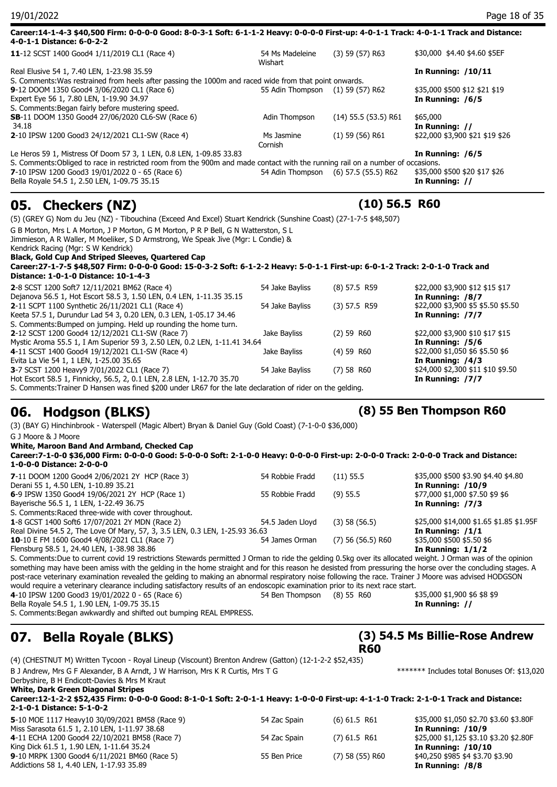| 19/01/2022                                                                                                                                                          |                                  |                          | Page 18 of 35                   |
|---------------------------------------------------------------------------------------------------------------------------------------------------------------------|----------------------------------|--------------------------|---------------------------------|
| Career:14-1-4-3 \$40,500 Firm: 0-0-0-0 Good: 8-0-3-1 Soft: 6-1-1-2 Heavy: 0-0-0-0 First-up: 4-0-1-1 Track: 4-0-1-1 Track and Distance:<br>4-0-1-1 Distance: 6-0-2-2 |                                  |                          |                                 |
| 11-12 SCST 1400 Good4 1/11/2019 CL1 (Race 4)                                                                                                                        | 54 Ms Madeleine<br>Wishart       | $(3)$ 59 $(57)$ R63      | \$30,000 \$4.40 \$4.60 \$5EF    |
| Real Elusive 54 1, 7.40 LEN, 1-23.98 35.59                                                                                                                          |                                  |                          | In Running: /10/11              |
| S. Comments: Was restrained from heels after passing the 1000m and raced wide from that point onwards.                                                              |                                  |                          |                                 |
| 9-12 DOOM 1350 Good4 3/06/2020 CL1 (Race 6)                                                                                                                         | 55 Adin Thompson (1) 59 (57) R62 |                          | \$35,000 \$500 \$12 \$21 \$19   |
| Expert Eye 56 1, 7.80 LEN, 1-19.90 34.97                                                                                                                            |                                  |                          | In Running: /6/5                |
| S. Comments: Began fairly before mustering speed.                                                                                                                   |                                  |                          |                                 |
| <b>SB-11 DOOM 1350 Good4 27/06/2020 CL6-SW (Race 6)</b>                                                                                                             | Adin Thompson                    | $(14)$ 55.5 $(53.5)$ R61 | \$65,000                        |
| 34.18                                                                                                                                                               |                                  |                          | In Running: //                  |
| 2-10 IPSW 1200 Good3 24/12/2021 CL1-SW (Race 4)                                                                                                                     | Ms Jasmine                       | $(1)$ 59 (56) R61        | \$22,000 \$3,900 \$21 \$19 \$26 |
|                                                                                                                                                                     | Cornish                          |                          |                                 |
| Le Heros 59 1, Mistress Of Doom 57 3, 1 LEN, 0.8 LEN, 1-09.85 33.83                                                                                                 |                                  |                          | In Running: /6/5                |
|                                                                                                                                                                     |                                  |                          |                                 |

**05. Checkers (NZ) (10) 56.5 R60**

Bella Royale 54.5 1, 2.50 LEN, 1-09.75 35.15

| $(8)$ 57.5 R59<br>\$22,000 \$3,900 \$12 \$15 \$17<br>54 Jake Bayliss<br>In Running: /8/7<br>$(3)$ 57.5 R59<br>\$22,000 \$3,900 \$5 \$5.50 \$5.50<br>54 Jake Bayliss<br>In Running: /7/7<br>(2) 59 R60<br>\$22,000 \$3,900 \$10 \$17 \$15<br>Jake Bayliss<br>In Running: /5/6<br>$(4)$ 59 R60<br>\$22,000 \$1,050 \$6 \$5.50 \$6<br>Jake Bayliss<br>In Running: /4/3<br>$(7)$ 58 R60<br>54 Jake Bayliss<br>In Running: /7/7<br>S. Comments:Trainer D Hansen was fined \$200 under LR67 for the late declaration of rider on the gelding.                                                                                                                                                                                                                                                                                                                                                                                                     | 06.<br><b>Hodgson (BLKS)</b> |  | (8) 55 Ben Thompson R60           |
|---------------------------------------------------------------------------------------------------------------------------------------------------------------------------------------------------------------------------------------------------------------------------------------------------------------------------------------------------------------------------------------------------------------------------------------------------------------------------------------------------------------------------------------------------------------------------------------------------------------------------------------------------------------------------------------------------------------------------------------------------------------------------------------------------------------------------------------------------------------------------------------------------------------------------------------------|------------------------------|--|-----------------------------------|
| Kendrick Racing (Mgr: S W Kendrick)<br>Black, Gold Cup And Striped Sleeves, Quartered Cap<br>Career:27-1-7-5 \$48,507 Firm: 0-0-0-0 Good: 15-0-3-2 Soft: 6-1-2-2 Heavy: 5-0-1-1 First-up: 6-0-1-2 Track: 2-0-1-0 Track and<br>Distance: 1-0-1-0 Distance: 10-1-4-3<br>2-8 SCST 1200 Soft7 12/11/2021 BM62 (Race 4)<br>Dejanova 56.5 1, Hot Escort 58.5 3, 1.50 LEN, 0.4 LEN, 1-11.35 35.15<br>2-11 SCPT 1100 Synthetic 26/11/2021 CL1 (Race 4)<br>Keeta 57.5 1, Durundur Lad 54 3, 0.20 LEN, 0.3 LEN, 1-05.17 34.46<br>S. Comments:Bumped on jumping. Held up rounding the home turn.<br>2-12 SCST 1200 Good4 12/12/2021 CL1-SW (Race 7)<br>Mystic Aroma 55.5 1, I Am Superior 59 3, 2.50 LEN, 0.2 LEN, 1-11.41 34.64<br>4-11 SCST 1400 Good4 19/12/2021 CL1-SW (Race 4)<br>Evita La Vie 54 1, 1 LEN, 1-25.00 35.65<br>3-7 SCST 1200 Heavy9 7/01/2022 CL1 (Race 7)<br>Hot Escort 58.5 1, Finnicky, 56.5, 2, 0.1 LEN, 2.8 LEN, 1-12.70 35.70 |                              |  |                                   |
|                                                                                                                                                                                                                                                                                                                                                                                                                                                                                                                                                                                                                                                                                                                                                                                                                                                                                                                                             |                              |  |                                   |
|                                                                                                                                                                                                                                                                                                                                                                                                                                                                                                                                                                                                                                                                                                                                                                                                                                                                                                                                             |                              |  | \$24,000 \$2,300 \$11 \$10 \$9.50 |
|                                                                                                                                                                                                                                                                                                                                                                                                                                                                                                                                                                                                                                                                                                                                                                                                                                                                                                                                             |                              |  |                                   |
|                                                                                                                                                                                                                                                                                                                                                                                                                                                                                                                                                                                                                                                                                                                                                                                                                                                                                                                                             |                              |  |                                   |
|                                                                                                                                                                                                                                                                                                                                                                                                                                                                                                                                                                                                                                                                                                                                                                                                                                                                                                                                             |                              |  |                                   |
|                                                                                                                                                                                                                                                                                                                                                                                                                                                                                                                                                                                                                                                                                                                                                                                                                                                                                                                                             |                              |  |                                   |
|                                                                                                                                                                                                                                                                                                                                                                                                                                                                                                                                                                                                                                                                                                                                                                                                                                                                                                                                             |                              |  |                                   |
|                                                                                                                                                                                                                                                                                                                                                                                                                                                                                                                                                                                                                                                                                                                                                                                                                                                                                                                                             |                              |  |                                   |
|                                                                                                                                                                                                                                                                                                                                                                                                                                                                                                                                                                                                                                                                                                                                                                                                                                                                                                                                             |                              |  |                                   |
|                                                                                                                                                                                                                                                                                                                                                                                                                                                                                                                                                                                                                                                                                                                                                                                                                                                                                                                                             |                              |  |                                   |
|                                                                                                                                                                                                                                                                                                                                                                                                                                                                                                                                                                                                                                                                                                                                                                                                                                                                                                                                             |                              |  |                                   |
|                                                                                                                                                                                                                                                                                                                                                                                                                                                                                                                                                                                                                                                                                                                                                                                                                                                                                                                                             |                              |  |                                   |
|                                                                                                                                                                                                                                                                                                                                                                                                                                                                                                                                                                                                                                                                                                                                                                                                                                                                                                                                             |                              |  |                                   |
|                                                                                                                                                                                                                                                                                                                                                                                                                                                                                                                                                                                                                                                                                                                                                                                                                                                                                                                                             |                              |  |                                   |
| Jimmieson, A R Waller, M Moeliker, S D Armstrong, We Speak Jive (Mgr: L Condie) &                                                                                                                                                                                                                                                                                                                                                                                                                                                                                                                                                                                                                                                                                                                                                                                                                                                           |                              |  |                                   |
| G B Morton, Mrs L A Morton, J P Morton, G M Morton, P R P Bell, G N Watterston, S L                                                                                                                                                                                                                                                                                                                                                                                                                                                                                                                                                                                                                                                                                                                                                                                                                                                         |                              |  |                                   |
| (5) (GREY G) Nom du Jeu (NZ) - Tibouchina (Exceed And Excel) Stuart Kendrick (Sunshine Coast) (27-1-7-5 \$48,507)                                                                                                                                                                                                                                                                                                                                                                                                                                                                                                                                                                                                                                                                                                                                                                                                                           |                              |  |                                   |
| $\frac{1}{2}$                                                                                                                                                                                                                                                                                                                                                                                                                                                                                                                                                                                                                                                                                                                                                                                                                                                                                                                               |                              |  |                                   |

(3) (BAY G) Hinchinbrook - Waterspell (Magic Albert) Bryan & Daniel Guy (Gold Coast) (7-1-0-0 \$36,000)

G J Moore & J Moore

**White, Maroon Band And Armband, Checked Cap**

| Career:7-1-0-0 \$36,000 Firm: 0-0-0-0 Good: 5-0-0-0 Soft: 2-1-0-0 Heavy: 0-0-0-0 First-up: 2-0-0-0 Track: 2-0-0-0 Track and Distance:<br>1-0-0-0 Distance: 2-0-0-0 |                  |                     |                                         |
|--------------------------------------------------------------------------------------------------------------------------------------------------------------------|------------------|---------------------|-----------------------------------------|
| 7-11 DOOM 1200 Good4 2/06/2021 2Y HCP (Race 3)                                                                                                                     | 54 Robbie Fradd  | $(11)$ 55.5         | \$35,000 \$500 \$3.90 \$4.40 \$4.80     |
| Derani 55 1, 4.50 LEN, 1-10.89 35.21                                                                                                                               |                  |                     | In Running: $/10/9$                     |
| 6-9 IPSW 1350 Good4 19/06/2021 2Y HCP (Race 1)                                                                                                                     | 55 Robbie Fradd  | $(9)$ 55.5          | \$77,000 \$1,000 \$7.50 \$9 \$6         |
| Bayerische 56.5 1, 1 LEN, 1-22.49 36.75                                                                                                                            |                  |                     | In Running: /7/3                        |
| S. Comments: Raced three-wide with cover throughout.                                                                                                               |                  |                     |                                         |
| 1-8 GCST 1400 Soft6 17/07/2021 2Y MDN (Race 2)                                                                                                                     | 54.5 Jaden Lloyd | $(3)$ 58 (56.5)     | \$25,000 \$14,000 \$1.65 \$1.85 \$1.95F |
| Real Divine 54.5 2, The Love Of Mary, 57, 3, 3.5 LEN, 0.3 LEN, 1-25.93 36.63                                                                                       |                  |                     | In Running: $/1/1$                      |
| <b>10-10 E FM 1600 Good4 4/08/2021 CL1 (Race 7)</b>                                                                                                                | 54 James Orman   | $(7)$ 56 (56.5) R60 | \$35,000 \$500 \$5.50 \$6               |
| Flensburg 58.5 1, 24.40 LEN, 1-38.98 38.86                                                                                                                         |                  |                     | In Running: $1/1/2$                     |

S. Comments:Due to current covid 19 restrictions Stewards permitted J Orman to ride the gelding 0.5kg over its allocated weight. J Orman was of the opinion something may have been amiss with the gelding in the home straight and for this reason he desisted from pressuring the horse over the concluding stages. A post-race veterinary examination revealed the gelding to making an abnormal respiratory noise following the race. Trainer J Moore was advised HODGSON would require a veterinary clearance including satisfactory results of an endoscopic examination prior to its next race start.

**4**-10 IPSW 1200 Good3 19/01/2022 0 - 65 (Race 6) 54 Ben Thompson (8) 55 R60 \$35,000 \$1,900 \$6 \$8 \$9<br>Bella Royale 54.5 1, 1.90 LEN, 1-09.75 35.15 Bella Royale 54.5 1, 1.90 LEN, 1-09.75 35.15

S. Comments:Began awkwardly and shifted out bumping REAL EMPRESS.

## **07. Bella Royale (BLKS)**



(4) (CHESTNUT M) Written Tycoon - Royal Lineup (Viscount) Brenton Andrew (Gatton) (12-1-2-2 \$52,435) B J Andrew, Mrs G F Alexander, B A Arndt, J W Harrison, Mrs K R Curtis, Mrs T G Derbyshire, B H Endicott-Davies & Mrs M Kraut \*\*\*\*\*\*\* Includes total Bonuses Of: \$13,020 **White, Dark Green Diagonal Stripes Career:12-1-2-2 \$52,435 Firm: 0-0-0-0 Good: 8-1-0-1 Soft: 2-0-1-1 Heavy: 1-0-0-0 First-up: 4-1-1-0 Track: 2-1-0-1 Track and Distance: 2-1-0-1 Distance: 5-1-0-2 5**-10 MOE 1117 Heavy10 30/09/2021 BM58 (Race 9) 54 Zac Spain (6) 61.5 R61 \$35,000 \$1,050 \$2.70 \$3.60 \$3.80F Miss Sarasota 61.5 1, 2.10 LEN, 1-11.97 38.68 **In Running: /10/9 4**-11 ECHA 1200 Good4 22/10/2021 BM58 (Race 7) 54 Zac Spain (7) 61.5 R61 King Dick 61.5 1, 1.90 LEN, 1-11.64 35.24 **In Running: /10/10 9**-10 MRPK 1300 Good4 6/11/2021 BM60 (Race 5) 55 Ben Price (7) 58 (55) R60 \$40,250 \$985 \$4 \$3.70 \$3.90

S. Comments:Obliged to race in restricted room from the 900m and made contact with the running rail on a number of occasions.<br>7-10 IPSW 1200 Good3 19/01/2022 0 - 65 (Race 6) 58 Adin Thompson (6) 57.5 (55.5) R62 \$35,000 \$50 **7**-10 IPSW 1200 Good3 19/01/2022 0 - 65 (Race 6) 54 Adin Thompson (6) 57.5 (55.5) R62 \$35,000 \$500 \$20 \$20 \$20<br>|**// Bella Royale 54.5 1, 2.50 LEN, 1-09.75 35.15** 

Addictions 58 1, 4.40 LEN, 1-17.93 35.89 **In Running: /8/8**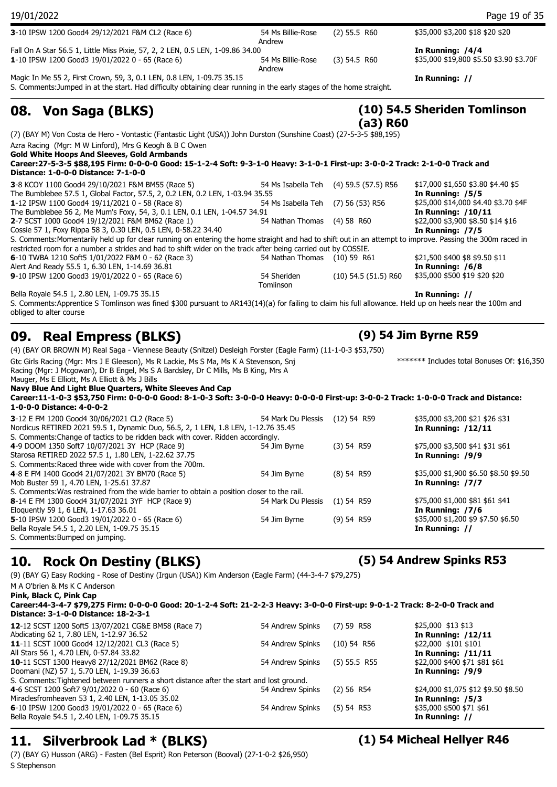| 19/01/2022                                                                                                                                                                                                                                                                                |                              |                                        | Page 19 of 35                                                |
|-------------------------------------------------------------------------------------------------------------------------------------------------------------------------------------------------------------------------------------------------------------------------------------------|------------------------------|----------------------------------------|--------------------------------------------------------------|
| 3-10 IPSW 1200 Good4 29/12/2021 F&M CL2 (Race 6)                                                                                                                                                                                                                                          | 54 Ms Billie-Rose<br>Andrew  | (2) 55.5 R60                           | \$35,000 \$3,200 \$18 \$20 \$20                              |
| Fall On A Star 56.5 1, Little Miss Pixie, 57, 2, 2 LEN, 0.5 LEN, 1-09.86 34.00<br>1-10 IPSW 1200 Good3 19/01/2022 0 - 65 (Race 6)                                                                                                                                                         | 54 Ms Billie-Rose            | $(3)$ 54.5 R60                         | In Running: /4/4<br>\$35,000 \$19,800 \$5.50 \$3.90 \$3.70F  |
| Magic In Me 55 2, First Crown, 59, 3, 0.1 LEN, 0.8 LEN, 1-09.75 35.15<br>S. Comments: Jumped in at the start. Had difficulty obtaining clear running in the early stages of the home straight.                                                                                            | Andrew                       |                                        | In Running: //                                               |
| 08. Von Saga (BLKS)                                                                                                                                                                                                                                                                       |                              | $(a3)$ R60                             | (10) 54.5 Sheriden Tomlinson                                 |
| (7) (BAY M) Von Costa de Hero - Vontastic (Fantastic Light (USA)) John Durston (Sunshine Coast) (27-5-3-5 \$88,195)                                                                                                                                                                       |                              |                                        |                                                              |
| Azra Racing (Mgr: M W Linford), Mrs G Keogh & B C Owen                                                                                                                                                                                                                                    |                              |                                        |                                                              |
| <b>Gold White Hoops And Sleeves, Gold Armbands</b><br>Career:27-5-3-5 \$88,195 Firm: 0-0-0-0 Good: 15-1-2-4 Soft: 9-3-1-0 Heavy: 3-1-0-1 First-up: 3-0-0-2 Track: 2-1-0-0 Track and<br>Distance: 1-0-0-0 Distance: 7-1-0-0                                                                |                              |                                        |                                                              |
| 3-8 KCOY 1100 Good4 29/10/2021 F&M BM55 (Race 5)                                                                                                                                                                                                                                          |                              | 54 Ms Isabella Teh (4) 59.5 (57.5) R56 | \$17,000 \$1,650 \$3.80 \$4.40 \$5                           |
| The Bumblebee 57.5 1, Global Factor, 57.5, 2, 0.2 LEN, 0.2 LEN, 1-03.94 35.55<br>1-12 IPSW 1100 Good4 19/11/2021 0 - 58 (Race 8)                                                                                                                                                          | 54 Ms Isabella Teh           | $(7)$ 56 (53) R56                      | In Running: /5/5<br>\$25,000 \$14,000 \$4.40 \$3.70 \$4F     |
| The Bumblebee 56 2, Me Mum's Foxy, 54, 3, 0.1 LEN, 0.1 LEN, 1-04.57 34.91                                                                                                                                                                                                                 |                              |                                        | <b>In Running: /10/11</b>                                    |
| 2-7 SCST 1000 Good4 19/12/2021 F&M BM62 (Race 1)                                                                                                                                                                                                                                          | 54 Nathan Thomas             | $(4)$ 58 R60                           | \$22,000 \$3,900 \$8.50 \$14 \$16<br>In Running: /7/5        |
| Cossie 57 1, Foxy Rippa 58 3, 0.30 LEN, 0.5 LEN, 0-58.22 34.40<br>S. Comments:Momentarily held up for clear running on entering the home straight and had to shift out in an attempt to improve. Passing the 300m raced in                                                                |                              |                                        |                                                              |
| restricted room for a number a strides and had to shift wider on the track after being carried out by COSSIE.                                                                                                                                                                             |                              |                                        |                                                              |
| 6-10 TWBA 1210 Soft5 1/01/2022 F&M 0 - 62 (Race 3)<br>Alert And Ready 55.5 1, 6.30 LEN, 1-14.69 36.81                                                                                                                                                                                     | 54 Nathan Thomas (10) 59 R61 |                                        | \$21,500 \$400 \$8 \$9.50 \$11<br>In Running: /6/8           |
| 9-10 IPSW 1200 Good3 19/01/2022 0 - 65 (Race 6)                                                                                                                                                                                                                                           | 54 Sheriden<br>Tomlinson     | $(10)$ 54.5 $(51.5)$ R60               | \$35,000 \$500 \$19 \$20 \$20                                |
| Bella Royale 54.5 1, 2.80 LEN, 1-09.75 35.15                                                                                                                                                                                                                                              |                              |                                        | In Running: //                                               |
| S. Comments: Apprentice S Tomlinson was fined \$300 pursuant to AR143(14)(a) for failing to claim his full allowance. Held up on heels near the 100m and<br>obliged to alter course                                                                                                       |                              |                                        |                                                              |
| <b>Real Empress (BLKS)</b><br>09.                                                                                                                                                                                                                                                         |                              |                                        | (9) 54 Jim Byrne R59                                         |
| (4) (BAY OR BROWN M) Real Saga - Viennese Beauty (Snitzel) Desleigh Forster (Eagle Farm) (11-1-0-3 \$53,750)                                                                                                                                                                              |                              |                                        |                                                              |
| Gtc Girls Racing (Mgr: Mrs J E Gleeson), Ms R Lackie, Ms S Ma, Ms K A Stevenson, Snj<br>Racing (Mgr: J Mcgowan), Dr B Engel, Ms S A Bardsley, Dr C Mills, Ms B King, Mrs A<br>Mauger, Ms E Elliott, Ms A Elliott & Ms J Bills<br>Navy Blue And Light Blue Quarters, White Sleeves And Cap |                              |                                        | ******* Includes total Bonuses Of: \$16,350                  |
| Career:11-1-0-3 \$53,750 Firm: 0-0-0-0 Good: 8-1-0-3 Soft: 3-0-0-0 Heavy: 0-0-0-0 First-up: 3-0-0-2 Track: 1-0-0-0 Track and Distance:<br>1-0-0-0 Distance: 4-0-0-2                                                                                                                       |                              |                                        |                                                              |
| 3-12 E FM 1200 Good4 30/06/2021 CL2 (Race 5)<br>Nordicus RETIRED 2021 59.5 1, Dynamic Duo, 56.5, 2, 1 LEN, 1.8 LEN, 1-12.76 35.45<br>S. Comments: Change of tactics to be ridden back with cover. Ridden accordingly.                                                                     | 54 Mark Du Plessis           | $(12)$ 54 R59                          | \$35,000 \$3,200 \$21 \$26 \$31<br><b>In Running: /12/11</b> |
| 4-9 DOOM 1350 Soft7 10/07/2021 3Y HCP (Race 9)<br>Starosa RETIRED 2022 57.5 1, 1.80 LEN, 1-22.62 37.75<br>S. Comments: Raced three wide with cover from the 700m.                                                                                                                         | 54 Jim Byrne                 | (3) 54 R59                             | \$75,000 \$3,500 \$41 \$31 \$61<br>In Running: /9/9          |

| 54 Jim Byrne | (8) 54 R59                                                                                 | \$35,000 \$1,900 \$6.50 \$8.50 \$9.50 |
|--------------|--------------------------------------------------------------------------------------------|---------------------------------------|
|              |                                                                                            | In Running: /7/7                      |
|              |                                                                                            |                                       |
|              |                                                                                            | \$75,000 \$1,000 \$81 \$61 \$41       |
|              |                                                                                            | In Running: /7/6                      |
| 54 Jim Byrne | $(9)$ 54 R59                                                                               | \$35,000 \$1,200 \$9 \$7.50 \$6.50    |
|              |                                                                                            | In Running: //                        |
|              | S. Comments: Was restrained from the wide barrier to obtain a position closer to the rail. | 54 Mark Du Plessis (1) 54 R59         |

### **10. Rock On Destiny (BLKS) (5) 54 Andrew Spinks R53**

(9) (BAY G) Easy Rocking - Rose of Destiny (Irgun (USA)) Kim Anderson (Eagle Farm) (44-3-4-7 \$79,275)

M A O'brien & Ms K C Anderson **Pink, Black C, Pink Cap**

**5**-10 IPSW 1200 Good3 19/01/2022 Bella Royale 54.5 1, 2.20 LEN, 1-09. S. Comments:Bumped on jumping.

### **Career:44-3-4-7 \$79,275 Firm: 0-0-0-0 Good: 20-1-2-4 Soft: 21-2-2-3 Heavy: 3-0-0-0 First-up: 9-0-1-2 Track: 8-2-0-0 Track and Distance: 3-1-0-0 Distance: 18-2-3-1 12**-12 SCST 1200 Soft5 13/07/2021 CG&E BM58 (Race 7) 54 Andrew Spinks (7) 59 R58 \$25,000 \$13 \$13 Abdicating 62 1, 7.80 LEN, 1-12.97 36.52 **In Running: /12/11 11**-11 SCST 1000 Good4 12/12/2021 CL3 (Race 5) 54 Andrew Spinks (10) 54 R56 \$22,000 \$101 \$101 All Stars 56 1, 4.70 LEN, 0-57.84 33.82 **In Running: /11/11**

**10**-11 SCST 1300 Heavy8 27/12/2021 BM62 (Race 8) 54 Andrew Spinks (5) 55.5 R55 \$22,000 \$400 \$71 \$81 \$61 Doomani (NZ) 57 1, 5.70 LEN, 1-19.39 36.63 **In Running: /9/9** S. Comments:Tightened between runners a short distance after the start and lost ground. **4**-6 SCST 1200 Soft7 9/01/2022 0 - 60 (Race 6) 54 Andrew Spinks (2) 56 R54 \$24,000 \$1,075 \$12 \$9.50 \$8.50 Miraclesfromheaven 53 1, 2.40 LEN, 1-13.05 35.02 **In Running: /5/3 6**-10 IPSW 1200 Good3 19/01/2022 0 - 65 (Race 6) 54 Southern Spinks (5) 54 R53 \$35,000 \$500 \$71 \$61 Bella Royale 54.5 1, 2.40 LEN, 1-09.75 35.15 Bella Royale 54.5 1, 2.40 LEN, 1-09.75 35.15

### **11. Silverbrook Lad \* (BLKS) (1) 54 Micheal Hellyer R46**

(7) (BAY G) Husson (ARG) - Fasten (Bel Esprit) Ron Peterson (Booval) (27-1-0-2 \$26,950) S Stephenson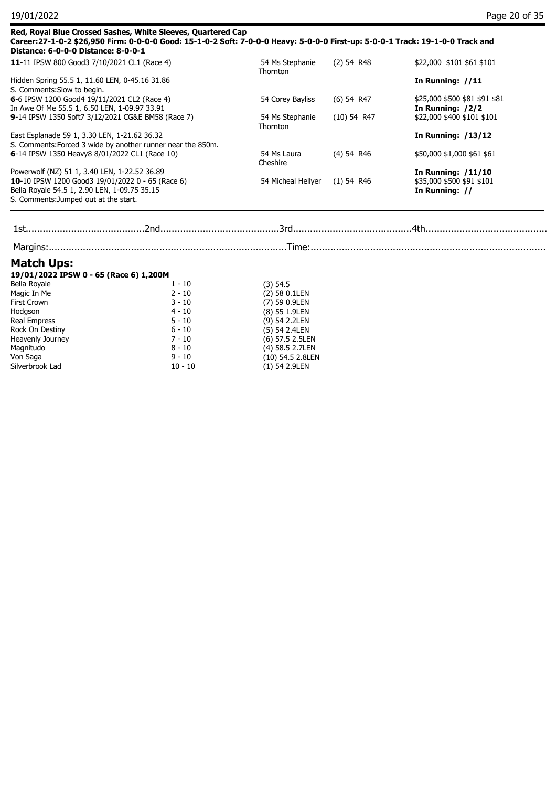| Distance: 6-0-0-0 Distance: 8-0-0-1                                                                                                                                                                                                        | Red, Royal Blue Crossed Sashes, White Sleeves, Quartered Cap<br>Career:27-1-0-2 \$26,950 Firm: 0-0-0-0 Good: 15-1-0-2 Soft: 7-0-0-0 Heavy: 5-0-0-0 First-up: 5-0-0-1 Track: 19-1-0-0 Track and |                             |                               |                                                         |  |
|--------------------------------------------------------------------------------------------------------------------------------------------------------------------------------------------------------------------------------------------|------------------------------------------------------------------------------------------------------------------------------------------------------------------------------------------------|-----------------------------|-------------------------------|---------------------------------------------------------|--|
| 11-11 IPSW 800 Good3 7/10/2021 CL1 (Race 4)<br>Hidden Spring 55.5 1, 11.60 LEN, 0-45.16 31.86<br>S. Comments: Slow to begin.                                                                                                               |                                                                                                                                                                                                | 54 Ms Stephanie<br>Thornton | $(2)$ 54 R48                  | \$22,000 \$101 \$61 \$101                               |  |
|                                                                                                                                                                                                                                            |                                                                                                                                                                                                |                             |                               | In Running: $//11$                                      |  |
| 6-6 IPSW 1200 Good4 19/11/2021 CL2 (Race 4)<br>In Awe Of Me 55.5 1, 6.50 LEN, 1-09.97 33.91                                                                                                                                                |                                                                                                                                                                                                | 54 Corey Bayliss            | $(6)$ 54 R47<br>$(10)$ 54 R47 | \$25,000 \$500 \$81 \$91 \$81<br>In Running: /2/2       |  |
|                                                                                                                                                                                                                                            | 9-14 IPSW 1350 Soft7 3/12/2021 CG&E BM58 (Race 7)                                                                                                                                              | 54 Ms Stephanie<br>Thornton |                               | \$22,000 \$400 \$101 \$101                              |  |
| East Esplanade 59 1, 3.30 LEN, 1-21.62 36.32                                                                                                                                                                                               | S. Comments: Forced 3 wide by another runner near the 850m.                                                                                                                                    |                             |                               | <b>In Running: /13/12</b>                               |  |
| 6-14 IPSW 1350 Heavy8 8/01/2022 CL1 (Race 10)<br>Powerwolf (NZ) 51 1, 3.40 LEN, 1-22.52 36.89<br>10-10 IPSW 1200 Good3 19/01/2022 0 - 65 (Race 6)<br>Bella Royale 54.5 1, 2.90 LEN, 1-09.75 35.15<br>S. Comments: Jumped out at the start. |                                                                                                                                                                                                | 54 Ms Laura<br>Cheshire     | (4) 54 R46                    | \$50,000 \$1,000 \$61 \$61<br><b>In Running: /11/10</b> |  |
|                                                                                                                                                                                                                                            |                                                                                                                                                                                                |                             |                               |                                                         |  |
|                                                                                                                                                                                                                                            |                                                                                                                                                                                                | 54 Micheal Hellyer          | $(1)$ 54 R46                  | \$35,000 \$500 \$91 \$101                               |  |
|                                                                                                                                                                                                                                            |                                                                                                                                                                                                |                             |                               | In Running: //                                          |  |
|                                                                                                                                                                                                                                            |                                                                                                                                                                                                |                             |                               |                                                         |  |
|                                                                                                                                                                                                                                            |                                                                                                                                                                                                |                             |                               |                                                         |  |
| <b>Match Ups:</b>                                                                                                                                                                                                                          |                                                                                                                                                                                                |                             |                               |                                                         |  |
| 19/01/2022 IPSW 0 - 65 (Race 6) 1,200M                                                                                                                                                                                                     |                                                                                                                                                                                                |                             |                               |                                                         |  |
| Bella Royale                                                                                                                                                                                                                               | $1 - 10$                                                                                                                                                                                       | $(3)$ 54.5                  |                               |                                                         |  |
| Magic In Me                                                                                                                                                                                                                                | $2 - 10$                                                                                                                                                                                       | (2) 58 0.1LEN               |                               |                                                         |  |
| <b>First Crown</b>                                                                                                                                                                                                                         | $3 - 10$                                                                                                                                                                                       | (7) 59 0.9LEN               |                               |                                                         |  |
| Hodgson                                                                                                                                                                                                                                    | $4 - 10$                                                                                                                                                                                       | (8) 55 1.9LEN               |                               |                                                         |  |
| Real Empress                                                                                                                                                                                                                               | $5 - 10$                                                                                                                                                                                       | (9) 54 2.2LEN               |                               |                                                         |  |
| Rock On Destiny                                                                                                                                                                                                                            | $6 - 10$                                                                                                                                                                                       | (5) 54 2.4LEN               |                               |                                                         |  |
| Heavenly Journey                                                                                                                                                                                                                           | $7 - 10$                                                                                                                                                                                       | (6) 57.5 2.5LEN             |                               |                                                         |  |
| Magnitudo                                                                                                                                                                                                                                  | $8 - 10$                                                                                                                                                                                       | (4) 58.5 2.7LEN             |                               |                                                         |  |
| Von Saga                                                                                                                                                                                                                                   | $9 - 10$                                                                                                                                                                                       | (10) 54.5 2.8LEN            |                               |                                                         |  |
| Silverbrook Lad                                                                                                                                                                                                                            | $10 - 10$                                                                                                                                                                                      | (1) 54 2.9LEN               |                               |                                                         |  |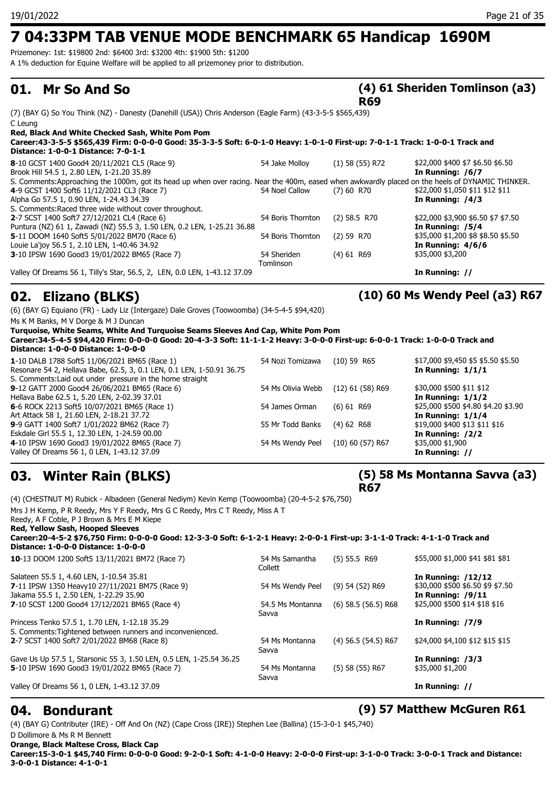Prizemoney: 1st: \$19800 2nd: \$6400 3rd: \$3200 4th: \$1900 5th: \$1200

A 1% deduction for Equine Welfare will be applied to all prizemoney prior to distribution.

### **01. Mr So And So**

### **(4) 61 Sheriden Tomlinson (a3) R69**

(7) (BAY G) So You Think (NZ) - Danesty (Danehill (USA)) Chris Anderson (Eagle Farm) (43-3-5-5 \$565,439) C Leung

| Red, Black And White Checked Sash, White Pom Pom<br>Career:43-3-5-5 \$565,439 Firm: 0-0-0-0 Good: 35-3-3-5 Soft: 6-0-1-0 Heavy: 1-0-1-0 First-up: 7-0-1-1 Track: 1-0-0-1 Track and<br>Distance: 1-0-0-1 Distance: 7-0-1-1 |                   |                   |                                    |
|---------------------------------------------------------------------------------------------------------------------------------------------------------------------------------------------------------------------------|-------------------|-------------------|------------------------------------|
| 8-10 GCST 1400 Good4 20/11/2021 CL5 (Race 9)                                                                                                                                                                              | 54 Jake Molloy    | $(1)$ 58 (55) R72 | \$22,000 \$400 \$7 \$6.50 \$6.50   |
| Brook Hill 54.5 1, 2.80 LEN, 1-21.20 35.89                                                                                                                                                                                |                   |                   | In Running: /6/7                   |
| S. Comments: Approaching the 1000m, got its head up when over racing. Near the 400m, eased when awkwardly placed on the heels of DYNAMIC THINKER.                                                                         |                   |                   |                                    |
| 4-9 GCST 1400 Soft6 11/12/2021 CL3 (Race 7)                                                                                                                                                                               | 54 Noel Callow    | $(7)$ 60 R70      | \$22,000 \$1,050 \$11 \$12 \$11    |
| Alpha Go 57.5 1, 0.90 LEN, 1-24.43 34.39                                                                                                                                                                                  |                   |                   | In Running: /4/3                   |
| S. Comments: Raced three wide without cover throughout.                                                                                                                                                                   |                   |                   |                                    |
| 2-7 SCST 1400 Soft7 27/12/2021 CL4 (Race 6)                                                                                                                                                                               | 54 Boris Thornton | $(2)$ 58.5 R70    | \$22,000 \$3,900 \$6.50 \$7 \$7.50 |
| Puntura (NZ) 61 1, Zawadi (NZ) 55.5 3, 1.50 LEN, 0.2 LEN, 1-25.21 36.88                                                                                                                                                   |                   |                   | In Running: /5/4                   |
| 5-11 DOOM 1640 Soft5 5/01/2022 BM70 (Race 6)                                                                                                                                                                              | 54 Boris Thornton | $(2)$ 59 R70      | \$35,000 \$1,200 \$8 \$8.50 \$5.50 |
| Louie La'joy 56.5 1, 2.10 LEN, 1-40.46 34.92                                                                                                                                                                              |                   |                   | In Running: $4/6/6$                |
| 3-10 IPSW 1690 Good3 19/01/2022 BM65 (Race 7)                                                                                                                                                                             | 54 Sheriden       | $(4)$ 61 R69      | \$35,000 \$3,200                   |
|                                                                                                                                                                                                                           | Tomlinson         |                   |                                    |
| Valley Of Dreams 56 1, Tilly's Star, 56.5, 2, LEN, 0.0 LEN, 1-43.12 37.09                                                                                                                                                 |                   |                   | In Running: //                     |

## **02. Elizano (BLKS) (10) 60 Ms Wendy Peel (a3) R67**

(6) (BAY G) Equiano (FR) - Lady Liz (Intergaze) Dale Groves (Toowoomba) (34-5-4-5 \$94,420) Ms K M Banks, M V Dorge & M J Duncan **Turquoise, White Seams, White And Turquoise Seams Sleeves And Cap, White Pom Pom Career:34-5-4-5 \$94,420 Firm: 0-0-0-0 Good: 20-4-3-3 Soft: 11-1-1-2 Heavy: 3-0-0-0 First-up: 6-0-0-1 Track: 1-0-0-0 Track and Distance: 1-0-0-0 Distance: 1-0-0-0 1**-10 DALB 1788 Soft5 11/06/2021 BM65 (Race 1) 54 Nozi Tomizawa (10) 59 R65 \$17,000 \$9,450 \$5 \$5.50 \$5.50 \$5.50

| $\frac{1}{2}$ 10 B/ (10 17 00 SORS 11/00/2021 BROS) (RGCC 17          | 3119211011120110  | 1497 JJ 110J       | $+1,000 + 7,100 + 7,40.00 + 0.00$   |
|-----------------------------------------------------------------------|-------------------|--------------------|-------------------------------------|
| Resonare 54 2, Hellava Babe, 62.5, 3, 0.1 LEN, 0.1 LEN, 1-50.91 36.75 |                   |                    | In Running: $1/1/1$                 |
| S. Comments: Laid out under pressure in the home straight             |                   |                    |                                     |
| 9-12 GATT 2000 Good4 26/06/2021 BM65 (Race 6)                         | 54 Ms Olivia Webb | $(12)$ 61 (58) R69 | \$30,000 \$500 \$11 \$12            |
| Hellava Babe 62.5 1, 5.20 LEN, 2-02.39 37.01                          |                   |                    | In Running: $1/1/2$                 |
| 6-6 ROCK 2213 Soft5 10/07/2021 BM65 (Race 1)                          | 54 James Orman    | $(6)$ 61 R69       | \$25,000 \$500 \$4.80 \$4.20 \$3.90 |
| Art Attack 58 1, 21.60 LEN, 2-18.21 37.72                             |                   |                    | In Running: $1/1/4$                 |
| 9-9 GATT 1400 Soft7 1/01/2022 BM62 (Race 7)                           | 55 Mr Todd Banks  | $(4)$ 62 R68       | \$19,000 \$400 \$13 \$11 \$16       |
| Eskdale Girl 55.5 1, 12.30 LEN, 1-24.59 00.00                         |                   |                    | In Running: /2/2                    |
| 4-10 IPSW 1690 Good3 19/01/2022 BM65 (Race 7)                         | 54 Ms Wendy Peel  | $(10)$ 60 (57) R67 | \$35,000 \$1,900                    |
| Valley Of Dreams 56 1, 0 LEN, 1-43.12 37.09                           |                   |                    | In Running: //                      |
|                                                                       |                   |                    |                                     |

## **03. Winter Rain (BLKS)**

(4) (CHESTNUT M) Rubick - Albadeen (General Nediym) Kevin Kemp (Toowoomba) (20-4-5-2 \$76,750) Mrs J H Kemp, P R Reedy, Mrs Y F Reedy, Mrs G C Reedy, Mrs C T Reedy, Miss A T Reedy, A F Coble, P J Brown & Mrs E M Kiepe **Red, Yellow Sash, Hooped Sleeves Career:20-4-5-2 \$76,750 Firm: 0-0-0-0 Good: 12-3-3-0 Soft: 6-1-2-1 Heavy: 2-0-0-1 First-up: 3-1-1-0 Track: 4-1-1-0 Track and Distance: 1-0-0-0 Distance: 1-0-0-0 10**-13 DOOM 1200 Soft5 13/11/2021 BM72 (Race 7) 54 Ms Samantha (5) 55.5 R69 Collett (5) 55.5 R69 \$55,000 \$1,000 \$41 \$81 \$81 Salateen 55.5 1, 4.60 LEN, 1-10.54 35.81 **In Running: /12/12 7**-11 IPSW 1350 Heavy10 27/11/2021 BM75 (Race 9) 54 Ms Wendy Peel (9) 54 (52) R69 \$30,000 \$500 \$6.50 \$9 \$7.50 Jakama 55.5 1, 2.50 LEN, 1-22.29 35.90 **In Running: /9/11 7**-10 SCST 1200 Good4 17/12/2021 BM65 (Race 4) 54.5 Ms Montanna (6) 58.5 (56.5) R68 Savva  $$25,000$  \$500 \$14 \$18 \$16 Princess Tenko 57.5 1, 1.70 LEN, 1-12.18 35.29 **In Running: /7/9** S. Comments:Tightened between runners and inconvenienced. **2**-7 SCST 1400 Soft7 2/01/2022 BM68 (Race 8) 54 Ms Montanna (4) 56.5 (54.5) R67 Savva \$24,000 \$4,100 \$12 \$15 \$15 Gave Us Up 57.5 1, Starsonic 55 3, 1.50 LEN, 0.5 LEN, 1-25.54 36.25 **In Running: /3/3 5**-10 IPSW 1690 Good3 19/01/2022 BM65 (Race 7) 54 Ms Montanna Savva (5) 58 (55) R67 \$35,000 \$1,200 Valley Of Dreams 56 1, 0 LEN, 1-43.12 37.09 **In Running: //**

### **04. Bondurant (9) 57 Matthew McGuren R61**

(4) (BAY G) Contributer (IRE) - Off And On (NZ) (Cape Cross (IRE)) Stephen Lee (Ballina) (15-3-0-1 \$45,740)

D Dollimore & Ms R M Bennett **Orange, Black Maltese Cross, Black Cap Career:15-3-0-1 \$45,740 Firm: 0-0-0-0 Good: 9-2-0-1 Soft: 4-1-0-0 Heavy: 2-0-0-0 First-up: 3-1-0-0 Track: 3-0-0-1 Track and Distance: 3-0-0-1 Distance: 4-1-0-1**

### **(5) 58 Ms Montanna Savva (a3) R67**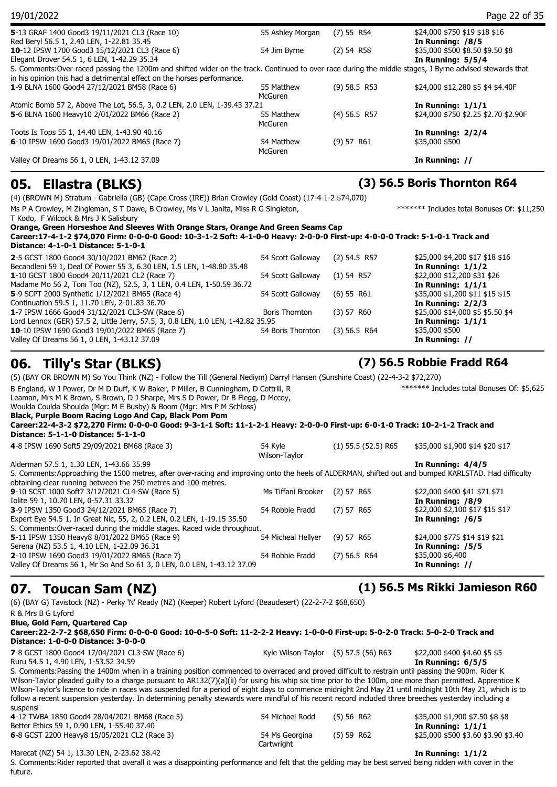| 05.<br>Ellastra (BLKS)                                                                                                                                  |                  |                | (3) 56.5 Boris Thornton R64          |
|---------------------------------------------------------------------------------------------------------------------------------------------------------|------------------|----------------|--------------------------------------|
| Valley Of Dreams 56 1, 0 LEN, 1-43.12 37.09                                                                                                             |                  |                | In Running: //                       |
|                                                                                                                                                         | McGuren          |                |                                      |
| 6-10 IPSW 1690 Good3 19/01/2022 BM65 (Race 7)                                                                                                           | 54 Matthew       | (9) 57 R61     | \$35,000 \$500                       |
| Toots Is Tops 55 1, 14.40 LEN, 1-43.90 40.16                                                                                                            |                  |                | In Running: $2/2/4$                  |
|                                                                                                                                                         | <b>McGuren</b>   |                |                                      |
| 5-6 BLNA 1600 Heavy10 2/01/2022 BM66 (Race 2)                                                                                                           | 55 Matthew       | $(4)$ 56.5 R57 | \$24,000 \$750 \$2.25 \$2.70 \$2.90F |
| Atomic Bomb 57 2, Above The Lot, 56.5, 3, 0.2 LEN, 2.0 LEN, 1-39.43 37.21                                                                               |                  |                | In Running: $1/1/1$                  |
|                                                                                                                                                         | <b>McGuren</b>   | $(9)$ 58.5 R53 | \$24,000 \$12,280 \$5 \$4 \$4.40F    |
| in his opinion this had a detrimental effect on the horses performance.<br>1-9 BLNA 1600 Good4 27/12/2021 BM58 (Race 6)                                 | 55 Matthew       |                |                                      |
| S. Comments:Over-raced passing the 1200m and shifted wider on the track. Continued to over-race during the middle stages, J Byrne advised stewards that |                  |                |                                      |
| Elegant Drover 54.5 1, 6 LEN, 1-42.29 35.34                                                                                                             |                  |                | In Running: $5/5/4$                  |
| 10-12 IPSW 1700 Good3 15/12/2021 CL3 (Race 6)                                                                                                           | 54 Jim Byrne     | $(2)$ 54 R58   | \$35,000 \$500 \$8.50 \$9.50 \$8     |
| Red Beryl 56.5 1, 2.40 LEN, 1-22.81 35.45                                                                                                               |                  |                | In Running: /8/5                     |
| 5-13 GRAF 1400 Good3 19/11/2021 CL3 (Race 10)                                                                                                           | 55 Ashley Morgan | $(7)$ 55 R54   | \$24,000 \$750 \$19 \$18 \$16        |
| 19/01/2022                                                                                                                                              |                  |                | Page 22 of 35                        |

(4) (BROWN M) Stratum - Gabriella (GB) (Cape Cross (IRE)) Brian Crowley (Gold Coast) (17-4-1-2 \$74,070)

Ms P A Crowley, M Zingleman, S T Dawe, B Crowley, Ms V L Janita, Miss R G Singleton,

T Kodo, F Wilcock & Mrs J K Salisbury **Orange, Green Horseshoe And Sleeves With Orange Stars, Orange And Green Seams Cap**

**Career:17-4-1-2 \$74,070 Firm: 0-0-0-0 Good: 10-3-1-2 Soft: 4-1-0-0 Heavy: 2-0-0-0 First-up: 4-0-0-0 Track: 5-1-0-1 Track and Distance: 4-1-0-1 Distance: 5-1-0-1** 2-5 GCST 1800 Good4 30/10/2021 BM62 (Race 2) 54 Scott Galloway (2) 54.5 R57 \$25,000 \$4,200 \$17 \$18 \$16

| $\sim$ 3 889 1 1000 8000 1 30, 10, 2021 BL 102 (TWCC 2)                          | $\frac{1}{2}$ . Scott Galloway (2) 3 $\frac{1}{2}$ |            | $420000 + 1200 + 1700$           |
|----------------------------------------------------------------------------------|----------------------------------------------------|------------|----------------------------------|
| Becandleni 59 1, Deal Of Power 55 3, 6.30 LEN, 1.5 LEN, 1-48.80 35.48            |                                                    |            | In Running: $1/1/2$              |
| 1-10 GCST 1800 Good4 20/11/2021 CL2 (Race 7)                                     | 54 Scott Galloway (1) 54 R57                       |            | \$22,000 \$12,200 \$31 \$26      |
| Madame Mo 56 2, Toni Too (NZ), 52.5, 3, 1 LEN, 0.4 LEN, 1-50.59 36.72            |                                                    |            | In Running: $1/1/1$              |
| 5-9 SCPT 2000 Synthetic 1/12/2021 BM65 (Race 4)                                  | 54 Scott Galloway                                  | (6) 55 R61 | \$35,000 \$1,200 \$11 \$15 \$15  |
| Continuation 59.5 1, 11.70 LEN, 2-01.83 36.70                                    |                                                    |            | In Running: $2/2/3$              |
| 1-7 IPSW 1666 Good4 31/12/2021 CL3-SW (Race 6)                                   | Boris Thornton                                     | (3) 57 R60 | \$25,000 \$14,000 \$5 \$5.50 \$4 |
| Lord Lennox (GER) 57.5 2, Little Jerry, 57.5, 3, 0.8 LEN, 1.0 LEN, 1-42.82 35.95 |                                                    |            | In Running: $1/1/1$              |
| 10-10 IPSW 1690 Good3 19/01/2022 BM65 (Race 7)                                   | 54 Boris Thornton (3) 56.5 R64                     |            | \$35,000 \$500                   |
| Valley Of Dreams 56 1, 0 LEN, 1-43.12 37.09                                      |                                                    |            | In Running: //                   |
|                                                                                  |                                                    |            |                                  |

### **06. Tilly's Star (BLKS) (7) 56.5 Robbie Fradd R64**

(5) (BAY OR BROWN M) So You Think (NZ) - Follow the Till (General Nediym) Darryl Hansen (Sunshine Coast) (22-4-3-2 \$72,270) B England, W J Power, Dr M D Duff, K W Baker, P Miller, B Cunningham, D Cottrill, R Leaman, Mrs M K Brown, S Brown, D J Sharpe, Mrs S D Power, Dr B Flegg, D Mccoy, Woulda Coulda Shoulda (Mgr: M E Busby) & Boom (Mgr: Mrs P M Schloss) \*\*\*\*\*\*\* Includes total Bonuses Of: \$5,625 **Black, Purple Boom Racing Logo And Cap, Black Pom Pom Career:22-4-3-2 \$72,270 Firm: 0-0-0-0 Good: 9-3-1-1 Soft: 11-1-2-1 Heavy: 2-0-0-0 First-up: 6-0-1-0 Track: 10-2-1-2 Track and Distance: 5-1-1-0 Distance: 5-1-1-0 4**-8 IPSW 1690 Soft5 29/09/2021 BM68 (Race 3) 54 Kyle Wilson-Taylor \$35,000 \$1,900 \$14 \$20 \$17 Alderman 57.5 1, 1.30 LEN, 1-43.66 35.99 **In Running: 4/4/5** S. Comments:Approaching the 1500 metres, after over-racing and improving onto the heels of ALDERMAN, shifted out and bumped KARLSTAD. Had difficulty obtaining clear running between the 250 metres and 100 metres. **9**-10 SCST 1000 Soft7 3/12/2021 CL4-SW (Race 5) Ms Tiffani Brooker (2) 57 R65 \$22,000 \$400 \$41 \$71 \$71 Iolite 59 1, 10.70 LEN, 0-57.31 33.32 **In Running: /8/9 3-9 IPSW 1350 Good3 24/12/2021 BM65 (Race 7) 54 Robbie Fradd (7) 57 R65** Expert Eye 54.5 1, In Great Nic, 55, 2, 0.2 LEN, 0.2 LEN, 1-19.15 35.50 **In Running: /6/5** S. Comments:Over-raced during the middle stages. Raced wide throughout. **5**-11 IPSW 1350 Heavy8 8/01/2022 BM65 (Race 9) 54 Micheal Hellyer (9) 57 R65 \$24,000 \$775 \$14 \$19 \$21 Serena (NZ) 53.5 1, 4.10 LEN, 1-22.09 36.31 Serena (NZ) 53.5 1, 4.10 LEN, 1-22.09 36.31 **2**-10 IPSW 1690 Good3 19/01/2022 BM65 (Race 7) 54 Robbie Fradd (7) 56.5 R64 \$35,000 \$6,400<br>1**/ 1 In Running: 17** Valley Of Dreams 56 1, Mr So And So 61 3, 0 LEN, 0.0 LEN, 1-43.12 37.09

Valley Of Dreams 56 1, Mr So And So 61 3, 0 LEN, 0.0 LEN, 1-43.12 37.09

(6) (BAY G) Tavistock (NZ) - Perky 'N' Ready (NZ) (Keeper) Robert Lyford (Beaudesert) (22-2-7-2 \$68,650)

R & Mrs B G Lyford

**Blue, Gold Fern, Quartered Cap**

**Career:22-2-7-2 \$68,650 Firm: 0-0-0-0 Good: 10-0-5-0 Soft: 11-2-2-2 Heavy: 1-0-0-0 First-up: 5-0-2-0 Track: 5-0-2-0 Track and Distance: 1-0-0-0 Distance: 3-0-0-0**

**7**-8 GCST 1800 Good4 17/04/2021 CL3-SW (Race 6) Kyle Wilson-Taylor (5) 57.5 (56) R63 \$22,000 \$400 \$4.60 \$5 \$5

Ruru 54.5 1, 4.90 LEN, 1-53.52 34.59 **In Running: 6/5/5** S. Comments:Passing the 1400m when in a training position commenced to overraced and proved difficult to restrain until passing the 900m. Rider K Wilson-Taylor pleaded guilty to a charge pursuant to AR132(7)(a)(ii) for using his whip six time prior to the 100m, one more than permitted. Apprentice K Wilson-Taylor's licence to ride in races was suspended for a period of eight days to commence midnight 2nd May 21 until midnight 10th May 21, which is to follow a recent suspension yesterday. In determining penalty stewards were mindful of his recent record included three breeches yesterday including a suspensi **4**-12 TWBA 1850 Good4 28/04/2021 BM68 (Race 5) 54 Michael Rodd (5) 56 R62 \$35,000 \$1,900 \$7.50 \$8 \$8

Better Ethics 59 1, 0.90 LEN, 1-55.40 37.40 **In Running: 1/1/1 6**-8 GCST 2200 Heavy8 15/05/2021 CL2 (Race 3) 54 Ms Georgina (5) 59 R62

Marecat (NZ) 54 1, 13.30 LEN, 2-23.62 38.42 **In Running: 1/1/2**

S. Comments:Rider reported that overall it was a disappointing performance and felt that the gelding may be best served being ridden with cover in the future.

**Cartwright** 

**07. Toucan Sam (NZ) (1) 56.5 Ms Rikki Jamieson R60**

(5) 59 R62 \$25,000 \$500 \$3.60 \$3.90 \$3.40

\*\*\*\*\*\*\* Includes total Bonuses Of: \$11,250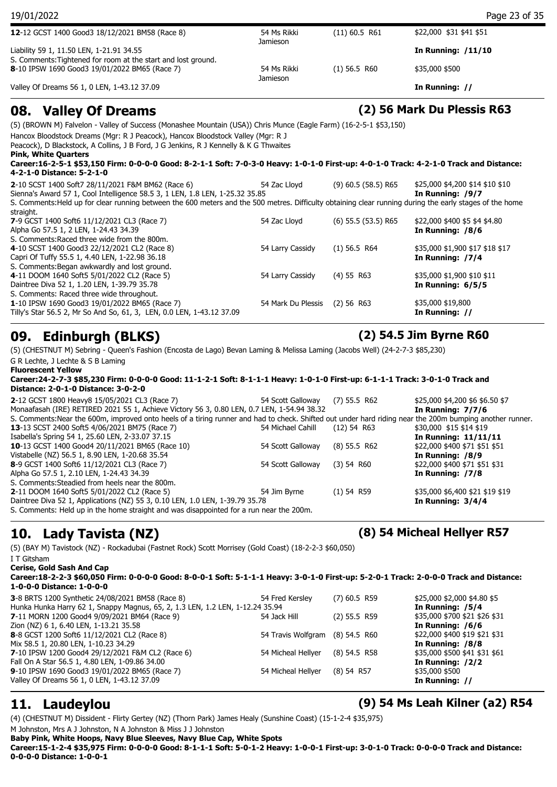| 12-12 GCST 1400 Good3 18/12/2021 BM58 (Race 8)<br>54 Ms Rikki<br>$(11)$ 60.5 R61<br>\$22,000 \$31 \$41 \$51<br>Jamieson<br>Liability 59 1, 11.50 LEN, 1-21.91 34.55<br>In Running: $/11/10$<br>S. Comments: Tightened for room at the start and lost ground.<br>8-10 IPSW 1690 Good3 19/01/2022 BM65 (Race 7)<br>$(1)$ 56.5 R60<br>\$35,000 \$500<br>54 Ms Rikki<br>Jamieson<br>Valley Of Dreams 56 1, 0 LEN, 1-43.12 37.09<br>In Running: // | 19/01/2022 |  | Page 23 of 35 |
|-----------------------------------------------------------------------------------------------------------------------------------------------------------------------------------------------------------------------------------------------------------------------------------------------------------------------------------------------------------------------------------------------------------------------------------------------|------------|--|---------------|
|                                                                                                                                                                                                                                                                                                                                                                                                                                               |            |  |               |
|                                                                                                                                                                                                                                                                                                                                                                                                                                               |            |  |               |
|                                                                                                                                                                                                                                                                                                                                                                                                                                               |            |  |               |
|                                                                                                                                                                                                                                                                                                                                                                                                                                               |            |  |               |
|                                                                                                                                                                                                                                                                                                                                                                                                                                               |            |  |               |

### **08. Valley Of Dreams (2) 56 Mark Du Plessis R63**

(5) (BROWN M) Falvelon - Valley of Success (Monashee Mountain (USA)) Chris Munce (Eagle Farm) (16-2-5-1 \$53,150) Hancox Bloodstock Dreams (Mgr: R J Peacock), Hancox Bloodstock Valley (Mgr: R J Peacock), D Blackstock, A Collins, J B Ford, J G Jenkins, R J Kennelly & K G Thwaites **Pink, White Quarters Career:16-2-5-1 \$53,150 Firm: 0-0-0-0 Good: 8-2-1-1 Soft: 7-0-3-0 Heavy: 1-0-1-0 First-up: 4-0-1-0 Track: 4-2-1-0 Track and Distance: 4-2-1-0 Distance: 5-2-1-0 2**-10 SCST 1400 Soft7 28/11/2021 F&M BM62 (Race 6) 54 Zac Lloyd (9) 60.5 (58.5) R65 \$25,000 \$4,200 \$14 \$10 \$10 Sienna's Award 57 1, Cool Intelligence 58.5 3, 1 LEN, 1.8 LEN, 1-25.32 35.85 **In Running: /9/7** S. Comments:Held up for clear running between the 600 meters and the 500 metres. Difficulty obtaining clear running during the early stages of the home straight. **7**-9 GCST 1400 Soft6 11/12/2021 CL3 (Race 7) 54 Zac Lloyd (6) 55.5 (53.5) R65 \$22,000 \$400 \$5 \$4 \$4.80 Alpha Go 57.5 1, 2 LEN, 1-24.43 34.39 **In Running: /8/6** S. Comments:Raced three wide from the 800m. **4**-10 SCST 1400 Good3 22/12/2021 CL2 (Race 8) 54 Larry Cassidy (1) 56.5 R64 \$35,000 \$1,900 \$17 \$18 \$17 Capri Of Tuffy 55.5 1, 4.40 LEN, 1-22.98 36.18 **In Running: /7/4** S. Comments:Began awkwardly and lost ground. **4**-11 DOOM 1640 Soft5 5/01/2022 CL2 (Race 5) 54 Larry Cassidy (4) 55 R63 \$35,000 \$1,900 \$10 \$11 Daintree Diva 52 1, 1.20 LEN, 1-39.79 35.78 **In Running: 6/5/5** S. Comments: Raced three wide throughout. **1**-10 IPSW 1690 Good3 19/01/2022 BM65 (Race 7) 54 Mark Du Plessis (2) 56 R63 \$35,000 \$19,800<br>1**//** Tilly's Star 56.5 2, Mr So And So, 61, 3, LEN, 0.0 LEN, 1-43.12 37.09 Tilly's Star 56.5 2, Mr So And So, 61, 3, LEN, 0.0 LEN, 1-43.12 37.09

(5) (CHESTNUT M) Sebring - Queen's Fashion (Encosta de Lago) Bevan Laming & Melissa Laming (Jacobs Well) (24-2-7-3 \$85,230) G R Lechte, J Lechte & S B Laming

**Fluorescent Yellow**

**Career:24-2-7-3 \$85,230 Firm: 0-0-0-0 Good: 11-1-2-1 Soft: 8-1-1-1 Heavy: 1-0-1-0 First-up: 6-1-1-1 Track: 3-0-1-0 Track and Distance: 2-0-1-0 Distance: 3-0-2-0**

| 2-12 GCST 1800 Heavy8 15/05/2021 CL3 (Race 7)                                                                                                            | 54 Scott Galloway | $(7)$ 55.5 R62 | \$25,000 \$4,200 \$6 \$6.50 \$7 |
|----------------------------------------------------------------------------------------------------------------------------------------------------------|-------------------|----------------|---------------------------------|
| Monaafasah (IRE) RETIRED 2021 55 1, Achieve Victory 56 3, 0.80 LEN, 0.7 LEN, 1-54.94 38.32                                                               |                   |                | In Running: $7/7/6$             |
| S. Comments: Near the 600m, improved onto heels of a tiring runner and had to check. Shifted out under hard riding near the 200m bumping another runner. |                   |                |                                 |
| <b>13-13 SCST 2400 Soft5 4/06/2021 BM75 (Race 7)</b>                                                                                                     | 54 Michael Cahill | $(12)$ 54 R63  | \$30,000 \$15 \$14 \$19         |
| Isabella's Spring 54 1, 25.60 LEN, 2-33.07 37.15                                                                                                         |                   |                | In Running: 11/11/11            |
| 10-13 GCST 1400 Good4 20/11/2021 BM65 (Race 10)                                                                                                          | 54 Scott Galloway | $(8)$ 55.5 R62 | \$22,000 \$400 \$71 \$51 \$51   |
| Vistabelle (NZ) 56.5 1, 8.90 LEN, 1-20.68 35.54                                                                                                          |                   |                | In Running: /8/9                |
| 8-9 GCST 1400 Soft6 11/12/2021 CL3 (Race 7)                                                                                                              | 54 Scott Galloway | (3) 54 R60     | \$22,000 \$400 \$71 \$51 \$31   |
| Alpha Go 57.5 1, 2.10 LEN, 1-24.43 34.39                                                                                                                 |                   |                | In Running: /7/8                |
| S. Comments: Steadied from heels near the 800m.                                                                                                          |                   |                |                                 |
| 2-11 DOOM 1640 Soft5 5/01/2022 CL2 (Race 5)                                                                                                              | 54 Jim Byrne      | $(1)$ 54 R59   | \$35,000 \$6,400 \$21 \$19 \$19 |
| Daintree Diva 52 1, Applications (NZ) 55 3, 0.10 LEN, 1.0 LEN, 1-39.79 35.78                                                                             |                   |                | In Running: $3/4/4$             |
| S. Comments: Held up in the home straight and was disappointed for a run near the 200m.                                                                  |                   |                |                                 |

## **10. Lady Tavista (NZ) (8) 54 Micheal Hellyer R57**

(5) (BAY M) Tavistock (NZ) - Rockadubai (Fastnet Rock) Scott Morrisey (Gold Coast) (18-2-2-3 \$60,050) I T Gitsham

**Cerise, Gold Sash And Cap**

**Career:18-2-2-3 \$60,050 Firm: 0-0-0-0 Good: 8-0-0-1 Soft: 5-1-1-1 Heavy: 3-0-1-0 First-up: 5-2-0-1 Track: 2-0-0-0 Track and Distance: 1-0-0-0 Distance: 1-0-0-0**

| 3-8 BRTS 1200 Synthetic 24/08/2021 BM58 (Race 8)                              | 54 Fred Kersley                 | $(7)$ 60.5 R59 | \$25,000 \$2,000 \$4.80 \$5   |
|-------------------------------------------------------------------------------|---------------------------------|----------------|-------------------------------|
| Hunka Hunka Harry 62 1, Snappy Magnus, 65, 2, 1.3 LEN, 1.2 LEN, 1-12.24 35.94 |                                 |                | In Running: /5/4              |
| 7-11 MORN 1200 Good4 9/09/2021 BM64 (Race 9)                                  | 54 Jack Hill                    | $(2)$ 55.5 R59 | \$35,000 \$700 \$21 \$26 \$31 |
| Zion (NZ) 6 1, 6.40 LEN, 1-13.21 35.58                                        |                                 |                | In Running: /6/6              |
| 8-8 GCST 1200 Soft6 11/12/2021 CL2 (Race 8)                                   | 54 Travis Wolfgram (8) 54.5 R60 |                | \$22,000 \$400 \$19 \$21 \$31 |
| Mix 58.5 1, 20.80 LEN, 1-10.23 34.29                                          |                                 |                | In Running: /8/8              |
| 7-10 IPSW 1200 Good4 29/12/2021 F&M CL2 (Race 6)                              | 54 Micheal Hellyer              | (8) 54.5 R58   | \$35,000 \$500 \$41 \$31 \$61 |
| Fall On A Star 56.5 1, 4.80 LEN, 1-09.86 34.00                                |                                 |                | In Running: /2/2              |
| 9-10 IPSW 1690 Good3 19/01/2022 BM65 (Race 7)                                 | 54 Micheal Hellyer              | (8) 54 R57     | \$35,000 \$500                |
| Valley Of Dreams 56 1, 0 LEN, 1-43.12 37.09                                   |                                 |                | In Running: //                |
|                                                                               |                                 |                |                               |

(4) (CHESTNUT M) Dissident - Flirty Gertey (NZ) (Thorn Park) James Healy (Sunshine Coast) (15-1-2-4 \$35,975) M Johnston, Mrs A J Johnston, N A Johnston & Miss J J Johnston

**Baby Pink, White Hoops, Navy Blue Sleeves, Navy Blue Cap, White Spots Career:15-1-2-4 \$35,975 Firm: 0-0-0-0 Good: 8-1-1-1 Soft: 5-0-1-2 Heavy: 1-0-0-1 First-up: 3-0-1-0 Track: 0-0-0-0 Track and Distance: 0-0-0-0 Distance: 1-0-0-1**

**11. Laudeylou (9) 54 Ms Leah Kilner (a2) R54**

**09. Edinburgh (BLKS) (2) 54.5 Jim Byrne R60**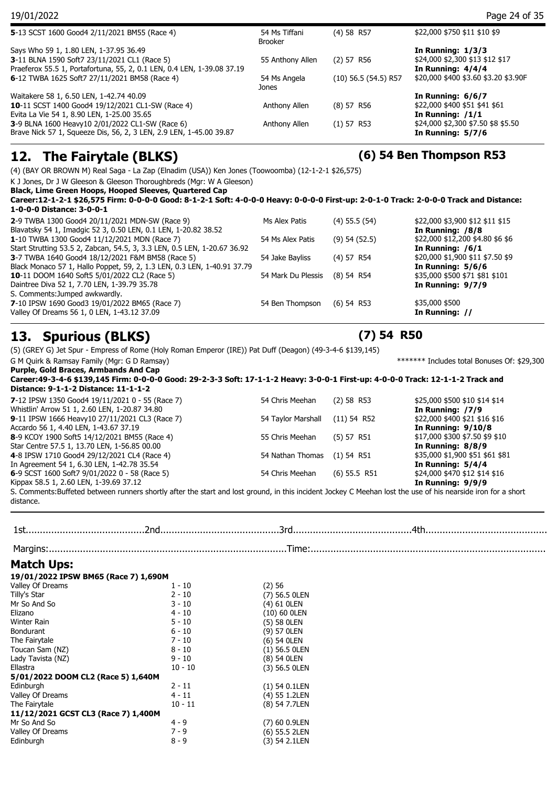| 19/01/2022                                                             |                                 |                          | Page 24 of 35                        |
|------------------------------------------------------------------------|---------------------------------|--------------------------|--------------------------------------|
| 5-13 SCST 1600 Good4 2/11/2021 BM55 (Race 4)                           | 54 Ms Tiffani<br><b>Brooker</b> | $(4)$ 58 R57             | \$22,000 \$750 \$11 \$10 \$9         |
| Says Who 59 1, 1.80 LEN, 1-37.95 36.49                                 |                                 |                          | In Running: $1/3/3$                  |
| 3-11 BLNA 1590 Soft7 23/11/2021 CL1 (Race 5)                           | 55 Anthony Allen                | (2) 57 R56               | \$24,000 \$2,300 \$13 \$12 \$17      |
| Praeferox 55.5 1, Portafortuna, 55, 2, 0.1 LEN, 0.4 LEN, 1-39.08 37.19 |                                 |                          | In Running: $4/4/4$                  |
| 6-12 TWBA 1625 Soft7 27/11/2021 BM58 (Race 4)                          | 54 Ms Angela                    | $(10)$ 56.5 $(54.5)$ R57 | \$20,000 \$400 \$3.60 \$3.20 \$3.90F |
|                                                                        | Jones                           |                          |                                      |
| Waitakere 58 1, 6.50 LEN, 1-42.74 40.09                                |                                 |                          | In Running: $6/6/7$                  |
| 10-11 SCST 1400 Good4 19/12/2021 CL1-SW (Race 4)                       | Anthony Allen                   | (8) 57 R56               | \$22,000 \$400 \$51 \$41 \$61        |
| Evita La Vie 54 1, 8.90 LEN, 1-25.00 35.65                             |                                 |                          | In Running: $/1/1$                   |
| 3-9 BLNA 1600 Heavy10 2/01/2022 CL1-SW (Race 6)                        | Anthony Allen                   | (1) 57 R53               | \$24,000 \$2,300 \$7.50 \$8 \$5.50   |
| Brave Nick 57 1, Squeeze Dis, 56, 2, 3 LEN, 2.9 LEN, 1-45.00 39.87     |                                 |                          | In Running: $5/7/6$                  |
|                                                                        |                                 |                          |                                      |

### **12. The Fairytale (BLKS) (6) 54 Ben Thompson R53**

(4) (BAY OR BROWN M) Real Saga - La Zap (Elnadim (USA)) Ken Jones (Toowoomba) (12-1-2-1 \$26,575)

K J Jones, Dr J W Gleeson & Gleeson Thoroughbreds (Mgr: W A Gleeson)

**Black, Lime Green Hoops, Hooped Sleeves, Quartered Cap**

**Career:12-1-2-1 \$26,575 Firm: 0-0-0-0 Good: 8-1-2-1 Soft: 4-0-0-0 Heavy: 0-0-0-0 First-up: 2-0-1-0 Track: 2-0-0-0 Track and Distance: 1-0-0-0 Distance: 3-0-0-1**

| 3-7 TWBA 1640 Good4 18/12/2021 F&M BM58 (Race 5)<br>Black Monaco 57 1, Hallo Poppet, 59, 2, 1.3 LEN, 0.3 LEN, 1-40.91 37.79<br><b>10-11 DOOM 1640 Soft5 5/01/2022 CL2 (Race 5)</b> | 54 Jake Bayliss<br>54 Mark Du Plessis | $(4)$ 57 R54<br>$(8)$ 54 R54 | \$20,000 \$1,900 \$11 \$7.50 \$9<br>In Running: $5/6/6$<br>\$35,000 \$500 \$71 \$81 \$101 |
|------------------------------------------------------------------------------------------------------------------------------------------------------------------------------------|---------------------------------------|------------------------------|-------------------------------------------------------------------------------------------|
| Daintree Diva 52 1, 7.70 LEN, 1-39.79 35.78<br>S. Comments: Jumped awkwardly.<br>7-10 IPSW 1690 Good3 19/01/2022 BM65 (Race 7)                                                     | 54 Ben Thompson                       | $(6)$ 54 R53                 | In Running: $9/7/9$<br>\$35,000 \$500                                                     |
| Valley Of Dreams 56 1, 0 LEN, 1-43.12 37.09                                                                                                                                        |                                       |                              | In Running: //                                                                            |

### **13. Spurious (BLKS) (7) 54 R50**

(5) (GREY G) Jet Spur - Empress of Rome (Holy Roman Emperor (IRE)) Pat Duff (Deagon) (49-3-4-6 \$139,145)

G M Quirk & Ramsay Family (Mgr: G D Ramsay)  $*******$  Includes total Bonuses Of: \$29,300 **Purple, Gold Braces, Armbands And Cap**

**Career:49-3-4-6 \$139,145 Firm: 0-0-0-0 Good: 29-2-3-3 Soft: 17-1-1-2 Heavy: 3-0-0-1 First-up: 4-0-0-0 Track: 12-1-1-2 Track and Distance: 9-1-1-2 Distance: 11-1-1-2 7**-12 IPSW 1350 Good4 19/11/2021 0 - 55 (Race 7) 54 Chris Meehan (2) 58 R53 \$25,000 \$500 \$10 \$14 \$14

| Whistlin' Arrow 51 1, 2.60 LEN, 1-20.87 34.80                                                                                                                |                                |                | In Running: /7/9                |
|--------------------------------------------------------------------------------------------------------------------------------------------------------------|--------------------------------|----------------|---------------------------------|
| 9-11 IPSW 1666 Heavy10 27/11/2021 CL3 (Race 7)                                                                                                               | 54 Taylor Marshall (11) 54 R52 |                | \$22,000 \$400 \$21 \$16 \$16   |
| Accardo 56 1, 4.40 LEN, 1-43.67 37.19                                                                                                                        |                                |                | <b>In Running: 9/10/8</b>       |
| 8-9 KCOY 1900 Soft5 14/12/2021 BM55 (Race 4)                                                                                                                 | 55 Chris Meehan                | (5) 57 R51     | \$17,000 \$300 \$7.50 \$9 \$10  |
| Star Centre 57.5 1, 13.70 LEN, 1-56.85 00.00                                                                                                                 |                                |                | In Running: 8/8/9               |
| 4-8 IPSW 1710 Good4 29/12/2021 CL4 (Race 4)                                                                                                                  | 54 Nathan Thomas (1) 54 R51    |                | \$35,000 \$1,900 \$51 \$61 \$81 |
| In Agreement 54 1, 6.30 LEN, 1-42.78 35.54                                                                                                                   |                                |                | In Running: $5/4/4$             |
| 6-9 SCST 1600 Soft7 $9/01/2022$ 0 - 58 (Race 5)                                                                                                              | 54 Chris Meehan                | $(6)$ 55.5 R51 | \$24,000 \$470 \$12 \$14 \$16   |
| Kippax 58.5 1, 2.60 LEN, 1-39.69 37.12                                                                                                                       |                                |                | In Running: 9/9/9               |
| S. Comments:Buffeted between runners shortly after the start and lost ground, in this incident Jockey C Meehan lost the use of his nearside iron for a short |                                |                |                                 |

S. Comments:Buffeted between runners shortly after the start and lost ground, in this incident Jockey C Meehan lost the use of his nearside iron for a short distance.

1st..........................................2nd..........................................3rd..........................................4th............................................ Margins:....................................................................................Time:....................................................................................

### **Match Ups:**

| 19/01/2022 IPSW BM65 (Race 7) 1,690M |           |                 |
|--------------------------------------|-----------|-----------------|
| Valley Of Dreams                     | 1 - 10    | (2)56           |
| Tilly's Star                         | $2 - 10$  | (7) 56.5 OLEN   |
| Mr So And So                         | 3 - 10    | (4) 61 OLEN     |
| Elizano                              | $4 - 10$  | (10) 60 OLEN    |
| Winter Rain                          | $5 - 10$  | (5) 58 OLEN     |
| Bondurant                            | $6 - 10$  | (9) 57 OLEN     |
| The Fairytale                        | $7 - 10$  | (6) 54 OLEN     |
| Toucan Sam (NZ)                      | $8 - 10$  | (1) 56.5 OLEN   |
| Lady Tavista (NZ)                    | $9 - 10$  | (8) 54 OLEN     |
| Ellastra                             | $10 - 10$ | (3) 56.5 OLEN   |
| 5/01/2022 DOOM CL2 (Race 5) 1,640M   |           |                 |
| Edinburgh                            | 2 - 11    | $(1)$ 54 0.1LEN |
| Valley Of Dreams                     | $4 - 11$  | (4) 55 1.2LEN   |
| The Fairytale                        | $10 - 11$ | (8) 54 7.7LEN   |
| 11/12/2021 GCST CL3 (Race 7) 1,400M  |           |                 |
| Mr So And So                         | 4 - 9     | (7) 60 0.9LEN   |
| Valley Of Dreams                     | $7 - 9$   | (6) 55.5 2LEN   |
| Edinburgh                            | $8 - 9$   | (3) 54 2.1LEN   |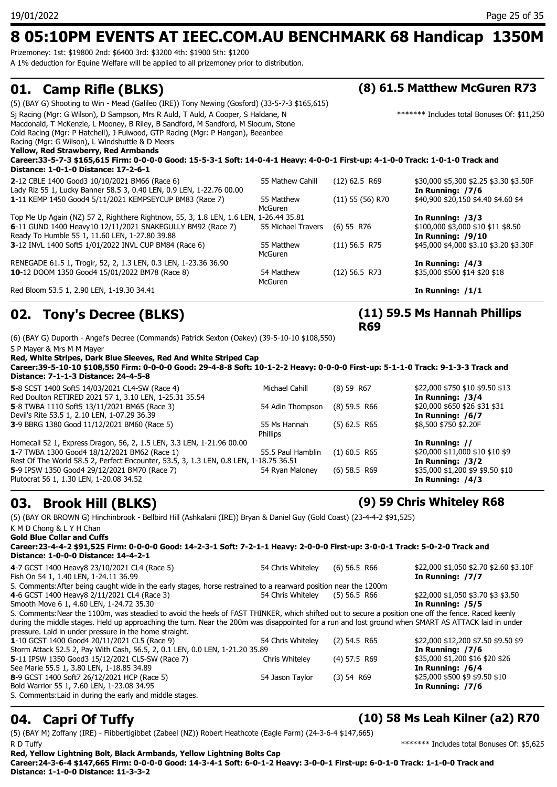## **8 05:10PM EVENTS AT IEEC.COM.AU BENCHMARK 68 Handicap 1350M**

Prizemoney: 1st: \$19800 2nd: \$6400 3rd: \$3200 4th: \$1900 5th: \$1200

A 1% deduction for Equine Welfare will be applied to all prizemoney prior to distribution.

### **01. Camp Rifle (BLKS) (8) 61.5 Matthew McGuren R73**

| Red Bloom 53.5 1, 2.90 LEN, 1-19.30 34.41                                                                                       |                    |                    | In Running: $/1/1$                          |
|---------------------------------------------------------------------------------------------------------------------------------|--------------------|--------------------|---------------------------------------------|
|                                                                                                                                 | McGuren            |                    |                                             |
| 10-12 DOOM 1350 Good4 15/01/2022 BM78 (Race 8)                                                                                  | 54 Matthew         | $(12)$ 56.5 R73    | \$35,000 \$500 \$14 \$20 \$18               |
| RENEGADE 61.5 1, Trogir, 52, 2, 1.3 LEN, 0.3 LEN, 1-23.36 36.90                                                                 |                    |                    | In Running: $/4/3$                          |
|                                                                                                                                 | <b>McGuren</b>     |                    |                                             |
| 3-12 INVL 1400 Soft5 1/01/2022 INVL CUP BM84 (Race 6)                                                                           | 55 Matthew         | $(11)$ 56.5 R75    | \$45,000 \$4,000 \$3.10 \$3.20 \$3.30F      |
| Ready To Humble 55 1, 11.60 LEN, 1-27.80 39.88                                                                                  |                    |                    | In Running: $/9/10$                         |
| 6-11 GUND 1400 Heavy10 12/11/2021 SNAKEGULLY BM92 (Race 7)                                                                      | 55 Michael Travers | $(6)$ 55 R76       | $$100,000$ \$3,000 \$10 \$11 \$8.50         |
| Top Me Up Again (NZ) 57 2, Righthere Rightnow, 55, 3, 1.8 LEN, 1.6 LEN, 1-26.44 35.81                                           |                    |                    | In Running: $/3/3$                          |
|                                                                                                                                 | McGuren            |                    | \$40,900 \$20,150 \$4.40 \$4.60 \$4         |
| Lady Riz 55 1, Lucky Banner 58.5 3, 0.40 LEN, 0.9 LEN, 1-22.76 00.00<br>1-11 KEMP 1450 Good4 5/11/2021 KEMPSEYCUP BM83 (Race 7) | 55 Matthew         | $(11)$ 55 (56) R70 | In Running: /7/6                            |
| 2-12 CBLE 1400 Good3 10/10/2021 BM66 (Race 6)                                                                                   | 55 Mathew Cahill   | $(12)$ 62.5 R69    | \$30,000 \$5,300 \$2.25 \$3.30 \$3.50F      |
| Distance: 1-0-1-0 Distance: 17-2-6-1                                                                                            |                    |                    |                                             |
| Career:33-5-7-3 \$165,615 Firm: 0-0-0-0 Good: 15-5-3-1 Soft: 14-0-4-1 Heavy: 4-0-0-1 First-up: 4-1-0-0 Track: 1-0-1-0 Track and |                    |                    |                                             |
| Yellow, Red Strawberry, Red Armbands                                                                                            |                    |                    |                                             |
| Racing (Mgr: G Wilson), L Windshuttle & D Meers                                                                                 |                    |                    |                                             |
| Cold Racing (Mgr: P Hatchell), J Fulwood, GTP Racing (Mgr: P Hangan), Beeanbee                                                  |                    |                    |                                             |
| Macdonald, T McKenzie, L Mooney, B Riley, B Sandford, M Sandford, M Slocum, Stone                                               |                    |                    |                                             |
| Sj Racing (Mgr: G Wilson), D Sampson, Mrs R Auld, T Auld, A Cooper, S Haldane, N                                                |                    |                    | ******* Includes total Bonuses Of: \$11,250 |
| (5) (BAY G) Shooting to Win - Mead (Galileo (IRE)) Tony Newing (Gosford) (33-5-7-3 \$165,615)                                   |                    |                    |                                             |
|                                                                                                                                 |                    |                    |                                             |

## **02. Tony's Decree (BLKS)**

(6) (BAY G) Duporth - Angel's Decree (Commands) Patrick Sexton (Oakey) (39-5-10-10 \$108,550) S P Mayer & Mrs M M Mayer

**Red, White Stripes, Dark Blue Sleeves, Red And White Striped Cap**

**Career:39-5-10-10 \$108,550 Firm: 0-0-0-0 Good: 29-4-8-8 Soft: 10-1-2-2 Heavy: 0-0-0-0 First-up: 5-1-1-0 Track: 9-1-3-3 Track and Distance: 7-1-1-3 Distance: 24-4-5-8**

**5**-8 SCST 1400 Soft5 14/03/2021 CL4-SW (Race 4) Michael Cahill (8) 59 R67 \$22,000 \$750 \$10 \$9.50 \$13 Red Doulton RETIRED 2021 57 1, 3.10 LEN, 1-25.31 35.54 **In Running: /3/4 5**-8 TWBA 1110 Soft5 13/11/2021 BM65 (Race 3) 54 Adin Thompson (8) 59.5 R66 \$20,000 \$650 \$26 \$31 \$31<br>Devil's Rite 53.5 1, 2.10 LEN, 1-07.29 36.39 **54 Adin Thompson** (8) 59.5 R66 **11 Running: /6/7** Devil's Rite 53.5 1, 2.10 LEN, 1-07.29 36.39 **3**-9 BBRG 1380 Good 11/12/2021 BM60 (Race 5) 55 Ms Hannah (5) 62.5 R65 Phillips \$8,500 \$750 \$2.20F Homecall 52 1, Express Dragon, 56, 2, 1.5 LEN, 3.3 LEN, 1-21.96 00.00<br>**1**-7 TWBA 1300 Good4 18/12/2021 BM62 (Race 1) 55.5 Paul Hamblin (1) 60.5 R65 \$20,000 \$11.000 \$10 \$10 \$9 **1**-7 TWBA 1300 Good4 18/12/2021 BM62 (Race 1) 55.5 Paul Hamblin (1) 60.5 R65 Rest Of The World 58.5 2, Perfect Encounter, 53.5, 3, 1.3 LEN, 0.8 LEN, 1-18.75 36.51 **In Running: /3/2**<br>**5.**9 IPSW 1350 Good4 29/12/2021 BM70 (Race 7) 54 Ryan Maloney (6) 58.5 R69 \$35,000 \$1,200 \$9 \$9.50 \$10 **5**-9 IPSW 1350 Good4 29/12/2021 BM70 (Race 7) 54 Ryan Maloney (6) 58.5 R69 Plutocrat 56 1, 1.30 LEN, 1-20.08 34.52 **In Running: /4/3**

### **03. Brook Hill (BLKS) (9) 59 Chris Whiteley R68**

**(11) 59.5 Ms Hannah Phillips** 

**R69**

(5) (BAY OR BROWN G) Hinchinbrook - Bellbird Hill (Ashkalani (IRE)) Bryan & Daniel Guy (Gold Coast) (23-4-4-2 \$91,525) K M D Chong & L Y H Chan **Gold Blue Collar and Cuffs Career:23-4-4-2 \$91,525 Firm: 0-0-0-0 Good: 14-2-3-1 Soft: 7-2-1-1 Heavy: 2-0-0-0 First-up: 3-0-0-1 Track: 5-0-2-0 Track and Distance: 1-0-0-0 Distance: 14-4-2-1 4**-7 GCST 1400 Heavy8 23/10/2021 CL4 (Race 5) 54 Chris Whiteley (6) 56.5 R66 \$22,000 \$1,050 \$2.70 \$2.60 \$3.10F Fish On 54 1, 1.40 LEN, 1-24.11 36.99 **In Running: /7/7** S. Comments:After being caught wide in the early stages, horse restrained to a rearward position near the 1200m **4**-6 GCST 1400 Heavy8 2/11/2021 CL4 (Race 3) 54 Chris Whiteley (5) 56.5 R66 \$22,000 \$1,050 \$3.70 \$3 \$3.50 Smooth Move 6 1, 4.60 LEN, 1-24.72 35.30 **In Running: /5/5** S. Comments:Near the 1100m, was steadied to avoid the heels of FAST THINKER, which shifted out to secure a position one off the fence. Raced keenly during the middle stages. Held up approaching the turn. Near the 200m was disappointed for a run and lost ground when SMART AS ATTACK laid in under pressure. Laid in under pressure in the home straight. **1**-10 GCST 1400 Good4 20/11/2021 CL5 (Race 9) 54 Chris Whiteley (2) 54.5 R65 \$22,000 \$12,200 \$7.50 \$9.50 \$9 Storm Attack 52.5 2, Pay With Cash, 56.5, 2, 0.1 LEN, 0.0 LEN, 1-21.20 35.89 **In Running: /7/6 5**-11 IPSW 1350 Good3 15/12/2021 CL5-SW (Race 7) Chris Whiteley (4) 57.5 R69 \$35,000 \$1,200 \$16 \$20 \$26 See Marie 55.5 1, 3.80 LEN, 1-18.85 34.89<br> **8**-9 GCST 1400 Soft7 26/12/2021 HCP (Race 5) **In Running: /6/4** 54 Jason Taylor (3) 54 R69 \$425,000 \$500 \$9 \$9.50 \$10 **8**-9 GCST 1400 Soft7 26/12/2021 HCP (Race 5) 54 Jason Taylor (3) 54 R69 Bold Warrior 55 1, 7.60 LEN, 1-23.08 34.95 **In Running: /7/6** S. Comments:Laid in during the early and middle stages.

### **04. Capri Of Tuffy (10) 58 Ms Leah Kilner (a2) R70**

(5) (BAY M) Zoffany (IRE) - Flibbertigibbet (Zabeel (NZ)) Robert Heathcote (Eagle Farm) (24-3-6-4 \$147,665) R D Tuffy **Example 2008** 2012 12:00 12:00 12:00 12:00 12:00 12:00 12:00 12:00 12:00 12:00 12:00 12:00 12:00 12:00 12:00 12:00 12:00 12:00 12:00 12:00 12:00 12:00 12:00 12:00 12:00 12:00 12:00 12:00 12:00 12:00 12:00 12:00

**Red, Yellow Lightning Bolt, Black Armbands, Yellow Lightning Bolts Cap Career:24-3-6-4 \$147,665 Firm: 0-0-0-0 Good: 14-3-4-1 Soft: 6-0-1-2 Heavy: 3-0-0-1 First-up: 6-0-1-0 Track: 1-1-0-0 Track and Distance: 1-1-0-0 Distance: 11-3-3-2**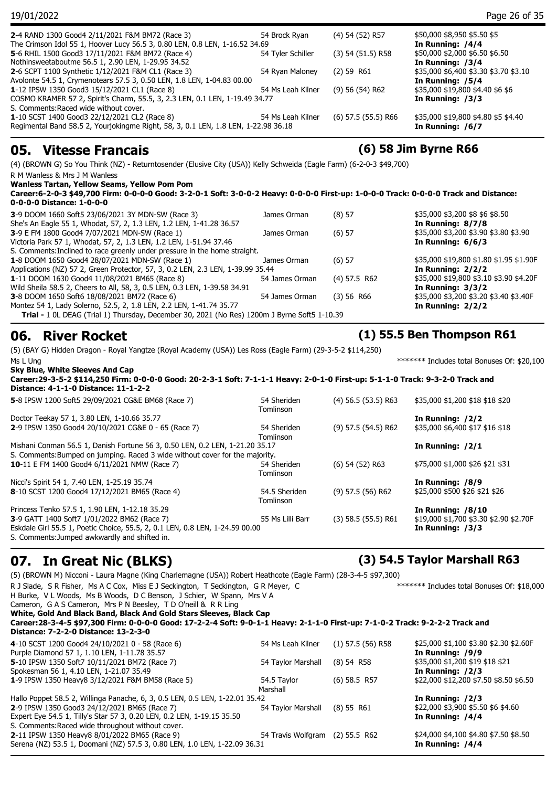| 19/01/2022                                                                                                                                                           |                   |                       | Page 26 of 35                                             |
|----------------------------------------------------------------------------------------------------------------------------------------------------------------------|-------------------|-----------------------|-----------------------------------------------------------|
| 2-4 RAND 1300 Good4 2/11/2021 F&M BM72 (Race 3)<br>The Crimson Idol 55 1, Hoover Lucy 56.5 3, 0.80 LEN, 0.8 LEN, 1-16.52 34.69                                       | 54 Brock Ryan     | (4) 54 (52) R57       | \$50,000 \$8,950 \$5.50 \$5<br>In Running: /4/4           |
| 5-6 RHIL 1500 Good3 17/11/2021 F&M BM72 (Race 4)<br>Nothinsweetaboutme 56.5 1, 2.90 LEN, 1-29.95 34.52                                                               | 54 Tyler Schiller | $(3)$ 54 $(51.5)$ R58 | \$50,000 \$2,000 \$6.50 \$6.50<br>In Running: /3/4        |
| 2-6 SCPT 1100 Synthetic 1/12/2021 F&M CL1 (Race 3)<br>Avolonte 54.5 1, Crymenotears 57.5 3, 0.50 LEN, 1.8 LEN, 1-04.83 00.00                                         | 54 Ryan Maloney   | $(2)$ 59 R61          | \$35,000 \$6,400 \$3.30 \$3.70 \$3.10<br>In Running: /5/4 |
| 1-12 IPSW 1350 Good3 15/12/2021 CL1 (Race 8)<br>COSMO KRAMER 57 2, Spirit's Charm, 55.5, 3, 2.3 LEN, 0.1 LEN, 1-19.49 34.77<br>S. Comments:Raced wide without cover. | 54 Ms Leah Kilner | $(9)$ 56 (54) R62     | \$35,000 \$19,800 \$4.40 \$6 \$6<br>In Running: $/3/3$    |
| 1-10 SCST 1400 Good3 22/12/2021 CL2 (Race 8)<br>Regimental Band 58.5 2, Yourjokingme Right, 58, 3, 0.1 LEN, 1.8 LEN, 1-22.98 36.18                                   | 54 Ms Leah Kilner | $(6)$ 57.5 (55.5) R66 | \$35,000 \$19,800 \$4.80 \$5 \$4.40<br>In Running: /6/7   |

### **05. Vitesse Francais (6) 58 Jim Byrne R66**

(4) (BROWN G) So You Think (NZ) - Returntosender (Elusive City (USA)) Kelly Schweida (Eagle Farm) (6-2-0-3 \$49,700) R M Wanless & Mrs J M Wanless

**Wanless Tartan, Yellow Seams, Yellow Pom Pom**

| Career:6-2-0-3 \$49,700 Firm: 0-0-0-0 Good: 3-2-0-1 Soft: 3-0-0-2 Heavy: 0-0-0-0 First-up: 1-0-0-0 Track: 0-0-0-0 Track and Distance:<br>0-0-0-0 Distance: 1-0-0-0 |  |            |                                 |
|--------------------------------------------------------------------------------------------------------------------------------------------------------------------|--|------------|---------------------------------|
| $\bullet$ 0.000111660.0.00010610001.01110111.10 01                                                                                                                 |  | $\sim$ $-$ | $+25.000 + 2.200 + 0.15 + 0.50$ |

| 3-9 DOOM 1660 Soft5 23/06/2021 3Y MDN-SW (Race 3)                                            | James Orman    | $(8)$ 57       | \$35,000 \$3,200 \$8 \$6 \$8.50         |
|----------------------------------------------------------------------------------------------|----------------|----------------|-----------------------------------------|
| She's An Eagle 55 1, Whodat, 57, 2, 1.3 LEN, 1.2 LEN, 1-41.28 36.57                          |                |                | In Running: $8/7/8$                     |
| 3-9 E FM 1800 Good4 7/07/2021 MDN-SW (Race 1)                                                | James Orman    | $(6)$ 57       | \$35,000 \$3,200 \$3.90 \$3.80 \$3.90   |
| Victoria Park 57 1, Whodat, 57, 2, 1.3 LEN, 1.2 LEN, 1-51.94 37.46                           |                |                | In Running: $6/6/3$                     |
| S. Comments: Inclined to race greenly under pressure in the home straight.                   |                |                |                                         |
| 1-8 DOOM 1650 Good4 28/07/2021 MDN-SW (Race 1)                                               | James Orman    | $(6)$ 57       | \$35,000 \$19,800 \$1.80 \$1.95 \$1.90F |
| Applications (NZ) 57 2, Green Protector, 57, 3, 0.2 LEN, 2.3 LEN, 1-39.99 35.44              |                |                | In Running: $2/2/2$                     |
| 1-11 DOOM 1630 Good4 11/08/2021 BM65 (Race 8)                                                | 54 James Orman | $(4)$ 57.5 R62 | \$35,000 \$19,800 \$3.10 \$3.90 \$4.20F |
| Wild Sheila 58.5 2, Cheers to All, 58, 3, 0.5 LEN, 0.3 LEN, 1-39.58 34.91                    |                |                | In Running: $3/3/2$                     |
| 3-8 DOOM 1650 Soft6 18/08/2021 BM72 (Race 6)                                                 | 54 James Orman | (3) 56 R66     | \$35,000 \$3,200 \$3.20 \$3.40 \$3.40F  |
| Montez 54 1, Lady Solerno, 52.5, 2, 1.8 LEN, 2.2 LEN, 1-41.74 35.77                          |                |                | In Running: $2/2/2$                     |
| Trial - 1 0L DEAG (Trial 1) Thursday, December 30, 2021 (No Res) 1200m J Byrne Soft5 1-10.39 |                |                |                                         |
|                                                                                              |                |                |                                         |

(5) (BAY G) Hidden Dragon - Royal Yangtze (Royal Academy (USA)) Les Ross (Eagle Farm) (29-3-5-2 \$114,250) Ms L Ung  $******$  Includes total Bonuses Of: \$20,100

**Sky Blue, White Sleeves And Cap**

**Career:29-3-5-2 \$114,250 Firm: 0-0-0-0 Good: 20-2-3-1 Soft: 7-1-1-1 Heavy: 2-0-1-0 First-up: 5-1-1-0 Track: 9-3-2-0 Track and Distance: 4-1-1-0 Distance: 11-1-2-2**

| 5-8 IPSW 1200 Soft5 29/09/2021 CG&E BM68 (Race 7)                            | 54 Sheriden      | $(4)$ 56.5 (53.5) R63   | \$35,000 \$1,200 \$18 \$18 \$20        |
|------------------------------------------------------------------------------|------------------|-------------------------|----------------------------------------|
|                                                                              | Tomlinson        |                         |                                        |
| Doctor Teekay 57 1, 3.80 LEN, 1-10.66 35.77                                  |                  |                         | In Running: $/2/2$                     |
| 2-9 IPSW 1350 Good4 20/10/2021 CG&E 0 - 65 (Race 7)                          | 54 Sheriden      | $(9)$ 57.5 (54.5) R62   | \$35,000 \$6,400 \$17 \$16 \$18        |
|                                                                              | Tomlinson        |                         |                                        |
| Mishani Conman 56.5 1, Danish Fortune 56 3, 0.50 LEN, 0.2 LEN, 1-21.20 35.17 |                  |                         | In Running: $/2/1$                     |
| S. Comments: Bumped on jumping. Raced 3 wide without cover for the majority. |                  |                         |                                        |
| <b>10-11 E FM 1400 Good4 6/11/2021 NMW (Race 7)</b>                          | 54 Sheriden      | $(6)$ 54 $(52)$ R63     | \$75,000 \$1,000 \$26 \$21 \$31        |
|                                                                              | Tomlinson        |                         |                                        |
| Nicci's Spirit 54 1, 7.40 LEN, 1-25.19 35.74                                 |                  |                         | In Running: /8/9                       |
| 8-10 SCST 1200 Good4 17/12/2021 BM65 (Race 4)                                | 54.5 Sheriden    | $(9)$ 57.5 (56) R62     | \$25,000 \$500 \$26 \$21 \$26          |
|                                                                              | Tomlinson        |                         |                                        |
| Princess Tenko 57.5 1, 1.90 LEN, 1-12.18 35.29                               |                  |                         | In Running: $/8/10$                    |
| 3-9 GATT 1400 Soft7 1/01/2022 BM62 (Race 7)                                  | 55 Ms Lilli Barr | $(3)$ 58.5 $(55.5)$ R61 | \$19,000 \$1,700 \$3.30 \$2.90 \$2.70F |
| Eskdale Girl 55.5 1, Poetic Choice, 55.5, 2, 0.1 LEN, 0.8 LEN, 1-24.59 00.00 |                  |                         | In Running: /3/3                       |
| S. Comments: Jumped awkwardly and shifted in.                                |                  |                         |                                        |

### **07. In Great Nic (BLKS) (3) 54.5 Taylor Marshall R63**

(5) (BROWN M) Nicconi - Laura Magne (King Charlemagne (USA)) Robert Heathcote (Eagle Farm) (28-3-4-5 \$97,300) R J Slade, S R Fisher, Ms A C Cox, Miss E J Seckington, T Seckington, G R Meyer, C H Burke, V L Woods, Ms B Woods, D C Benson, J Schier, W Spann, Mrs V A Cameron, G A S Cameron, Mrs P N Beesley, T D O'neill & R R Ling \*\*\*\*\*\*\* Includes total Bonuses Of: \$18,000 **White, Gold And Black Band, Black And Gold Stars Sleeves, Black Cap Career:28-3-4-5 \$97,300 Firm: 0-0-0-0 Good: 17-2-2-4 Soft: 9-0-1-1 Heavy: 2-1-1-0 First-up: 7-1-0-2 Track: 9-2-2-2 Track and Distance: 7-2-2-0 Distance: 13-2-3-0 4**-10 SCST 1200 Good4 24/10/2021 0 - 58 (Race 6) 54 Ms Leah Kilner (1) 57.5 (56) R58 \$25,000 \$1,100 \$3.80 \$2.30 \$2.60F Purple Diamond 57 1, 1.10 LEN, 1-11.78 35.57 **In Running: /9/9 5**-10 IPSW 1350 Soft7 10/11/2021 BM72 (Race 7) 54 Taylor Marshall (8) 54 R58 Spokesman 56 1, 4.10 LEN, 1-21.07 35.49 **In Running: /2/3 1**-9 IPSW 1350 Heavy8 3/12/2021 F&M BM58 (Race 5) 54.5 Taylor Marshall \$22,000 \$12,200 \$7.50 \$8.50 \$6.50 Hallo Poppet 58.5 2, Willinga Panache, 6, 3, 0.5 LEN, 0.5 LEN, 1-22.01 35.42 **In Running: /2/3 2**-9 IPSW 1350 Good3 24/12/2021 BM65 (Race 7) 54 Taylor Marshall (8) 55 R61 \$22,000 \$3,900 \$5.50 \$6 \$4.60 Expert Eye 54.5 1, Tilly's Star 57 3, 0.20 LEN, 0.2 LEN, 1-19.15 35.50 **In Running: /4/4**

S. Comments:Raced wide throughout without cover. **2-11 IPSW 1350 Heavy8 8/01/2022 BM65 (Race 9) 54 Travis Wolfgram (2) 55.5 R62 \$24,000 \$4,100 \$4.80 \$7.50 \$8.50** Serena (NZ) 53.5 1, Doomani (NZ) 57.5 3, 0.80 LEN, 1.0 LEN, 1-22.09 36.31 **In Running: /4/4**

### **06. River Rocket (1) 55.5 Ben Thompson R61**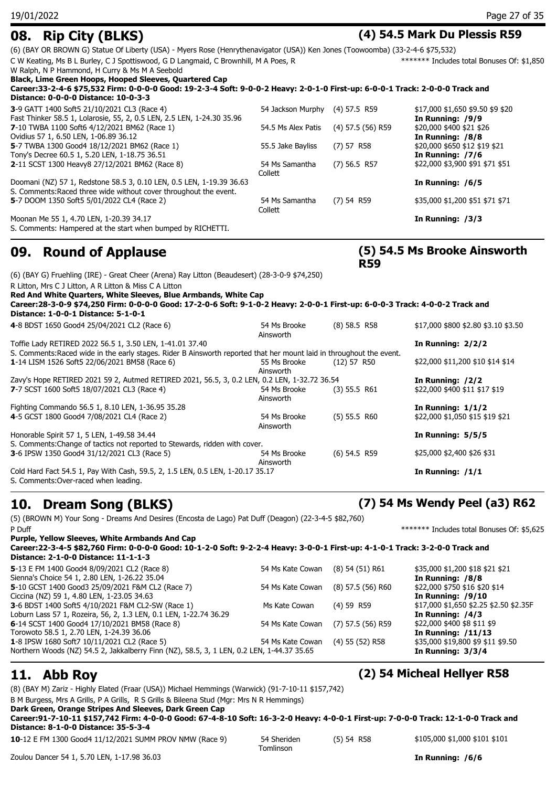**08. Rip City (BLKS) (4) 54.5 Mark Du Plessis R59** (6) (BAY OR BROWN G) Statue Of Liberty (USA) - Myers Rose (Henrythenavigator (USA)) Ken Jones (Toowoomba) (33-2-4-6 \$75,532)

C W Keating, Ms B L Burley, C J Spottiswood, G D Langmaid, C Brownhill, M A Poes, R \*\*\*\*\*\*\* Includes total Bonuses Of: \$1,850

W Ralph, N P Hammond, H Curry & Ms M A Seebold

**Black, Lime Green Hoops, Hooped Sleeves, Quartered Cap**

**Career:33-2-4-6 \$75,532 Firm: 0-0-0-0 Good: 19-2-3-4 Soft: 9-0-0-2 Heavy: 2-0-1-0 First-up: 6-0-0-1 Track: 2-0-0-0 Track and Distance: 0-0-0-0 Distance: 10-0-3-3**

| 3-9 GATT 1400 Soft5 21/10/2021 CL3 (Race 4)                            | 54 Jackson Murphy  | $(4)$ 57.5 R59      | \$17,000 \$1,650 \$9.50 \$9 \$20 |
|------------------------------------------------------------------------|--------------------|---------------------|----------------------------------|
| Fast Thinker 58.5 1, Lolarosie, 55, 2, 0.5 LEN, 2.5 LEN, 1-24.30 35.96 |                    |                     | In Running: /9/9                 |
| 7-10 TWBA 1100 Soft6 4/12/2021 BM62 (Race 1)                           | 54.5 Ms Alex Patis | $(4)$ 57.5 (56) R59 | \$20,000 \$400 \$21 \$26         |
| Ovidius 57 1, 6.50 LEN, 1-06.89 36.12                                  |                    |                     | In Running: /8/8                 |
| 5-7 TWBA 1300 Good4 18/12/2021 BM62 (Race 1)                           | 55.5 Jake Bayliss  | $(7)$ 57 R58        | \$20,000 \$650 \$12 \$19 \$21    |
| Tony's Decree 60.5 1, 5.20 LEN, 1-18.75 36.51                          |                    |                     | In Running: /7/6                 |
| 2-11 SCST 1300 Heavy8 27/12/2021 BM62 (Race 8)                         | 54 Ms Samantha     | $(7)$ 56.5 R57      | \$22,000 \$3,900 \$91 \$71 \$51  |
|                                                                        | Collett            |                     |                                  |
| Doomani (NZ) 57 1, Redstone 58.5 3, 0.10 LEN, 0.5 LEN, 1-19.39 36.63   |                    |                     | In Running: /6/5                 |
| S. Comments: Raced three wide without cover throughout the event.      |                    |                     |                                  |
| 5-7 DOOM 1350 Soft5 5/01/2022 CL4 (Race 2)                             | 54 Ms Samantha     | $(7)$ 54 R59        | \$35,000 \$1,200 \$51 \$71 \$71  |
|                                                                        | Collett            |                     |                                  |
| Moonan Me 55 1, 4.70 LEN, 1-20.39 34.17                                |                    |                     | In Running: /3/3                 |
| S. Comments: Hampered at the start when bumped by RICHETTI.            |                    |                     |                                  |

### **09. Round of Applause**

### **(5) 54.5 Ms Brooke Ainsworth R59**

| R Litton, Mrs C J Litton, A R Litton & Miss C A Litton                                                                        |                           |                |                                     |
|-------------------------------------------------------------------------------------------------------------------------------|---------------------------|----------------|-------------------------------------|
| Red And White Quarters, White Sleeves, Blue Armbands, White Cap                                                               |                           |                |                                     |
| Career:28-3-0-9 \$74,250 Firm: 0-0-0-0 Good: 17-2-0-6 Soft: 9-1-0-2 Heavy: 2-0-0-1 First-up: 6-0-0-3 Track: 4-0-0-2 Track and |                           |                |                                     |
| Distance: 1-0-0-1 Distance: 5-1-0-1                                                                                           |                           |                |                                     |
| 4-8 BDST 1650 Good4 25/04/2021 CL2 (Race 6)                                                                                   | 54 Ms Brooke<br>Ainsworth | $(8)$ 58.5 R58 | \$17,000 \$800 \$2.80 \$3.10 \$3.50 |
| Toffie Lady RETIRED 2022 56.5 1, 3.50 LEN, 1-41.01 37.40                                                                      |                           |                | In Running: $2/2/2$                 |
| S. Comments: Raced wide in the early stages. Rider B Ainsworth reported that her mount laid in throughout the event.          |                           |                |                                     |
| 1-14 LISM 1526 Soft5 22/06/2021 BM58 (Race 6)                                                                                 | 55 Ms Brooke<br>Ainsworth | $(12)$ 57 R50  | \$22,000 \$11,200 \$10 \$14 \$14    |
| Zavy's Hope RETIRED 2021 59 2, Autmed RETIRED 2021, 56.5, 3, 0.2 LEN, 0.2 LEN, 1-32.72 36.54                                  |                           |                | In Running: /2/2                    |
| 7-7 SCST 1600 Soft5 18/07/2021 CL3 (Race 4)                                                                                   | 54 Ms Brooke<br>Ainsworth | $(3)$ 55.5 R61 | \$22,000 \$400 \$11 \$17 \$19       |
| Fighting Commando 56.5 1, 8.10 LEN, 1-36.95 35.28                                                                             |                           |                | In Running: $1/1/2$                 |
| 4-5 GCST 1800 Good4 7/08/2021 CL4 (Race 2)                                                                                    | 54 Ms Brooke<br>Ainsworth | $(5)$ 55.5 R60 | \$22,000 \$1,050 \$15 \$19 \$21     |
| Honorable Spirit 57 1, 5 LEN, 1-49.58 34.44                                                                                   |                           |                | In Running: $5/5/5$                 |
| S. Comments: Change of tactics not reported to Stewards, ridden with cover.                                                   |                           |                |                                     |
| 3-6 IPSW 1350 Good4 31/12/2021 CL3 (Race 5)                                                                                   | 54 Ms Brooke<br>Ainsworth | $(6)$ 54.5 R59 | \$25,000 \$2,400 \$26 \$31          |
| Cold Hard Fact 54.5 1, Pay With Cash, 59.5, 2, 1.5 LEN, 0.5 LEN, 1-20.17 35.17<br>S. Comments: Over-raced when leading.       |                           |                | In Running: $/1/1$                  |

### **10. Dream Song (BLKS) (7) 54 Ms Wendy Peel (a3) R62**

(5) (BROWN M) Your Song - Dreams And Desires (Encosta de Lago) Pat Duff (Deagon) (22-3-4-5 \$82,760) P Duff  $******$  Includes total Bonuses Of: \$5,625

(6) (BAY G) Fruehling (IRE) - Great Cheer (Arena) Ray Litton (Beaudesert) (28-3-0-9 \$74,250)

**Purple, Yellow Sleeves, White Armbands And Cap Career:22-3-4-5 \$82,760 Firm: 0-0-0-0 Good: 10-1-2-0 Soft: 9-2-2-4 Heavy: 3-0-0-1 First-up: 4-1-0-1 Track: 3-2-0-0 Track and Distance: 2-1-0-0 Distance: 11-1-1-3 5**-13 E FM 1400 Good4 8/09/2021 CL2 (Race 8) 54 Ms Kate Cowan (8) 54 (51) R61 \$35,000 \$1,200 \$18 \$21 \$21 Sienna's Choice 54 1, 2.80 LEN, 1-26.22 35.04 **In Running: /8/8 5**-10 GCST 1400 Good3 25/09/2021 F&M CL2 (Race 7) 54 Ms Kate Cowan (8) 57.5 (56) R60 \$22,000 \$750 \$16 \$20 \$14 Ciccina (NZ) 59 1, 4.80 LEN, 1-23.05 34.63 **In Running: /9/10 3**-6 BDST 1400 Soft5 4/10/2021 F&M CL2-SW (Race 1) Ms Kate Cowan (4) 59 R59 \$17,000 \$1,650 \$2.25 \$2.50 \$2.35F Loburn Lass 57 1, Rozeira, 56, 2, 1.3 LEN, 0.1 LEN, 1-22.74 36.29 **In Running: /4/3 6**-14 SCST 1400 Good4 17/10/2021 BM58 (Race 8) 54 Ms Kate Cowan (7) 57.5 (56) R59 \$22,000 \$400 \$8 \$11 \$9 Torowoto 58.5 1, 2.70 LEN, 1-24.39 36.06 **In Running: /11/13 1**-8 IPSW 1680 Soft7 10/11/2021 CL2 (Race 5) 54 Ms Kate Cowan (4) 55 (52) R58 \$35,000 \$19,800 \$9 \$11 \$9.50 Northern Woods (NZ) 54.5 2, Jakkalberry Finn (NZ), 58.5, 3, 1 LEN, 0.2 LEN, 1-44.37 35.65 **In Running: 3/3/4**

(8) (BAY M) Zariz - Highly Elated (Fraar (USA)) Michael Hemmings (Warwick) (91-7-10-11 \$157,742)

B M Burgess, Mrs A Grills, P A Grills, R S Grills & Bileena Stud (Mgr: Mrs N R Hemmings)

**Dark Green, Orange Stripes And Sleeves, Dark Green Cap**

**Career:91-7-10-11 \$157,742 Firm: 4-0-0-0 Good: 67-4-8-10 Soft: 16-3-2-0 Heavy: 4-0-0-1 First-up: 7-0-0-0 Track: 12-1-0-0 Track and Distance: 8-1-0-0 Distance: 35-5-3-4**

**10**-12 E FM 1300 Good4 11/12/2021 SUMM PROV NMW (Race 9) 54 Sheriden (5) 54 R58

Tomlinson

(5) 54 R58 \$105,000 \$1,000 \$101 \$101

## **11. Abb Roy (2) 54 Micheal Hellyer R58**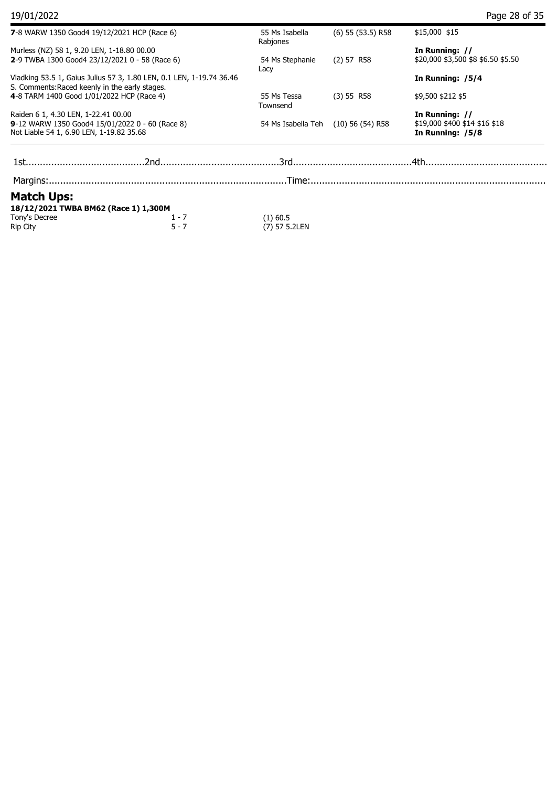| 7-8 WARW 1350 Good4 19/12/2021 HCP (Race 6)                                                                            |         | 55 Ms Isabella<br>Rabjones | $(6)$ 55 $(53.5)$ R58 | \$15,000 \$15                                      |  |
|------------------------------------------------------------------------------------------------------------------------|---------|----------------------------|-----------------------|----------------------------------------------------|--|
| Murless (NZ) 58 1, 9.20 LEN, 1-18.80 00.00                                                                             |         |                            |                       | In Running: //                                     |  |
| 2-9 TWBA 1300 Good4 23/12/2021 0 - 58 (Race 6)                                                                         |         | 54 Ms Stephanie<br>Lacy    | $(2)$ 57 R58          | \$20,000 \$3,500 \$8 \$6.50 \$5.50                 |  |
| Vladking 53.5 1, Gaius Julius 57 3, 1.80 LEN, 0.1 LEN, 1-19.74 36.46<br>S. Comments: Raced keenly in the early stages. |         |                            |                       | In Running: /5/4                                   |  |
| 4-8 TARM 1400 Good 1/01/2022 HCP (Race 4)                                                                              |         | 55 Ms Tessa<br>Townsend    | (3) 55 R58            | \$9,500 \$212 \$5                                  |  |
| Raiden 6 1, 4.30 LEN, 1-22.41 00.00                                                                                    |         |                            |                       | In Running: //                                     |  |
| 9-12 WARW 1350 Good4 15/01/2022 0 - 60 (Race 8)<br>Not Liable 54 1, 6.90 LEN, 1-19.82 35.68                            |         | 54 Ms Isabella Teh         | $(10)$ 56 (54) R58    | $$19,000$ \$400 \$14 \$16 \$18<br>In Running: /5/8 |  |
|                                                                                                                        |         |                            |                       |                                                    |  |
|                                                                                                                        |         |                            |                       |                                                    |  |
|                                                                                                                        |         |                            |                       |                                                    |  |
| <b>Match Ups:</b>                                                                                                      |         |                            |                       |                                                    |  |
| 18/12/2021 TWBA BM62 (Race 1) 1,300M                                                                                   |         |                            |                       |                                                    |  |
| Tony's Decree                                                                                                          | $1 - 7$ | $(1)$ 60.5                 |                       |                                                    |  |
| Rip City                                                                                                               | $5 - 7$ | (7) 57 5.2LEN              |                       |                                                    |  |
|                                                                                                                        |         |                            |                       |                                                    |  |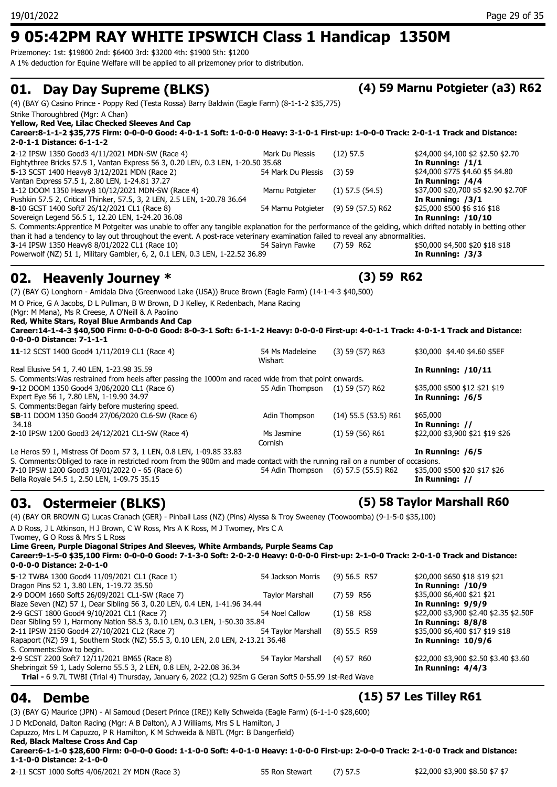Prizemoney: 1st: \$19800 2nd: \$6400 3rd: \$3200 4th: \$1900 5th: \$1200

A 1% deduction for Equine Welfare will be applied to all prizemoney prior to distribution.

## **01. Day Day Supreme (BLKS) (4) 59 Marnu Potgieter (a3) R62**

(4) (BAY G) Casino Prince - Poppy Red (Testa Rossa) Barry Baldwin (Eagle Farm) (8-1-1-2 \$35,775) Strike Thoroughbred (Mgr: A Chan) **Yellow, Red Vee, Lilac Checked Sleeves And Cap Career:8-1-1-2 \$35,775 Firm: 0-0-0-0 Good: 4-0-1-1 Soft: 1-0-0-0 Heavy: 3-1-0-1 First-up: 1-0-0-0 Track: 2-0-1-1 Track and Distance: 2-0-1-1 Distance: 6-1-1-2 2**-12 IPSW 1350 Good3 4/11/2021 MDN-SW (Race 4) Mark Du Plessis (12) 57.5 \$24,000 \$4,100 \$2 \$2.50 \$2.70 Eightythree Bricks 57.5 1, Vantan Express 56 3, 0.20 LEN, 0.3 LEN, 1-20.50 35.68 **In Running: /1/1 5**-13 SCST 1400 Heavy8 3/12/2021 MDN (Race 2) 54 Mark Du Plessis (3) 59 \$24,000 \$775 \$4.60 \$5 \$4.80 Vantan Express 57.5 1, 2.80 LEN, 1-24.81 37.27 **In Running: /4/4 1**-12 DOOM 1350 Heavy8 10/12/2021 MDN-SW (Race 4) Marnu Potgieter (1) 57.5 (54.5) \$37,000 \$20,700 \$5 \$2.90 \$2.70F Pushkin 57.5 2, Critical Thinker, 57.5, 3, 2 LEN, 2.5 LEN, 1-20.78 36.64 **In Running: /3/1 8**-10 GCST 1400 Soft7 26/12/2021 CL1 (Race 8) 54 Marnu Potgieter (9) 59 (57.5) R62 \$25,000 \$500 \$6 \$16 \$18 Sovereign Legend 56.5 1, 12.20 LEN, 1-24.20 36.08 S. Comments:Apprentice M Potgeiter was unable to offer any tangible explanation for the performance of the gelding, which drifted notably in betting other than it had a tendency to lay out throughout the event. A post-race veterinary examination failed to reveal any abnormalities.<br>3-14 IPSW 1350 Heavy8 8/01/2022 CL1 (Race 10) 54.500 559 R62 518 550,000 \$4,500 \$20 \$18 \$18 **3-14 IPSW 1350 Heavy8 8/01/2022 CL1 (Race 10) 54 Sairyn Fawke (7) 59 R62** Powerwolf (NZ) 51 1, Military Gambler, 6, 2, 0.1 LEN, 0.3 LEN, 1-22.52 36.89 **In Running: /3/3 02. Heavenly Journey \* (3) 59 R62** (7) (BAY G) Longhorn - Amidala Diva (Greenwood Lake (USA)) Bruce Brown (Eagle Farm) (14-1-4-3 \$40,500) M O Price, G A Jacobs, D L Pullman, B W Brown, D J Kelley, K Redenbach, Mana Racing (Mgr: M Mana), Ms R Creese, A O'Neill & A Paolino **Red, White Stars, Royal Blue Armbands And Cap Career:14-1-4-3 \$40,500 Firm: 0-0-0-0 Good: 8-0-3-1 Soft: 6-1-1-2 Heavy: 0-0-0-0 First-up: 4-0-1-1 Track: 4-0-1-1 Track and Distance: 0-0-0-0 Distance: 7-1-1-1 11**-12 SCST 1400 Good4 1/11/2019 CL1 (Race 4) 54 Ms Madeleine (3) 59 (57) R63 **Wishart** (3) 59 (57) R63 \$30,000 \$4.40 \$4.60 \$5EF Real Elusive 54 1, 7.40 LEN, 1-23.98 35.59 **In Running: /10/11**

S. Comments:Was restrained from heels after passing the 1000m and raced wide from that point onwards.<br>
9-12 DOOM 1350 Good4 3/06/2020 CL1 (Race 6) 55 Adin Thompson (1) 59 (57) R62 **9**-12 DOOM 1350 Good4 3/06/2020 CL1 (Race 6) 55 Adin Thompson (1) 59 (57) R62 \$35,000 \$500 \$12 \$21 \$19 Expert Eye 56 1, 7.80 LEN, 1-19.90 34.97 **In Running: /6/5** S. Comments:Began fairly before mustering speed. **SB-**11 DOOM 1350 Good4 27/06/2020 CL6-SW (Race 6) Adin Thompson (14) 55.5 (53.5) R61 \$65,000 34.18 **In Running: // 2**-10 IPSW 1200 Good3 24/12/2021 CL1-SW (Race 4) Ms Jasmine (1) 59 (56) R61 Cornish \$22,000 \$3,900 \$21 \$19 \$26 Le Heros 59 1, Mistress Of Doom 57 3, 1 LEN, 0.8 LEN, 1-09.85 33.83 **In Running: /6/5** S. Comments:Obliged to race in restricted room from the 900m and made contact with the running rail on a number of occasions.<br>7-10 IPSW 1200 Good3 19/01/2022 0 - 65 (Race 6) 59.54 Adin Thompson (6) 57.5 (55.5) R62 \$35,000 **7**-10 IPSW 1200 Good3 19/01/2022 0 - 65 (Race 6)

Bella Royale 54.5 1, 2.50 LEN, 1-09.75 35.15 **In Running: //**

A D Ross, J L Atkinson, H J Brown, C W Ross, Mrs A K Ross, M J Twomey, Mrs C A

**Lime Green, Purple Diagonal Stripes And Sleeves, White Armbands, Purple Seams Cap**

### **03. Ostermeier (BLKS) (5) 58 Taylor Marshall R60** (4) (BAY OR BROWN G) Lucas Cranach (GER) - Pinball Lass (NZ) (Pins) Alyssa & Troy Sweeney (Toowoomba) (9-1-5-0 \$35,100)

Twomey, G O Ross & Mrs S L Ross

**Career:9-1-5-0 \$35,100 Firm: 0-0-0-0 Good: 7-1-3-0 Soft: 2-0-2-0 Heavy: 0-0-0-0 First-up: 2-1-0-0 Track: 2-0-1-0 Track and Distance: 0-0-0-0 Distance: 2-0-1-0 5**-12 TWBA 1300 Good4 11/09/2021 CL1 (Race 1) 54 Jackson Morris (9) 56.5 R57 \$20,000 \$650 \$18 \$19 \$21 Dragon Pins 52 1, 3.80 LEN, 1-19.72 35.50 **In Running: /10/9 2**-9 DOOM 1660 Soft5 26/09/2021 CL1-SW (Race 7) Taylor Marshall (7) 59 R56 \$35,000 \$6,400 \$21 \$21 \$21 \$21 \$21<br>Blaze Seven (NZ) 57 1, Dear Sibling 56 3, 0.20 LEN, 0.4 LEN, 1-41.96 34.44 Blaze Seven (NZ) 57 1, Dear Sibling 56 3, 0.20 LEN, 0.4 LEN, 1-41.96 34.44 **2**-9 GCST 1800 Good4 9/10/2021 CL1 (Race 7) 54 Noel Callow (1) 58 R58 \$22,000 \$3,900 \$2.40 \$2.35 \$2.50F<br>Dear Sibling 59 1, Harmony Nation 58.5 3, 0.10 LEN, 0.3 LEN, 1-50.30 35.84 **10 and 58.64** In Running: 8/8/8 Dear Sibling 59 1, Harmony Nation 58.5 3, 0.10 LEN, 0.3 LEN, 1-50.30 35.84 **2**-11 IPSW 2150 Good4 27/10/2021 CL2 (Race 7) 54 Taylor Marshall (8) 55.5 R59 \$35,000 \$6,400 \$17 \$19 \$18<br>Rapaport (NZ) 59 1, Southern Stock (NZ) 55.5 3, 0.10 LEN, 2.0 LEN, 2-13.21 36.48 Rapaport (NZ) 59 1, Southern Stock (NZ) 55.5 3, 0.10 LEN, 2.0 LEN, 2-13.21 36.48 S. Comments:Slow to begin. **2**-9 SCST 2200 Soft7 12/11/2021 BM65 (Race 8) 54 Taylor Marshall (4) 57 R60 \$22,000 \$3,900 \$2.50 \$3.40 \$3.60 Shebringzit 59 1, Lady Solerno 55.5 3, 2 LEN, 0.8 LEN, 2-22.08 36.34 **In Running: 4/4/3 Trial -** 6 9.7L TWBI (Trial 4) Thursday, January 6, 2022 (CL2) 925m G Geran Soft5 0-55.99 1st-Red Wave **04. Dembe (15) 57 Les Tilley R61**

(3) (BAY G) Maurice (JPN) - Al Samoud (Desert Prince (IRE)) Kelly Schweida (Eagle Farm) (6-1-1-0 \$28,600) J D McDonald, Dalton Racing (Mgr: A B Dalton), A J Williams, Mrs S L Hamilton, J Capuzzo, Mrs L M Capuzzo, P R Hamilton, K M Schweida & NBTL (Mgr: B Dangerfield) **Red, Black Maltese Cross And Cap**

**Career:6-1-1-0 \$28,600 Firm: 0-0-0-0 Good: 1-1-0-0 Soft: 4-0-1-0 Heavy: 1-0-0-0 First-up: 2-0-0-0 Track: 2-1-0-0 Track and Distance: 1-1-0-0 Distance: 2-1-0-0**

**2**-11 SCST 1000 Soft5 4/06/2021 2Y MDN (Race 3) 55 Ron Stewart (7) 57.5 \$22,000 \$3,900 \$8.50 \$7 \$7

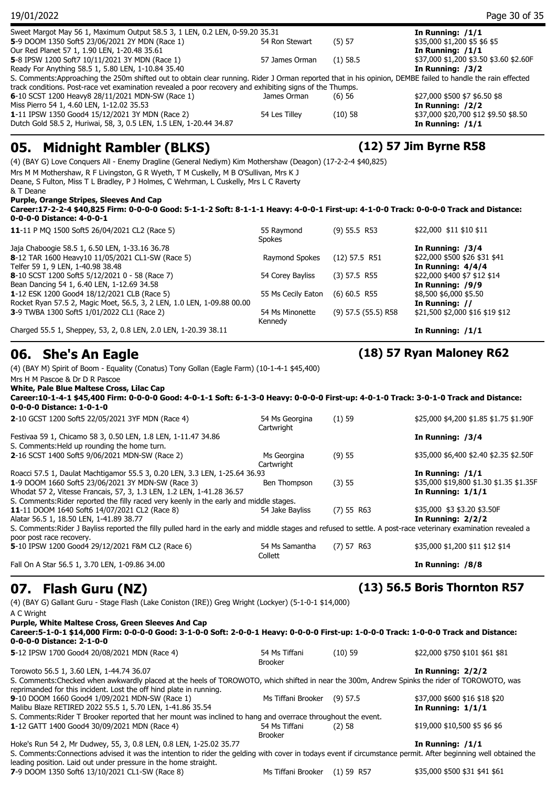| 19/01/2022                                                                                                                                                                                                                                                                                                                                                                                                   |                             |                         | Page 30 of 35                                     |
|--------------------------------------------------------------------------------------------------------------------------------------------------------------------------------------------------------------------------------------------------------------------------------------------------------------------------------------------------------------------------------------------------------------|-----------------------------|-------------------------|---------------------------------------------------|
| Sweet Margot May 56 1, Maximum Output 58.5 3, 1 LEN, 0.2 LEN, 0-59.20 35.31                                                                                                                                                                                                                                                                                                                                  |                             |                         | In Running: $/1/1$                                |
| 5-9 DOOM 1350 Soft5 23/06/2021 2Y MDN (Race 1)                                                                                                                                                                                                                                                                                                                                                               | 54 Ron Stewart              | (5) 57                  | \$35,000 \$1,200 \$5 \$6 \$5                      |
| Our Red Planet 57 1, 1.90 LEN, 1-20.48 35.61                                                                                                                                                                                                                                                                                                                                                                 |                             |                         | In Running: $/1/1$                                |
| 5-8 IPSW 1200 Soft7 10/11/2021 3Y MDN (Race 1)                                                                                                                                                                                                                                                                                                                                                               | 57 James Orman              | $(1)$ 58.5              | \$37,000 \$1,200 \$3.50 \$3.60 \$2.60F            |
| Ready For Anything 58.5 1, 5.80 LEN, 1-10.84 35.40                                                                                                                                                                                                                                                                                                                                                           |                             |                         | In Running: /3/2                                  |
| S. Comments:Approaching the 250m shifted out to obtain clear running. Rider J Orman reported that in his opinion, DEMBE failed to handle the rain effected                                                                                                                                                                                                                                                   |                             |                         |                                                   |
| track conditions. Post-race vet examination revealed a poor recovery and exhibiting signs of the Thumps.                                                                                                                                                                                                                                                                                                     |                             |                         |                                                   |
| 6-10 SCST 1200 Heavy8 28/11/2021 MDN-SW (Race 1)                                                                                                                                                                                                                                                                                                                                                             | James Orman                 | (6)56                   | \$27,000 \$500 \$7 \$6.50 \$8                     |
| Miss Pierro 54 1, 4.60 LEN, 1-12.02 35.53                                                                                                                                                                                                                                                                                                                                                                    |                             |                         | In Running: /2/2                                  |
| 1-11 IPSW 1350 Good4 15/12/2021 3Y MDN (Race 2)                                                                                                                                                                                                                                                                                                                                                              | 54 Les Tilley               | (10)58                  | \$37,000 \$20,700 \$12 \$9.50 \$8.50              |
| Dutch Gold 58.5 2, Huriwai, 58, 3, 0.5 LEN, 1.5 LEN, 1-20.44 34.87                                                                                                                                                                                                                                                                                                                                           |                             |                         | In Running: $/1/1$                                |
| Mrs M M Mothershaw, R F Livingston, G R Wyeth, T M Cuskelly, M B O'Sullivan, Mrs K J<br>Deane, S Fulton, Miss T L Bradley, P J Holmes, C Wehrman, L Cuskelly, Mrs L C Raverty<br>& T Deane<br>Purple, Orange Stripes, Sleeves And Cap<br>Career:17-2-2-4 \$40,825 Firm: 0-0-0-0 Good: 5-1-1-2 Soft: 8-1-1-1 Heavy: 4-0-0-1 First-up: 4-1-0-0 Track: 0-0-0-0 Track and Distance:<br>0-0-0-0 Distance: 4-0-0-1 |                             |                         |                                                   |
| 11-11 P MO 1500 Soft5 26/04/2021 CL2 (Race 5)                                                                                                                                                                                                                                                                                                                                                                | 55 Raymond<br><b>Spokes</b> | $(9)$ 55.5 R53          | \$22,000 \$11 \$10 \$11                           |
| Jaja Chaboogie 58.5 1, 6.50 LEN, 1-33.16 36.78                                                                                                                                                                                                                                                                                                                                                               |                             |                         | In Running: /3/4                                  |
| 8-12 TAR 1600 Heavy10 11/05/2021 CL1-SW (Race 5)                                                                                                                                                                                                                                                                                                                                                             | Raymond Spokes              | $(12)$ 57.5 R51         | \$22,000 \$500 \$26 \$31 \$41                     |
| Telfer 59 1, 9 LEN, 1-40.98 38.48                                                                                                                                                                                                                                                                                                                                                                            |                             |                         | In Running: 4/4/4                                 |
| 8-10 SCST 1200 Soft5 5/12/2021 0 - 58 (Race 7)                                                                                                                                                                                                                                                                                                                                                               | 54 Corey Bayliss            | $(3)$ 57.5 R55          | \$22,000 \$400 \$7 \$12 \$14                      |
| Bean Dancing 54 1, 6.40 LEN, 1-12.69 34.58                                                                                                                                                                                                                                                                                                                                                                   |                             |                         | In Running: /9/9                                  |
| 1-12 ESK 1200 Good4 18/12/2021 CLB (Race 5)                                                                                                                                                                                                                                                                                                                                                                  | 55 Ms Cecily Eaton          | $(6)$ 60.5 R55          | \$8,500 \$6,000 \$5.50                            |
| Rocket Ryan 57.5 2, Magic Moet, 56.5, 3, 2 LEN, 1.0 LEN, 1-09.88 00.00                                                                                                                                                                                                                                                                                                                                       |                             |                         |                                                   |
| 3-9 TWBA 1300 Soft5 1/01/2022 CL1 (Race 2)                                                                                                                                                                                                                                                                                                                                                                   | 54 Ms Minonette             | $(9)$ 57.5 $(55.5)$ R58 | In Running: //<br>\$21,500 \$2,000 \$16 \$19 \$12 |

Charged 55.5 1, Sheppey, 53, 2, 0.8 LEN, 2.0 LEN, 1-20.39 38.11 **In Running: /1/1**

### **06. She's An Eagle (18) 57 Ryan Maloney R62**

 $& 7$ 

(4) (BAY M) Spirit of Boom - Equality (Conatus) Tony Gollan (Eagle Farm) (10-1-4-1 \$45,400) Mrs H M Pascoe & Dr D R Pascoe **White, Pale Blue Maltese Cross, Lilac Cap Career:10-1-4-1 \$45,400 Firm: 0-0-0-0 Good: 4-0-1-1 Soft: 6-1-3-0 Heavy: 0-0-0-0 First-up: 4-0-1-0 Track: 3-0-1-0 Track and Distance: 0-0-0-0 Distance: 1-0-1-0 2**-10 GCST 1200 Soft5 22/05/2021 3YF MDN (Race 4) 54 Ms Georgina (1) 59 **Cartwright** (1) 59 \$25,000 \$4,200 \$1.85 \$1.75 \$1.90F Festivaa 59 1, Chicamo 58 3, 0.50 LEN, 1.8 LEN, 1-11.47 34.86 **In Running: /3/4** S. Comments:Held up rounding the home turn. **2-16 SCST 1400 Soft5 9/06/2021 MDN-SW (Race 2) Ms Georgina (9) 55 Cartwright** (9) 55 \$35,000 \$6,400 \$2.40 \$2.35 \$2.50F Roacci 57.5 1, Daulat Machtigamor 55.5 3, 0.20 LEN, 3.3 LEN, 1-25.64 36.93 **In Running: /1/1 1**-9 DOOM 1660 Soft5 23/06/2021 3Y MDN-SW (Race 3) Ben Thompson (3) 55 \$35,000 \$19,800 \$1.30 \$1.35 \$1.35F \$1.35F Whodat 57 2, Vitesse Francais, 57, 3, 1.3 LEN, 1.2 LEN, 1-41.28 36.57 **In Running: 1/1/1** S. Comments:Rider reported the filly raced very keenly in the early and middle stages. **11**-11 DOOM 1640 Soft6 14/07/2021 CL2 (Race 8) 54 Jake Bayliss (7) 55 R63 \$35,000 \$3 \$3.20 \$3.50F Alatar 56.5 1, 18.50 LEN, 1-41.89 38.77 **In Running: 2/2/2** S. Comments:Rider J Bayliss reported the filly pulled hard in the early and middle stages and refused to settle. A post-race veterinary examination revealed a poor post race recovery. **5**-10 IPSW 1200 Good4 29/12/2021 F&M CL2 (Race 6) 54 Ms Samantha (7) 57 R63 Collett (7) 57 R63 \$35,000 \$1,200 \$11 \$12 \$14 Fall On A Star 56.5 1, 3.70 LEN, 1-09.86 34.00 **In Running: /8/8 07. Flash Guru (NZ) (13) 56.5 Boris Thornton R57** (4) (BAY G) Gallant Guru - Stage Flash (Lake Coniston (IRE)) Greg Wright (Lockyer) (5-1-0-1 \$14,000)

Kennedy

A C Wright **Purple, White Maltese Cross, Green Sleeves And Cap Career:5-1-0-1 \$14,000 Firm: 0-0-0-0 Good: 3-1-0-0 Soft: 2-0-0-1 Heavy: 0-0-0-0 First-up: 1-0-0-0 Track: 1-0-0-0 Track and Distance: 0-0-0-0 Distance: 2-1-0-0 5**-12 IPSW 1700 Good4 20/08/2021 MDN (Race 4) 54 Ms Tiffani (10) 59 Brooker (10) 59 \$22,000 \$750 \$101 \$61 \$81 Torowoto 56.5 1, 3.60 LEN, 1-44.74 36.07 **In Running: 2/2/2** S. Comments:Checked when awkwardly placed at the heels of TOROWOTO, which shifted in near the 300m, Andrew Spinks the rider of TOROWOTO, was reprimanded for this incident. Lost the off hind plate in running. **9**-10 DOOM 1660 Good4 1/09/2021 MDN-SW (Race 1) Ms Tiffani Brooker (9) 57.5 \$37,000 \$600 \$16 \$18 \$20 Malibu Blaze RETIRED 2022 55.5 1, 5.70 LEN, 1-41.86 35.54 **In Running: 1/1/1** S. Comments:Rider T Brooker reported that her mount was inclined to hang and overrace throughout the event. **1**-12 GATT 1400 Good4 30/09/2021 MDN (Race 4) 54 Ms Tiffani (2) 58 Brooker (2) 58 \$19,000 \$10,500 \$5 \$6 \$6 Hoke's Run 54 2, Mr Dudwey, 55, 3, 0.8 LEN, 0.8 LEN, 1-25.02 35.77 **In Running: /1/1**

S. Comments:Connections advised it was the intention to rider the gelding with cover in todays event if circumstance permit. After beginning well obtained the leading position. Laid out under pressure in the home straight. **7**-9 DOOM 1350 Soft6 13/10/2021 CL1-SW (Race 8) Ms Tiffani Brooker (1) 59 R57 \$35,000 \$500 \$31 \$41 \$61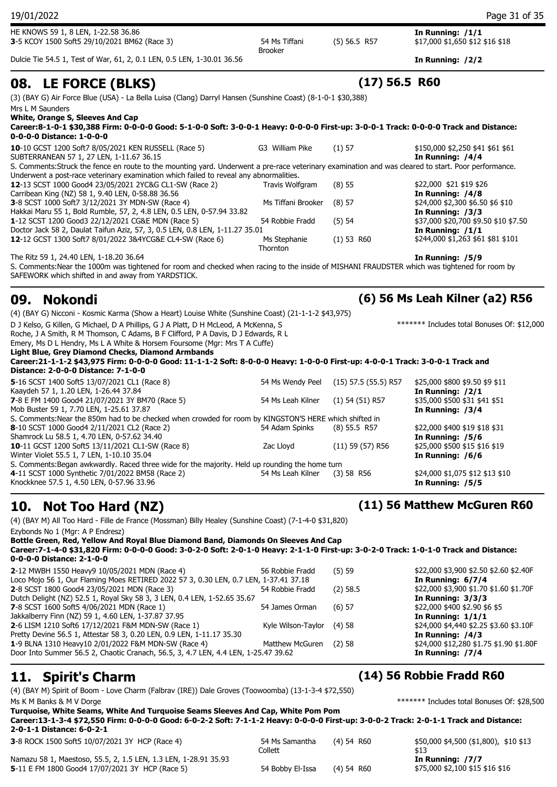HE KNOWS 59 1, 8 LEN, 1-22.58 36.86 **In Running: /1/1 3**-5 KCOY 1500 Soft5 29/10/2021 BM62 (Race 3) 54 Ms Tiffani (5) 56.5 R57

Dulcie Tie 54.5 1, Test of War, 61, 2, 0.1 LEN, 0.5 LEN, 1-30.01 36.56 **In Running: /2/2**

## **08. LE FORCE (BLKS) (17) 56.5 R60**

(3) (BAY G) Air Force Blue (USA) - La Bella Luisa (Clang) Darryl Hansen (Sunshine Coast) (8-1-0-1 \$30,388) Mrs L M Saunders

**White, Orange S, Sleeves And Cap**

| Career:8-1-0-1 \$30,388 Firm: 0-0-0-0 Good: 5-1-0-0 Soft: 3-0-0-1 Heavy: 0-0-0-0 First-up: 3-0-0-1 Track: 0-0-0-0 Track and Distance:<br>0-0-0-0 Distance: 1-0-0-0 |                    |            |                                                      |
|--------------------------------------------------------------------------------------------------------------------------------------------------------------------|--------------------|------------|------------------------------------------------------|
| 10-10 GCST 1200 Soft7 8/05/2021 KEN RUSSELL (Race 5)<br>SUBTERRANEAN 57 1, 27 LEN, 1-11.67 36.15                                                                   | G3 William Pike    | $(1)$ 57   | \$150,000 \$2,250 \$41 \$61 \$61<br>In Running: /4/4 |
| S. Comments: Struck the fence en route to the mounting yard. Underwent a pre-race veterinary examination and was cleared to start. Poor performance.               |                    |            |                                                      |
| Underwent a post-race veterinary examination which failed to reveal any abnormalities.                                                                             |                    |            |                                                      |
| 12-13 SCST 1000 Good4 23/05/2021 2YC&G CL1-SW (Race 2)                                                                                                             | Travis Wolfgram    | $(8)$ 55   | \$22,000 \$21 \$19 \$26                              |
| Carribean King (NZ) 58 1, 9.40 LEN, 0-58.88 36.56                                                                                                                  |                    |            | In Running: /4/8                                     |
| <b>3-8 SCST 1000 Soft7 3/12/2021 3Y MDN-SW (Race 4)</b>                                                                                                            | Ms Tiffani Brooker | $(8)$ 57   | \$24,000 \$2,300 \$6.50 \$6 \$10                     |
| Hakkai Maru 55 1, Bold Rumble, 57, 2, 4.8 LEN, 0.5 LEN, 0-57.94 33.82                                                                                              |                    |            | In Running: /3/3                                     |
| 1-12 SCST 1200 Good3 22/12/2021 CG&E MDN (Race 5)                                                                                                                  | 54 Robbie Fradd    | $(5)$ 54   | \$37,000 \$20,700 \$9.50 \$10 \$7.50                 |
| Doctor Jack 58 2, Daulat Taifun Aziz, 57, 3, 0.5 LEN, 0.8 LEN, 1-11.27 35.01                                                                                       |                    |            | In Running: $/1/1$                                   |
| 12-12 GCST 1300 Soft7 8/01/2022 3&4YCG&E CL4-SW (Race 6)                                                                                                           | Ms Stephanie       | (1) 53 R60 | \$244,000 \$1,263 \$61 \$81 \$101                    |
|                                                                                                                                                                    | Thornton           |            |                                                      |
|                                                                                                                                                                    |                    |            |                                                      |

Brooker

The Ritz 59 1, 24.40 LEN, 1-18.20 36.64 **In Running: /5/9** S. Comments:Near the 1000m was tightened for room and checked when racing to the inside of MISHANI FRAUDSTER which was tightened for room by SAFEWORK which shifted in and away from YARDSTICK.

### **09. Nokondi (6) 56 Ms Leah Kilner (a2) R56**

(4) (BAY G) Nicconi - Kosmic Karma (Show a Heart) Louise White (Sunshine Coast) (21-1-1-2 \$43,975)

D J Kelso, G Killen, G Michael, D A Phillips, G J A Platt, D H McLeod, A McKenna, S

Roche, J A Smith, R M Thomson, C Adams, B F Clifford, P A Davis, D J Edwards, R L

Emery, Ms D L Hendry, Ms L A White & Horsem Foursome (Mgr: Mrs T A Cuffe)

**Light Blue, Grey Diamond Checks, Diamond Armbands**

**Career:21-1-1-2 \$43,975 Firm: 0-0-0-0 Good: 11-1-1-2 Soft: 8-0-0-0 Heavy: 1-0-0-0 First-up: 4-0-0-1 Track: 3-0-0-1 Track and Distance: 2-0-0-0 Distance: 7-1-0-0**

| 54 Ms Wendy Peel  | $(15)$ 57.5 (55.5) R57 | \$25,000 \$800 \$9.50 \$9 \$11<br>In Running: $/2/1$                                                                                                                                                      |
|-------------------|------------------------|-----------------------------------------------------------------------------------------------------------------------------------------------------------------------------------------------------------|
| 54 Ms Leah Kilner | $(1)$ 54 $(51)$ R57    | \$35,000 \$500 \$31 \$41 \$51<br>In Running: /3/4                                                                                                                                                         |
|                   |                        |                                                                                                                                                                                                           |
| 54 Adam Spinks    | $(8)$ 55.5 R57         | \$22,000 \$400 \$19 \$18 \$31                                                                                                                                                                             |
|                   |                        | In Running: /5/6                                                                                                                                                                                          |
| Zac Lloyd         | $(11)$ 59 (57) R56     | \$25,000 \$500 \$15 \$16 \$19                                                                                                                                                                             |
|                   |                        | In Running: /6/6                                                                                                                                                                                          |
|                   |                        |                                                                                                                                                                                                           |
| 54 Ms Leah Kilner | $(3)$ 58 R56           | \$24,000 \$1,075 \$12 \$13 \$10<br>In Running: /5/5                                                                                                                                                       |
|                   |                        | S. Comments: Near the 850m had to be checked when crowded for room by KINGSTON'S HERE which shifted in<br>S. Comments: Began awkwardly. Raced three wide for the majority. Held up rounding the home turn |

## **10. Not Too Hard (NZ) (11) 56 Matthew McGuren R60**

(4) (BAY M) All Too Hard - Fille de France (Mossman) Billy Healey (Sunshine Coast) (7-1-4-0 \$31,820) Ezybonds No 1 (Mgr: A P Endresz) **Bottle Green, Red, Yellow And Royal Blue Diamond Band, Diamonds On Sleeves And Cap Career:7-1-4-0 \$31,820 Firm: 0-0-0-0 Good: 3-0-2-0 Soft: 2-0-1-0 Heavy: 2-1-1-0 First-up: 3-0-2-0 Track: 1-0-1-0 Track and Distance: 0-0-0-0 Distance: 2-1-0-0**

| 2-12 MWBH 1550 Heavy9 10/05/2021 MDN (Race 4)                                        | 56 Robbie Fradd    | (5)59      |
|--------------------------------------------------------------------------------------|--------------------|------------|
| Loco Mojo 56 1, Our Flaming Moes RETIRED 2022 57 3, 0.30 LEN, 0.7 LEN, 1-37.41 37.18 |                    |            |
| 2-8 SCST 1800 Good4 23/05/2021 MDN (Race 3)                                          | 54 Robbie Fradd    | $(2)$ 58.5 |
| Dutch Delight (NZ) 52.5 1, Royal Sky 58 3, 3 LEN, 0.4 LEN, 1-52.65 35.67             |                    |            |
| 7-8 SCST 1600 Soft5 4/06/2021 MDN (Race 1)                                           | 54 James Orman     | $(6)$ 57   |
| Jakkalberry Finn (NZ) 59 1, 4.60 LEN, 1-37.87 37.95                                  |                    |            |
| 2-6 LISM 1210 Soft6 17/12/2021 F&M MDN-SW (Race 1)                                   | Kyle Wilson-Taylor | (4)58      |
| Pretty Devine 56.5 1, Attestar 58 3, 0.20 LEN, 0.9 LEN, 1-11.17 35.30                |                    |            |
| 1-9 BLNA 1310 Heavy10 2/01/2022 F&M MDN-SW (Race 4)                                  | Matthew McGuren    | (2)58      |
| Door Into Summer 56.5 2, Chaotic Cranach, 56.5, 3, 4.7 LEN, 4.4 LEN, 1-25.47 39.62   |                    |            |
|                                                                                      |                    |            |

(4) (BAY M) Spirit of Boom - Love Charm (Falbrav (IRE)) Dale Groves (Toowoomba) (13-1-3-4 \$72,550) Ms K M Banks & M V Dorge **the Superintensity of the Superintensity of the Superintensity of the Superintensity of the Superintensity of the Superintensity of the Superintensity of the Superintensity of the Superintensity o** 

### **Turquoise, White Seams, White And Turquoise Seams Sleeves And Cap, White Pom Pom Career:13-1-3-4 \$72,550 Firm: 0-0-0-0 Good: 6-0-2-2 Soft: 7-1-1-2 Heavy: 0-0-0-0 First-up: 3-0-0-2 Track: 2-0-1-1 Track and Distance: 2-0-1-1 Distance: 6-0-2-1 3**-8 ROCK 1500 Soft5 10/07/2021 3Y HCP (Race 4) 54 Ms Samantha (4) 54 R60 (4) 54 R60 \$50,000 \$4,500 (\$1,800), \$10 \$13

Namazu 58 1, Maestoso, 55.5, 2, 1.5 LEN, 1.3 LEN, 1-28.91 35.93 **In Running: /7/7** 5<sup>-11</sup> E FM 1800 Good4 17/07/2021 3Y HCP (Race 5) 54 Bobby El-Issa (4) 54 R60 \$75,000 \$2,100 \$15 \$16 \$16

Collett

\$13

### **11. Spirit's Charm (14) 56 Robbie Fradd R60**

**2**-12 MWBH 1550 Heavy9 10/05/2021 MDN (Race 4) 56 Robbie Fradd (5) 59 \$22,000 \$3,900 \$2.50 \$2.60 \$2.40F

**2**-8 SCST 1800 Good4 23/05/2021 MDN (Race 3) 54 Robbie Fradd (2) 58.5 \$22,000 \$3,900 \$1.70 \$1.60 \$1.70F

**2**-6 LISM 1210 Soft6 17/12/2021 F&M MDN-SW (Race 1) Kyle Wilson-Taylor (4) 58 \$24,000 \$4,440 \$2.25 \$3.60 \$3.10F

\$24,000 \$12,280 \$1.75 \$1.90 \$1.80F

\*\*\*\*\*\*\* Includes total Bonuses Of: \$12,000

In Running: 6/7/4

**In Running: 3/3/3 7**-8 SCST 1600 Soft5 4/06/2021 MDN (Race 1) 54 James Orman (6) 57 \$22,000 \$400 \$2.90 \$6 \$5 In Running:  $1/1/1$ 

In Running: /4/3

In Running: /7/4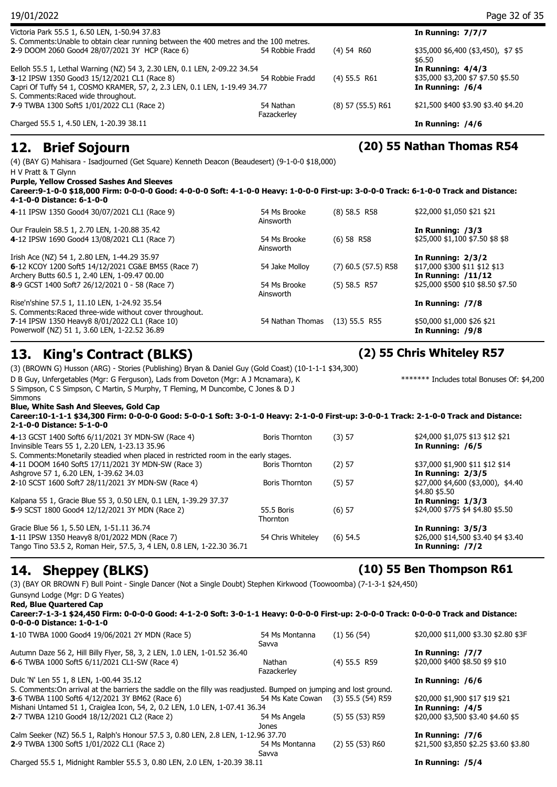| 19/01/2022                                                                                                                                                                                                                                                                                                                                      |                           |                       | Page 32 of 35                                                                   |
|-------------------------------------------------------------------------------------------------------------------------------------------------------------------------------------------------------------------------------------------------------------------------------------------------------------------------------------------------|---------------------------|-----------------------|---------------------------------------------------------------------------------|
| Victoria Park 55.5 1, 6.50 LEN, 1-50.94 37.83                                                                                                                                                                                                                                                                                                   |                           |                       | In Running: 7/7/7                                                               |
| S. Comments: Unable to obtain clear running between the 400 metres and the 100 metres.<br>2-9 DOOM 2060 Good4 28/07/2021 3Y HCP (Race 6)                                                                                                                                                                                                        | 54 Robbie Fradd           | $(4)$ 54 R60          | \$35,000 \$6,400 (\$3,450), \$7 \$5<br>\$6.50                                   |
| Eelloh 55.5 1, Lethal Warning (NZ) 54 3, 2.30 LEN, 0.1 LEN, 2-09.22 34.54<br>3-12 IPSW 1350 Good3 15/12/2021 CL1 (Race 8)<br>Capri Of Tuffy 54 1, COSMO KRAMER, 57, 2, 2.3 LEN, 0.1 LEN, 1-19.49 34.77                                                                                                                                          | 54 Robbie Fradd           | $(4)$ 55.5 R61        | In Running: $4/4/3$<br>\$35,000 \$3,200 \$7 \$7.50 \$5.50<br>In Running: /6/4   |
| S. Comments:Raced wide throughout.<br>7-9 TWBA 1300 Soft5 1/01/2022 CL1 (Race 2)                                                                                                                                                                                                                                                                | 54 Nathan<br>Fazackerley  | $(8)$ 57 $(55.5)$ R61 | \$21,500 \$400 \$3.90 \$3.40 \$4.20                                             |
| Charged 55.5 1, 4.50 LEN, 1-20.39 38.11                                                                                                                                                                                                                                                                                                         |                           |                       | In Running: /4/6                                                                |
| 12. Brief Sojourn                                                                                                                                                                                                                                                                                                                               |                           |                       | (20) 55 Nathan Thomas R54                                                       |
| (4) (BAY G) Mahisara - Isadjourned (Get Square) Kenneth Deacon (Beaudesert) (9-1-0-0 \$18,000)<br>H V Pratt & T Glynn<br><b>Purple, Yellow Crossed Sashes And Sleeves</b><br>Career:9-1-0-0 \$18,000 Firm: 0-0-0-0 Good: 4-0-0-0 Soft: 4-1-0-0 Heavy: 1-0-0-0 First-up: 3-0-0-0 Track: 6-1-0-0 Track and Distance:<br>4-1-0-0 Distance: 6-1-0-0 |                           |                       |                                                                                 |
| 4-11 IPSW 1350 Good4 30/07/2021 CL1 (Race 9)                                                                                                                                                                                                                                                                                                    | 54 Ms Brooke<br>Ainsworth | $(8)$ 58.5 R58        | \$22,000 \$1,050 \$21 \$21                                                      |
| Our Fraulein 58.5 1, 2.70 LEN, 1-20.88 35.42<br>4-12 IPSW 1690 Good4 13/08/2021 CL1 (Race 7)                                                                                                                                                                                                                                                    | 54 Ms Brooke<br>Ainsworth | $(6)$ 58 R58          | In Running: /3/3<br>\$25,000 \$1,100 \$7.50 \$8 \$8                             |
| Irish Ace (NZ) 54 1, 2.80 LEN, 1-44.29 35.97<br>6-12 KCOY 1200 Soft5 14/12/2021 CG&E BM55 (Race 7)<br>Archery Butts 60.5 1, 2.40 LEN, 1-09.47 00.00                                                                                                                                                                                             | 54 Jake Molloy            | $(7)$ 60.5 (57.5) R58 | In Running: 2/3/2<br>\$17,000 \$300 \$11 \$12 \$13<br><b>In Running: /11/12</b> |
| 8-9 GCST 1400 Soft7 26/12/2021 0 - 58 (Race 7)                                                                                                                                                                                                                                                                                                  | 54 Ms Brooke<br>Ainsworth | $(5)$ 58.5 R57        | \$25,000 \$500 \$10 \$8.50 \$7.50                                               |
| Rise'n'shine 57.5 1, 11.10 LEN, 1-24.92 35.54<br>S. Comments: Raced three-wide without cover throughout.                                                                                                                                                                                                                                        |                           |                       | In Running: /7/8                                                                |
| 7-14 IPSW 1350 Heavy8 8/01/2022 CL1 (Race 10)<br>Powerwolf (NZ) 51 1, 3.60 LEN, 1-22.52 36.89                                                                                                                                                                                                                                                   | 54 Nathan Thomas          | $(13)$ 55.5 R55       | \$50,000 \$1,000 \$26 \$21<br>In Running: /9/8                                  |
| 13.<br><b>King's Contract (BLKS)</b>                                                                                                                                                                                                                                                                                                            |                           |                       | (2) 55 Chris Whiteley R57                                                       |
| (3) (BROWN G) Husson (ARG) - Stories (Publishing) Bryan & Daniel Guy (Gold Coast) (10-1-1-1 \$34,300)<br>D B Guy, Unfergetables (Mgr: G Ferguson), Lads from Doveton (Mgr: A J Mcnamara), K<br>S Simpson, C S Simpson, C Martin, S Murphy, T Fleming, M Duncombe, C Jones & D J<br>Simmons                                                      |                           |                       | ******* Includes total Bonuses Of: \$4,200                                      |
| Blue, White Sash And Sleeves, Gold Cap<br>Career:10-1-1-1 \$34,300 Firm: 0-0-0-0 Good: 5-0-0-1 Soft: 3-0-1-0 Heavy: 2-1-0-0 First-up: 3-0-0-1 Track: 2-1-0-0 Track and Distance:                                                                                                                                                                |                           |                       |                                                                                 |

| 2-1-0-0 Distance: 5-1-0-0                                                                                                                                          |                               |            |                                                                                |
|--------------------------------------------------------------------------------------------------------------------------------------------------------------------|-------------------------------|------------|--------------------------------------------------------------------------------|
| 4-13 GCST 1400 Soft6 6/11/2021 3Y MDN-SW (Race 4)<br>Invinsible Tears 55 1, 2.20 LEN, 1-23.13 35.96                                                                | <b>Boris Thornton</b>         | (3) 57     | \$24,000 \$1,075 \$13 \$12 \$21<br>In Running: /6/5                            |
| S. Comments: Monetarily steadied when placed in restricted room in the early stages.                                                                               |                               |            |                                                                                |
| 4-11 DOOM 1640 Soft5 17/11/2021 3Y MDN-SW (Race 3)                                                                                                                 | Boris Thornton                | $(2)$ 57   | \$37,000 \$1,900 \$11 \$12 \$14                                                |
| Ashgrove 57 1, 6.20 LEN, 1-39.62 34.03                                                                                                                             |                               |            | In Running: $2/3/5$                                                            |
| 2-10 SCST 1600 Soft7 28/11/2021 3Y MDN-SW (Race 4)                                                                                                                 | <b>Boris Thornton</b>         | (5) 57     | \$27,000 \$4,600 (\$3,000), \$4.40<br>\$4.80 \$5.50                            |
| Kalpana 55 1, Gracie Blue 55 3, 0.50 LEN, 0.1 LEN, 1-39.29 37.37                                                                                                   |                               |            | In Running: $1/3/3$                                                            |
| 5-9 SCST 1800 Good4 12/12/2021 3Y MDN (Race 2)                                                                                                                     | 55.5 Boris<br><b>Thornton</b> | $(6)$ 57   | \$24,000 \$775 \$4 \$4.80 \$5.50                                               |
| Gracie Blue 56 1, 5.50 LEN, 1-51.11 36.74<br>1-11 IPSW 1350 Heavy8 8/01/2022 MDN (Race 7)<br>Tango Tino 53.5 2, Roman Heir, 57.5, 3, 4 LEN, 0.8 LEN, 1-22.30 36.71 | 54 Chris Whitelev             | $(6)$ 54.5 | In Running: $3/5/3$<br>\$26,000 \$14,500 \$3.40 \$4 \$3.40<br>In Running: /7/2 |
|                                                                                                                                                                    |                               |            |                                                                                |

## **14. Sheppey (BLKS) (10) 55 Ben Thompson R61**

(3) (BAY OR BROWN F) Bull Point - Single Dancer (Not a Single Doubt) Stephen Kirkwood (Toowoomba) (7-1-3-1 \$24,450)

| Gunsynd Lodge (Mgr: D G Yeates)                                                                                                                                                                                                                      |                         |                     |                                           |
|------------------------------------------------------------------------------------------------------------------------------------------------------------------------------------------------------------------------------------------------------|-------------------------|---------------------|-------------------------------------------|
| <b>Red, Blue Quartered Cap</b>                                                                                                                                                                                                                       |                         |                     |                                           |
| Career:7-1-3-1 \$24,450 Firm: 0-0-0-0 Good: 4-1-2-0 Soft: 3-0-1-1 Heavy: 0-0-0-0 First-up: 2-0-0-0 Track: 0-0-0-0 Track and Distance:<br>0-0-0-0 Distance: 1-0-1-0                                                                                   |                         |                     |                                           |
| 1-10 TWBA 1000 Good4 19/06/2021 2Y MDN (Race 5)                                                                                                                                                                                                      | 54 Ms Montanna<br>Savva | $(1)$ 56 (54)       | \$20,000 \$11,000 \$3.30 \$2.80 \$3F      |
| Autumn Daze 56 2, Hill Billy Flyer, 58, 3, 2 LEN, 1.0 LEN, 1-01.52 36.40                                                                                                                                                                             |                         |                     | In Running: /7/7                          |
| 6-6 TWBA 1000 Soft5 6/11/2021 CL1-SW (Race 4)                                                                                                                                                                                                        | Nathan<br>Fazackerley   | $(4)$ 55.5 R59      | \$20,000 \$400 \$8.50 \$9 \$10            |
| Dulc 'N' Len 55 1, 8 LEN, 1-00.44 35.12                                                                                                                                                                                                              |                         |                     | In Running: /6/6                          |
| S. Comments: On arrival at the barriers the saddle on the filly was readjusted. Bumped on jumping and lost ground.                                                                                                                                   |                         |                     |                                           |
| 3-6 TWBA 1100 Soft6 4/12/2021 3Y BM62 (Race 6)                                                                                                                                                                                                       | 54 Ms Kate Cowan        | $(3)$ 55.5 (54) R59 | \$20,000 \$1,900 \$17 \$19 \$21           |
| Mishani Untamed 51 1, Craiglea Icon, 54, 2, 0.2 LEN, 1.0 LEN, 1-07.41 36.34                                                                                                                                                                          |                         |                     | In Running: /4/5                          |
| 2-7 TWBA 1210 Good4 18/12/2021 CL2 (Race 2)                                                                                                                                                                                                          | 54 Ms Angela<br>Jones   | $(5)$ 55 (53) R59   | \$20,000 \$3,500 \$3.40 \$4.60 \$5        |
| $C-1 \rightarrow C-1 \rightarrow (N+1)$ $\Gamma C \Gamma$ + $D-1 \rightarrow 1$ $\Gamma$ $\Gamma$ $\rightarrow$ $D \Gamma$ $\Gamma$ $\rightarrow$ $D \Omega$ $\Gamma$ $\Gamma$ $\Gamma$ + $\rightarrow$ $D \Omega$ $\Gamma$ $\rightarrow$ $D \Omega$ |                         |                     | $\sim$ $\sim$ $\sim$ $\sim$ $\sim$ $\sim$ |

Calm Seeker (NZ) 56.5 1, Ralph's Honour 57.5 3, 0.80 LEN, 2.8 LEN, 1-12.96 37.70 **In Running: /7/6 2**-9 TWBA 1300 Soft5 1/01/2022 CL1 (Race 2) 54 Ms Montanna (2) 55 (53) R60 Savva

Charged 55.5 1, Midnight Rambler 55.5 3, 0.80 LEN, 2.0 LEN, 1-20.39 38.11 **In Running: /5/4**

(2) 55 (53) R60 \$21,500 \$3,850 \$2.25 \$3.60 \$3.80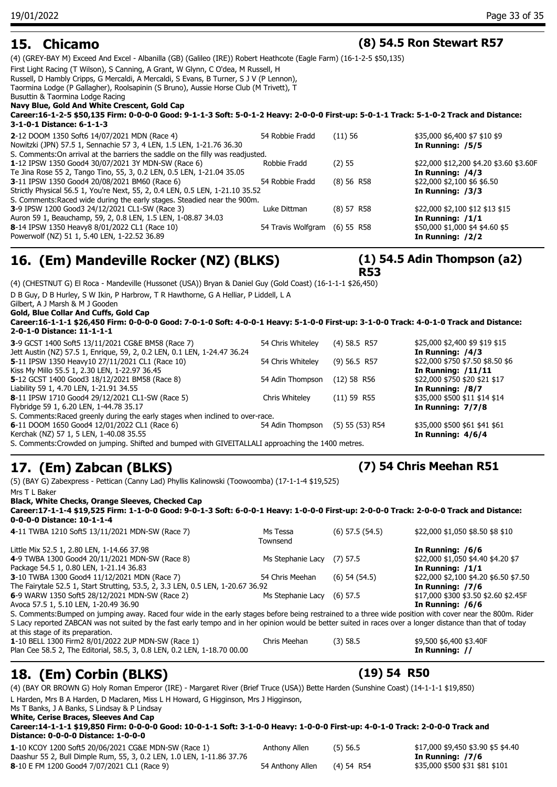### **15. Chicamo (8) 54.5 Ron Stewart R57**

(4) (GREY-BAY M) Exceed And Excel - Albanilla (GB) (Galileo (IRE)) Robert Heathcote (Eagle Farm) (16-1-2-5 \$50,135)

First Light Racing (T Wilson), S Canning, A Grant, W Glynn, C O'dea, M Russell, H

Russell, D Hambly Cripps, G Mercaldi, A Mercaldi, S Evans, B Turner, S J V (P Lennon),

Taormina Lodge (P Gallagher), Roolsapinin (S Bruno), Aussie Horse Club (M Trivett), T Busuttin & Taormina Lodge Racing

### **Navy Blue, Gold And White Crescent, Gold Cap**

**Career:16-1-2-5 \$50,135 Firm: 0-0-0-0 Good: 9-1-1-3 Soft: 5-0-1-2 Heavy: 2-0-0-0 First-up: 5-0-1-1 Track: 5-1-0-2 Track and Distance: 3-1-0-1 Distance: 6-1-1-3**

| S. Comments: On arrival at the barriers the saddle on the filly was readjusted.<br>\$22,000 \$12,200 \$4.20 \$3.60 \$3.60F<br>1-12 IPSW 1350 Good4 30/07/2021 3Y MDN-SW (Race 6)<br>Robbie Fradd<br>(2) 55<br>Te Jina Rose 55 2, Tango Tino, 55, 3, 0.2 LEN, 0.5 LEN, 1-21.04 35.05<br>In Running: /4/3<br>\$22,000 \$2,100 \$6 \$6.50<br>3-11 IPSW 1350 Good4 20/08/2021 BM60 (Race 6)<br>54 Robbie Fradd<br>(8) 56 R58<br>Strictly Physical 56.5 1, You're Next, 55, 2, 0.4 LEN, 0.5 LEN, 1-21.10 35.52<br>In Running: /3/3 |
|-------------------------------------------------------------------------------------------------------------------------------------------------------------------------------------------------------------------------------------------------------------------------------------------------------------------------------------------------------------------------------------------------------------------------------------------------------------------------------------------------------------------------------|
|                                                                                                                                                                                                                                                                                                                                                                                                                                                                                                                               |
|                                                                                                                                                                                                                                                                                                                                                                                                                                                                                                                               |
|                                                                                                                                                                                                                                                                                                                                                                                                                                                                                                                               |
|                                                                                                                                                                                                                                                                                                                                                                                                                                                                                                                               |
| S. Comments: Raced wide during the early stages. Steadied near the 900m.                                                                                                                                                                                                                                                                                                                                                                                                                                                      |
| \$22,000 \$2,100 \$12 \$13 \$15<br>3-9 IPSW 1200 Good3 24/12/2021 CL1-SW (Race 3)<br>(8) 57 R58<br>Luke Dittman                                                                                                                                                                                                                                                                                                                                                                                                               |
| Auron 59 1, Beauchamp, 59, 2, 0.8 LEN, 1.5 LEN, 1-08.87 34.03<br>In Running: $/1/1$                                                                                                                                                                                                                                                                                                                                                                                                                                           |
| \$50,000 \$1,000 \$4 \$4.60 \$5<br>8-14 IPSW 1350 Heavy8 8/01/2022 CL1 (Race 10)<br>54 Travis Wolfgram (6) 55 R58                                                                                                                                                                                                                                                                                                                                                                                                             |
| Powerwolf (NZ) 51 1, 5.40 LEN, 1-22.52 36.89<br>In Running: $/2/2$                                                                                                                                                                                                                                                                                                                                                                                                                                                            |

### **16. (Em) Mandeville Rocker (NZ) (BLKS)**

(4) (CHESTNUT G) El Roca - Mandeville (Hussonet (USA)) Bryan & Daniel Guy (Gold Coast) (16-1-1-1 \$26,450) D B Guy, D B Hurley, S W Ikin, P Harbrow, T R Hawthorne, G A Helliar, P Liddell, L A

Gilbert, A J Marsh & M J Gooden

**Gold, Blue Collar And Cuffs, Gold Cap**

**Career:16-1-1-1 \$26,450 Firm: 0-0-0-0 Good: 7-0-1-0 Soft: 4-0-0-1 Heavy: 5-1-0-0 First-up: 3-1-0-0 Track: 4-0-1-0 Track and Distance: 2-0-1-0 Distance: 11-1-1-1**

| 3-9 GCST 1400 Soft5 13/11/2021 CG&E BM58 (Race 7)                                                  | 54 Chris Whiteley | $(4)$ 58.5 R57    | \$25,000 \$2,400 \$9 \$19 \$15   |
|----------------------------------------------------------------------------------------------------|-------------------|-------------------|----------------------------------|
| Jett Austin (NZ) 57.5 1, Enrique, 59, 2, 0.2 LEN, 0.1 LEN, 1-24.47 36.24                           |                   |                   | In Running: $/4/3$               |
| 5-11 IPSW 1350 Heavy10 27/11/2021 CL1 (Race 10)                                                    | 54 Chris Whiteley | $(9)$ 56.5 R57    | \$22,000 \$750 \$7.50 \$8.50 \$6 |
| Kiss My Millo 55.5 1, 2.30 LEN, 1-22.97 36.45                                                      |                   |                   | In Running: /11/11               |
| 5-12 GCST 1400 Good3 18/12/2021 BM58 (Race 8)                                                      | 54 Adin Thompson  | $(12)$ 58 R56     | \$22,000 \$750 \$20 \$21 \$17    |
| Liability 59 1, 4.70 LEN, 1-21.91 34.55                                                            |                   |                   | In Running: /8/7                 |
| 8-11 IPSW 1710 Good4 29/12/2021 CL1-SW (Race 5)                                                    | Chris Whitelev    | (11) 59 R55       | \$35,000 \$500 \$11 \$14 \$14    |
| Flybridge 59 1, 6.20 LEN, 1-44.78 35.17                                                            |                   |                   | In Running: $7/7/8$              |
| S. Comments: Raced greenly during the early stages when inclined to over-race.                     |                   |                   |                                  |
| 6-11 DOOM 1650 Good4 12/01/2022 CL1 (Race 6)                                                       | 54 Adin Thompson  | $(5)$ 55 (53) R54 | \$35,000 \$500 \$61 \$41 \$61    |
| Kerchak (NZ) 57 1, 5 LEN, 1-40.08 35.55                                                            |                   |                   | In Running: $4/6/4$              |
| S. Comments: Crowded on jumping. Shifted and bumped with GIVEITALLALI approaching the 1400 metres. |                   |                   |                                  |

### **17. (Em) Zabcan (BLKS) (7) 54 Chris Meehan R51**

(5) (BAY G) Zabexpress - Pettican (Canny Lad) Phyllis Kalinowski (Toowoomba) (17-1-1-4 \$19,525) Mrs T L Baker

**Black, White Checks, Orange Sleeves, Checked Cap**

**Career:17-1-1-4 \$19,525 Firm: 1-1-0-0 Good: 9-0-1-3 Soft: 6-0-0-1 Heavy: 1-0-0-0 First-up: 2-0-0-0 Track: 2-0-0-0 Track and Distance: 0-0-0-0 Distance: 10-1-1-4**

| 4-11 TWBA 1210 Soft5 13/11/2021 MDN-SW (Race 7)                                                                                                            | Ms Tessa<br>Townsend | $(6)$ 57.5 $(54.5)$ | \$22,000 \$1,050 \$8.50 \$8 \$10      |
|------------------------------------------------------------------------------------------------------------------------------------------------------------|----------------------|---------------------|---------------------------------------|
| Little Mix 52.5 1, 2.80 LEN, 1-14.66 37.98                                                                                                                 |                      |                     | In Running: /6/6                      |
| 4-9 TWBA 1300 Good4 20/11/2021 MDN-SW (Race 8)                                                                                                             | Ms Stephanie Lacy    | $(7)$ 57.5          | \$22,000 \$1,050 \$4.40 \$4.20 \$7    |
| Package 54.5 1, 0.80 LEN, 1-21.14 36.83                                                                                                                    |                      |                     | In Running: $/1/1$                    |
| 3-10 TWBA 1300 Good4 11/12/2021 MDN (Race 7)                                                                                                               | 54 Chris Meehan      | $(6)$ 54 $(54.5)$   | \$22,000 \$2,100 \$4.20 \$6.50 \$7.50 |
| The Fairytale 52.5 1, Start Strutting, 53.5, 2, 3.3 LEN, 0.5 LEN, 1-20.67 36.92                                                                            |                      |                     | In Running: /7/6                      |
| 6-9 WARW 1350 Soft5 28/12/2021 MDN-SW (Race 2)                                                                                                             | Ms Stephanie Lacy    | $(6)$ 57.5          | \$17,000 \$300 \$3.50 \$2.60 \$2.45F  |
| Avoca 57.5 1, 5.10 LEN, 1-20.49 36.90                                                                                                                      |                      |                     | In Running: /6/6                      |
| S. Comments: Bumped on jumping away. Raced four wide in the early stages before being restrained to a three wide position with cover near the 800m. Rider  |                      |                     |                                       |
| S Lacy reported ZABCAN was not suited by the fast early tempo and in her opinion would be better suited in races over a longer distance than that of today |                      |                     |                                       |
| at this stage of its preparation.                                                                                                                          |                      |                     |                                       |
| 1-10 BELL 1300 Firm2 8/01/2022 2UP MDN-SW (Race 1)                                                                                                         | Chris Meehan         | $(3)$ 58.5          | \$9,500 \$6,400 \$3.40F               |
| Plan Cee 58.5 2, The Editorial, 58.5, 3, 0.8 LEN, 0.2 LEN, 1-18.70 00.00                                                                                   |                      |                     | In Running: //                        |
|                                                                                                                                                            |                      |                     |                                       |

## **18. (Em) Corbin (BLKS) (19) 54 R50**

(4) (BAY OR BROWN G) Holy Roman Emperor (IRE) - Margaret River (Brief Truce (USA)) Bette Harden (Sunshine Coast) (14-1-1-1 \$19,850)

L Harden, Mrs B A Harden, D Maclaren, Miss L H Howard, G Higginson, Mrs J Higginson,

Ms T Banks, J A Banks, S Lindsay & P Lindsay **White, Cerise Braces, Sleeves And Cap**

**Career:14-1-1-1 \$19,850 Firm: 0-0-0-0 Good: 10-0-1-1 Soft: 3-1-0-0 Heavy: 1-0-0-0 First-up: 4-0-1-0 Track: 2-0-0-0 Track and Distance: 0-0-0-0 Distance: 1-0-0-0**

**1**-10 KCOY 1200 Soft5 20/06/2021 CG&E MDN-SW (Race 1) Anthony Allen (5) 56.5 \$17,000 \$9,450 \$3.90 \$5 \$4.40 Daashur 55 2, Bull Dimple Rum, 55, 3, 0.2 LEN, 1.0 LEN, 1-11.86 37.76 **In Running: /7/6** 8-10 E FM 1200 Good4 7/07/2021 CL1 (Race 9) 54 Anthony Allen (4) 54 R54 \$35,000 \$500 \$31 \$81 \$101

**(1) 54.5 Adin Thompson (a2) R53**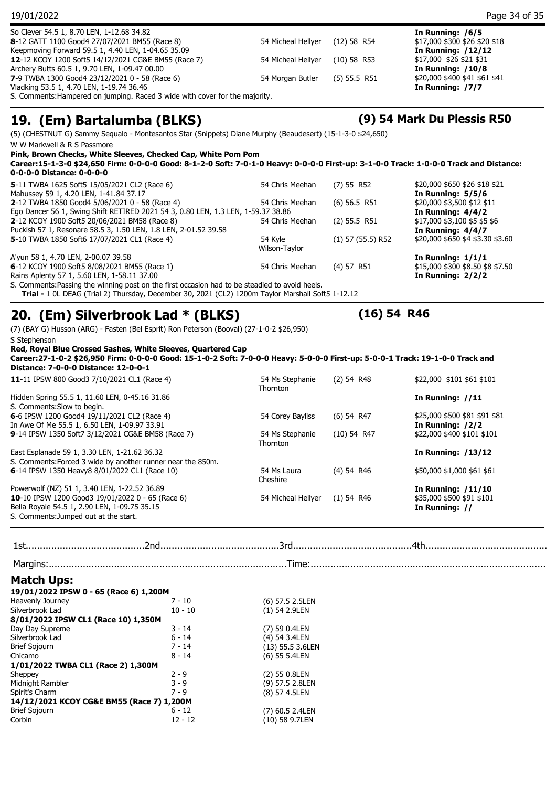| Keepmoving Forward 59.5 1, 4.40 LEN, 1-04.65 35.09<br>12-12 KCOY 1200 Soft5 14/12/2021 CG&E BM55 (Race 7)                              |           | 54 Micheal Hellyer          | $(10)$ 58 R53       | <b>In Running: /12/12</b><br>\$17,000 \$26 \$21 \$31    |
|----------------------------------------------------------------------------------------------------------------------------------------|-----------|-----------------------------|---------------------|---------------------------------------------------------|
| Archery Butts 60.5 1, 9.70 LEN, 1-09.47 00.00<br>7-9 TWBA 1300 Good4 23/12/2021 0 - 58 (Race 6)                                        |           | 54 Morgan Butler            | $(5)$ 55.5 R51      | In Running: $/10/8$<br>\$20,000 \$400 \$41 \$61 \$41    |
| Vladking 53.5 1, 4.70 LEN, 1-19.74 36.46<br>S. Comments: Hampered on jumping. Raced 3 wide with cover for the majority.                |           |                             |                     | In Running: /7/7                                        |
| 19. (Em) Bartalumba (BLKS)                                                                                                             |           |                             |                     | (9) 54 Mark Du Plessis R50                              |
| (5) (CHESTNUT G) Sammy Sequalo - Montesantos Star (Snippets) Diane Murphy (Beaudesert) (15-1-3-0 \$24,650)                             |           |                             |                     |                                                         |
| W W Markwell & R S Passmore                                                                                                            |           |                             |                     |                                                         |
| Pink, Brown Checks, White Sleeves, Checked Cap, White Pom Pom                                                                          |           |                             |                     |                                                         |
| Career:15-1-3-0 \$24,650 Firm: 0-0-0-0 Good: 8-1-2-0 Soft: 7-0-1-0 Heavy: 0-0-0-0 First-up: 3-1-0-0 Track: 1-0-0-0 Track and Distance: |           |                             |                     |                                                         |
| 0-0-0-0 Distance: 0-0-0-0                                                                                                              |           |                             |                     |                                                         |
| 5-11 TWBA 1625 Soft5 15/05/2021 CL2 (Race 6)<br>Mahussey 59 1, 4.20 LEN, 1-41.84 37.17                                                 |           | 54 Chris Meehan             | (7) 55 R52          | \$20,000 \$650 \$26 \$18 \$21<br>In Running: $5/5/6$    |
| 2-12 TWBA 1850 Good4 5/06/2021 0 - 58 (Race 4)                                                                                         |           | 54 Chris Meehan             | $(6)$ 56.5 R51      | \$20,000 \$3,500 \$12 \$11                              |
| Ego Dancer 56 1, Swing Shift RETIRED 2021 54 3, 0.80 LEN, 1.3 LEN, 1-59.37 38.86                                                       |           |                             |                     | In Running: $4/4/2$                                     |
| 2-12 KCOY 1900 Soft5 20/06/2021 BM58 (Race 8)<br>Puckish 57 1, Resonare 58.5 3, 1.50 LEN, 1.8 LEN, 2-01.52 39.58                       |           | 54 Chris Meehan             | $(2)$ 55.5 R51      | \$17,000 \$3,100 \$5 \$5 \$6                            |
| 5-10 TWBA 1850 Soft6 17/07/2021 CL1 (Race 4)                                                                                           |           | 54 Kyle                     | $(1)$ 57 (55.5) R52 | In Running: $4/4/7$<br>\$20,000 \$650 \$4 \$3.30 \$3.60 |
|                                                                                                                                        |           | Wilson-Taylor               |                     |                                                         |
| A'yun 58 1, 4.70 LEN, 2-00.07 39.58                                                                                                    |           |                             |                     | In Running: $1/1/1$                                     |
| 6-12 KCOY 1900 Soft5 8/08/2021 BM55 (Race 1)<br>Rains Aplenty 57 1, 5.60 LEN, 1-58.11 37.00                                            |           | 54 Chris Meehan             | (4) 57 R51          | \$15,000 \$300 \$8.50 \$8 \$7.50<br>In Running: $2/2/2$ |
| S. Comments: Passing the winning post on the first occasion had to be steadied to avoid heels.                                         |           |                             |                     |                                                         |
| Trial - 1 0L DEAG (Trial 2) Thursday, December 30, 2021 (CL2) 1200m Taylor Marshall Soft5 1-12.12                                      |           |                             |                     |                                                         |
| 20. (Em) Silverbrook Lad * (BLKS)                                                                                                      |           |                             | $(16)$ 54 R46       |                                                         |
| (7) (BAY G) Husson (ARG) - Fasten (Bel Esprit) Ron Peterson (Booval) (27-1-0-2 \$26,950)                                               |           |                             |                     |                                                         |
| S Stephenson                                                                                                                           |           |                             |                     |                                                         |
| Red, Royal Blue Crossed Sashes, White Sleeves, Quartered Cap                                                                           |           |                             |                     |                                                         |
| Career:27-1-0-2 \$26,950 Firm: 0-0-0-0 Good: 15-1-0-2 Soft: 7-0-0-0 Heavy: 5-0-0-0 First-up: 5-0-0-1 Track: 19-1-0-0 Track and         |           |                             |                     |                                                         |
| Distance: 7-0-0-0 Distance: 12-0-0-1                                                                                                   |           |                             |                     |                                                         |
| 11-11 IPSW 800 Good3 7/10/2021 CL1 (Race 4)                                                                                            |           | 54 Ms Stephanie<br>Thornton | $(2)$ 54 R48        | \$22,000 \$101 \$61 \$101                               |
| Hidden Spring 55.5 1, 11.60 LEN, 0-45.16 31.86                                                                                         |           |                             |                     | In Running: //11                                        |
| S. Comments: Slow to begin.                                                                                                            |           |                             |                     |                                                         |
| 6-6 IPSW 1200 Good4 19/11/2021 CL2 (Race 4)                                                                                            |           | 54 Corey Bayliss            | $(6)$ 54 R47        | \$25,000 \$500 \$81 \$91 \$81                           |
| In Awe Of Me 55.5 1, 6.50 LEN, 1-09.97 33.91<br>9-14 IPSW 1350 Soft7 3/12/2021 CG&E BM58 (Race 7)                                      |           | 54 Ms Stephanie             | (10) 54 R47         | In Running: /2/2<br>\$22,000 \$400 \$101 \$101          |
|                                                                                                                                        |           | Thornton                    |                     |                                                         |
| East Esplanade 59 1, 3.30 LEN, 1-21.62 36.32                                                                                           |           |                             |                     | <b>In Running: /13/12</b>                               |
| S. Comments: Forced 3 wide by another runner near the 850m.<br>6-14 IPSW 1350 Heavy8 8/01/2022 CL1 (Race 10)                           |           | 54 Ms Laura                 | (4) 54 R46          | \$50,000 \$1,000 \$61 \$61                              |
|                                                                                                                                        |           | Cheshire                    |                     |                                                         |
| Powerwolf (NZ) 51 1, 3.40 LEN, 1-22.52 36.89                                                                                           |           |                             |                     | <b>In Running: /11/10</b>                               |
| 10-10 IPSW 1200 Good3 19/01/2022 0 - 65 (Race 6)                                                                                       |           | 54 Micheal Hellyer          | $(1)$ 54 R46        | \$35,000 \$500 \$91 \$101                               |
| Bella Royale 54.5 1, 2.90 LEN, 1-09.75 35.15<br>S. Comments: Jumped out at the start.                                                  |           |                             |                     | In Running: //                                          |
|                                                                                                                                        |           |                             |                     |                                                         |
|                                                                                                                                        |           |                             |                     |                                                         |
|                                                                                                                                        |           |                             |                     |                                                         |
|                                                                                                                                        |           |                             |                     |                                                         |
| <b>Match Ups:</b>                                                                                                                      |           |                             |                     |                                                         |
| 19/01/2022 IPSW 0 - 65 (Race 6) 1,200M                                                                                                 |           |                             |                     |                                                         |
| Heavenly Journey                                                                                                                       | $7 - 10$  | (6) 57.5 2.5LEN             |                     |                                                         |
| Silverbrook Lad                                                                                                                        | $10 - 10$ | $(1)$ 54 2.9LEN             |                     |                                                         |
| 8/01/2022 IPSW CL1 (Race 10) 1,350M<br>Day Day Supreme                                                                                 | 3 - 14    | (7) 59 0.4LEN               |                     |                                                         |
| Silverbrook Lad                                                                                                                        | 6 - 14    | (4) 54 3.4LEN               |                     |                                                         |
| <b>Brief Sojourn</b>                                                                                                                   | 7 - 14    | (13) 55.5 3.6LEN            |                     |                                                         |
| Chicamo                                                                                                                                | 8 - 14    | (6) 55 5.4LEN               |                     |                                                         |
| 1/01/2022 TWBA CL1 (Race 2) 1,300M<br>Sheppey                                                                                          | $2 - 9$   | (2) 55 0.8LEN               |                     |                                                         |
| Midnight Rambler                                                                                                                       | $3 - 9$   | (9) 57.5 2.8LEN             |                     |                                                         |
| Spirit's Charm                                                                                                                         | $7 - 9$   | (8) 57 4.5LEN               |                     |                                                         |

So Clever 54.5 1, 8.70 LEN, 1-12.68 34.82<br> **8-12 GATT 1100 Good4 27/07/2021 BM55 (Race 8)** 54 Micheal Hellyer (12) 58 R54 \$17,000 \$300 \$26 \$20 \$18

8-12 GATT 1100 Good4 27/07/2021 BM55 (Race 8)

19/01/2022 Page 34 of 35